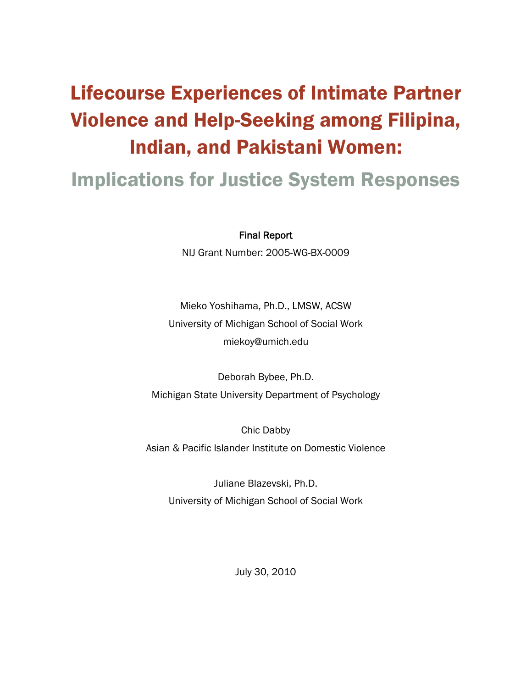# Lifecourse Experiences of Intimate Partner Violence and Help-Seeking among Filipina, Indian, and Pakistani Women:

# Implications for Justice System Responses

Final Report

NIJ Grant Number: 2005-WG-BX-0009

Mieko Yoshihama, Ph.D., LMSW, ACSW University of Michigan School of Social Work miekoy@umich.edu

Deborah Bybee, Ph.D. Michigan State University Department of Psychology

Chic Dabby Asian & Pacific Islander Institute on Domestic Violence

Juliane Blazevski, Ph.D. University of Michigan School of Social Work

July 30, 2010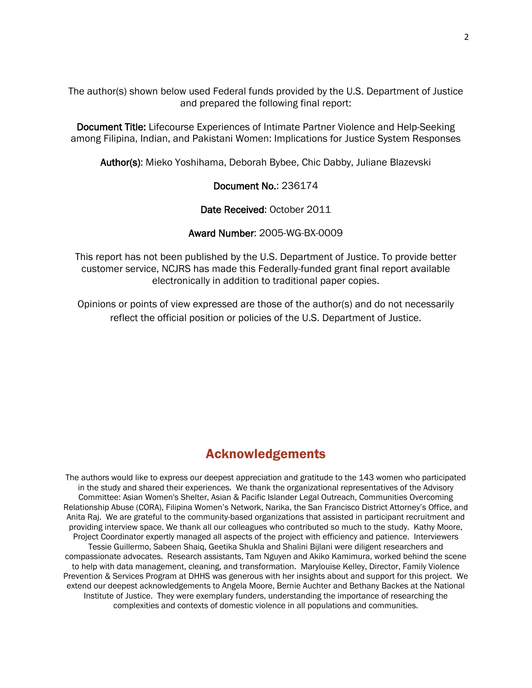The author(s) shown below used Federal funds provided by the U.S. Department of Justice and prepared the following final report:

Document Title: Lifecourse Experiences of Intimate Partner Violence and Help-Seeking among Filipina, Indian, and Pakistani Women: Implications for Justice System Responses

Author(s): Mieko Yoshihama, Deborah Bybee, Chic Dabby, Juliane Blazevski

### Document No.: 236174

### Date Received: October 2011

### Award Number: 2005-WG-BX-0009

This report has not been published by the U.S. Department of Justice. To provide better customer service, NCJRS has made this Federally-funded grant final report available electronically in addition to traditional paper copies.

Opinions or points of view expressed are those of the author(s) and do not necessarily reflect the official position or policies of the U.S. Department of Justice.

# Acknowledgements

The authors would like to express our deepest appreciation and gratitude to the 143 women who participated in the study and shared their experiences. We thank the organizational representatives of the Advisory Committee: Asian Women's Shelter, Asian & Pacific Islander Legal Outreach, Communities Overcoming Relationship Abuse (CORA), Filipina Women's Network, Narika, the San Francisco District Attorney's Office, and Anita Raj. We are grateful to the community-based organizations that assisted in participant recruitment and providing interview space. We thank all our colleagues who contributed so much to the study. Kathy Moore, Project Coordinator expertly managed all aspects of the project with efficiency and patience. Interviewers Tessie Guillermo, Sabeen Shaiq, Geetika Shukla and Shalini Bijlani were diligent researchers and compassionate advocates. Research assistants, Tam Nguyen and Akiko Kamimura, worked behind the scene to help with data management, cleaning, and transformation. Marylouise Kelley, Director, Family Violence Prevention & Services Program at DHHS was generous with her insights about and support for this project. We extend our deepest acknowledgements to Angela Moore, Bernie Auchter and Bethany Backes at the National Institute of Justice. They were exemplary funders, understanding the importance of researching the complexities and contexts of domestic violence in all populations and communities.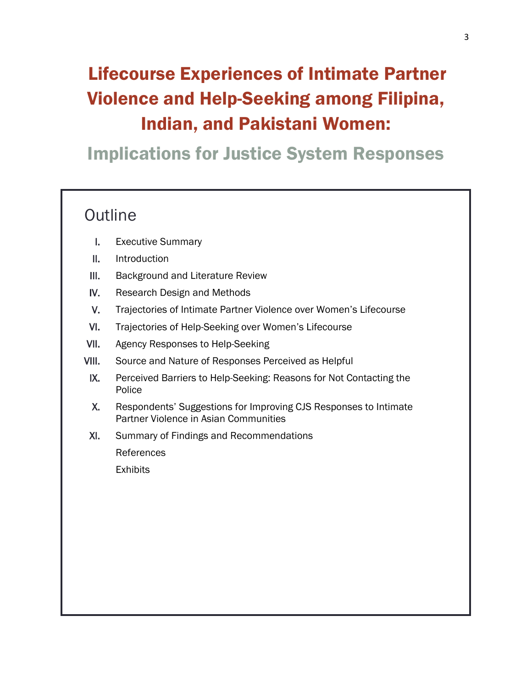# Lifecourse Experiences of Intimate Partner Violence and Help-Seeking among Filipina, Indian, and Pakistani Women:

# Implications for Justice System Responses

# **Outline**

- I. Executive Summary
- II. Introduction
- III. Background and Literature Review
- IV. Research Design and Methods
- V. Trajectories of Intimate Partner Violence over Women's Lifecourse
- VI. Trajectories of Help-Seeking over Women's Lifecourse
- VII. Agency Responses to Help-Seeking
- VIII. Source and Nature of Responses Perceived as Helpful
	- IX. Perceived Barriers to Help-Seeking: Reasons for Not Contacting the Police
	- X. Respondents' Suggestions for Improving CJS Responses to Intimate Partner Violence in Asian Communities
- XI. Summary of Findings and Recommendations

References

**Exhibits**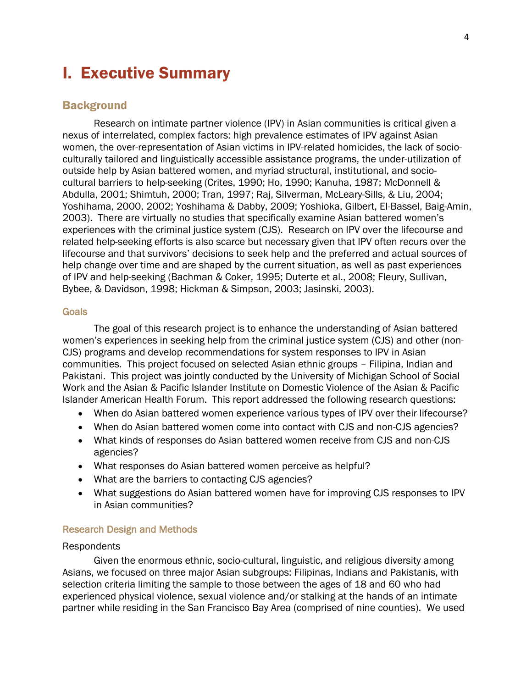# I. Executive Summary

### **Background**

Research on intimate partner violence (IPV) in Asian communities is critical given a nexus of interrelated, complex factors: high prevalence estimates of IPV against Asian women, the over-representation of Asian victims in IPV-related homicides, the lack of socioculturally tailored and linguistically accessible assistance programs, the under-utilization of outside help by Asian battered women, and myriad structural, institutional, and sociocultural barriers to help-seeking (Crites, 1990; Ho, 1990; Kanuha, 1987; McDonnell & Abdulla, 2001; Shimtuh, 2000; Tran, 1997; Raj, Silverman, McLeary-Sills, & Liu, 2004; Yoshihama, 2000, 2002; Yoshihama & Dabby, 2009; Yoshioka, Gilbert, El-Bassel, Baig-Amin, 2003). There are virtually no studies that specifically examine Asian battered women's experiences with the criminal justice system (CJS). Research on IPV over the lifecourse and related help-seeking efforts is also scarce but necessary given that IPV often recurs over the lifecourse and that survivors' decisions to seek help and the preferred and actual sources of help change over time and are shaped by the current situation, as well as past experiences of IPV and help-seeking (Bachman & Coker, 1995; Duterte et al., 2008; Fleury, Sullivan, Bybee, & Davidson, 1998; Hickman & Simpson, 2003; Jasinski, 2003).

### **Goals**

The goal of this research project is to enhance the understanding of Asian battered women's experiences in seeking help from the criminal justice system (CJS) and other (non-CJS) programs and develop recommendations for system responses to IPV in Asian communities. This project focused on selected Asian ethnic groups – Filipina, Indian and Pakistani. This project was jointly conducted by the University of Michigan School of Social Work and the Asian & Pacific Islander Institute on Domestic Violence of the Asian & Pacific Islander American Health Forum. This report addressed the following research questions:

- When do Asian battered women experience various types of IPV over their lifecourse?
- When do Asian battered women come into contact with CJS and non-CJS agencies?
- What kinds of responses do Asian battered women receive from CJS and non-CJS agencies?
- What responses do Asian battered women perceive as helpful?
- What are the barriers to contacting CJS agencies?
- What suggestions do Asian battered women have for improving CJS responses to IPV in Asian communities?

#### Research Design and Methods

### **Respondents**

Given the enormous ethnic, socio-cultural, linguistic, and religious diversity among Asians, we focused on three major Asian subgroups: Filipinas, Indians and Pakistanis, with selection criteria limiting the sample to those between the ages of 18 and 60 who had experienced physical violence, sexual violence and/or stalking at the hands of an intimate partner while residing in the San Francisco Bay Area (comprised of nine counties). We used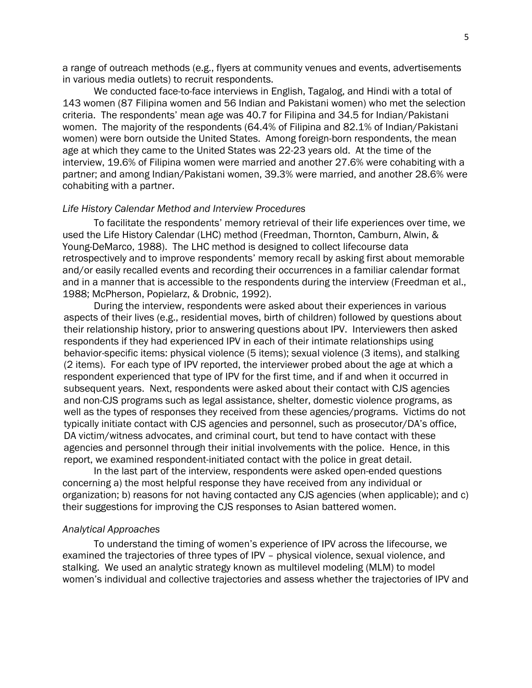a range of outreach methods (e.g., flyers at community venues and events, advertisements in various media outlets) to recruit respondents.

We conducted face-to-face interviews in English, Tagalog, and Hindi with a total of 143 women (87 Filipina women and 56 Indian and Pakistani women) who met the selection criteria. The respondents' mean age was 40.7 for Filipina and 34.5 for Indian/Pakistani women. The majority of the respondents (64.4% of Filipina and 82.1% of Indian/Pakistani women) were born outside the United States. Among foreign-born respondents, the mean age at which they came to the United States was 22-23 years old. At the time of the interview, 19.6% of Filipina women were married and another 27.6% were cohabiting with a partner; and among Indian/Pakistani women, 39.3% were married, and another 28.6% were cohabiting with a partner.

#### *Life History Calendar Method and Interview Procedures*

To facilitate the respondents' memory retrieval of their life experiences over time, we used the Life History Calendar (LHC) method (Freedman, Thornton, Camburn, Alwin, & Young-DeMarco, 1988). The LHC method is designed to collect lifecourse data retrospectively and to improve respondents' memory recall by asking first about memorable and/or easily recalled events and recording their occurrences in a familiar calendar format and in a manner that is accessible to the respondents during the interview (Freedman et al., 1988; McPherson, Popielarz, & Drobnic, 1992).

During the interview, respondents were asked about their experiences in various aspects of their lives (e.g., residential moves, birth of children) followed by questions about their relationship history, prior to answering questions about IPV. Interviewers then asked respondents if they had experienced IPV in each of their intimate relationships using behavior-specific items: physical violence (5 items); sexual violence (3 items), and stalking (2 items). For each type of IPV reported, the interviewer probed about the age at which a respondent experienced that type of IPV for the first time, and if and when it occurred in subsequent years. Next, respondents were asked about their contact with CJS agencies and non-CJS programs such as legal assistance, shelter, domestic violence programs, as well as the types of responses they received from these agencies/programs. Victims do not typically initiate contact with CJS agencies and personnel, such as prosecutor/DA's office, DA victim/witness advocates, and criminal court, but tend to have contact with these agencies and personnel through their initial involvements with the police. Hence, in this report, we examined respondent-initiated contact with the police in great detail.

In the last part of the interview, respondents were asked open-ended questions concerning a) the most helpful response they have received from any individual or organization; b) reasons for not having contacted any CJS agencies (when applicable); and c) their suggestions for improving the CJS responses to Asian battered women.

#### *Analytical Approaches*

To understand the timing of women's experience of IPV across the lifecourse, we examined the trajectories of three types of IPV – physical violence, sexual violence, and stalking. We used an analytic strategy known as multilevel modeling (MLM) to model women's individual and collective trajectories and assess whether the trajectories of IPV and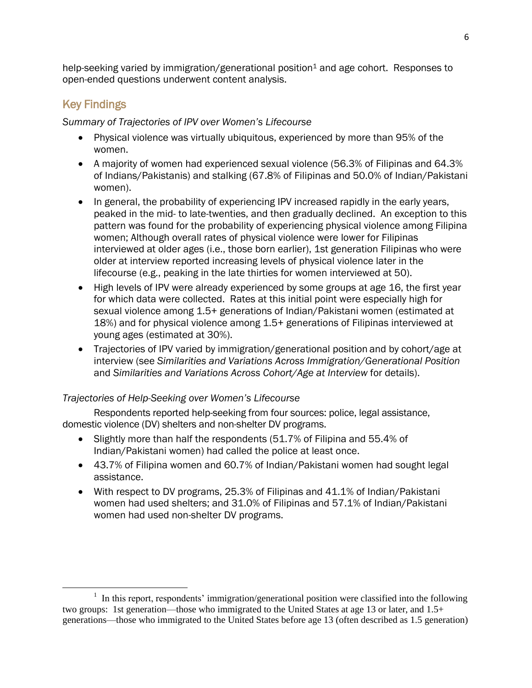help-seeking varied by immigration/generational position<sup>1</sup> and age cohort. Responses to open-ended questions underwent content analysis.

# Key Findings

*Summary of Trajectories of IPV over Women's Lifecourse*

- Physical violence was virtually ubiquitous, experienced by more than 95% of the women.
- A majority of women had experienced sexual violence (56.3% of Filipinas and 64.3% of Indians/Pakistanis) and stalking (67.8% of Filipinas and 50.0% of Indian/Pakistani women).
- In general, the probability of experiencing IPV increased rapidly in the early years, peaked in the mid- to late-twenties, and then gradually declined. An exception to this pattern was found for the probability of experiencing physical violence among Filipina women; Although overall rates of physical violence were lower for Filipinas interviewed at older ages (i.e., those born earlier), 1st generation Filipinas who were older at interview reported increasing levels of physical violence later in the lifecourse (e.g., peaking in the late thirties for women interviewed at 50).
- High levels of IPV were already experienced by some groups at age 16, the first year for which data were collected. Rates at this initial point were especially high for sexual violence among 1.5+ generations of Indian/Pakistani women (estimated at 18%) and for physical violence among 1.5+ generations of Filipinas interviewed at young ages (estimated at 30%).
- Trajectories of IPV varied by immigration/generational position and by cohort/age at interview (see *Similarities and Variations Across Immigration/Generational Position* and *Similarities and Variations Across Cohort/Age at Interview* for details).

# *Trajectories of Help-Seeking over Women's Lifecourse*

Respondents reported help-seeking from four sources: police, legal assistance, domestic violence (DV) shelters and non-shelter DV programs.

- Slightly more than half the respondents (51.7% of Filipina and 55.4% of Indian/Pakistani women) had called the police at least once.
- 43.7% of Filipina women and 60.7% of Indian/Pakistani women had sought legal assistance.
- With respect to DV programs, 25.3% of Filipinas and 41.1% of Indian/Pakistani women had used shelters; and 31.0% of Filipinas and 57.1% of Indian/Pakistani women had used non-shelter DV programs.

 $\overline{\phantom{a}}$ <sup>1</sup> In this report, respondents' immigration/generational position were classified into the following two groups: 1st generation—those who immigrated to the United States at age 13 or later, and 1.5+ generations—those who immigrated to the United States before age 13 (often described as 1.5 generation)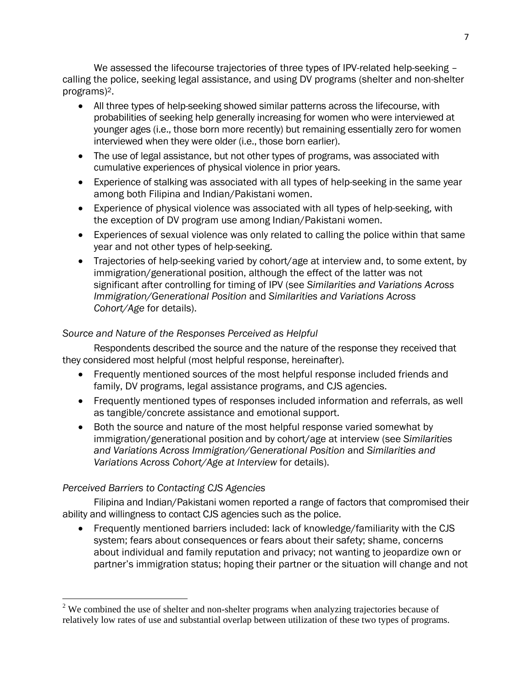We assessed the lifecourse trajectories of three types of IPV-related help-seeking calling the police, seeking legal assistance, and using DV programs (shelter and non-shelter programs)2.

- All three types of help-seeking showed similar patterns across the lifecourse, with probabilities of seeking help generally increasing for women who were interviewed at younger ages (i.e., those born more recently) but remaining essentially zero for women interviewed when they were older (i.e., those born earlier).
- The use of legal assistance, but not other types of programs, was associated with cumulative experiences of physical violence in prior years.
- Experience of stalking was associated with all types of help-seeking in the same year among both Filipina and Indian/Pakistani women.
- Experience of physical violence was associated with all types of help-seeking, with the exception of DV program use among Indian/Pakistani women.
- Experiences of sexual violence was only related to calling the police within that same year and not other types of help-seeking.
- Trajectories of help-seeking varied by cohort/age at interview and, to some extent, by immigration/generational position, although the effect of the latter was not significant after controlling for timing of IPV (see *Similarities and Variations Across Immigration/Generational Position* and *Similarities and Variations Across Cohort/Age* for details).

### *Source and Nature of the Responses Perceived as Helpful*

Respondents described the source and the nature of the response they received that they considered most helpful (most helpful response, hereinafter).

- Frequently mentioned sources of the most helpful response included friends and family, DV programs, legal assistance programs, and CJS agencies.
- Frequently mentioned types of responses included information and referrals, as well as tangible/concrete assistance and emotional support.
- Both the source and nature of the most helpful response varied somewhat by immigration/generational position and by cohort/age at interview (see *Similarities and Variations Across Immigration/Generational Position* and *Similarities and Variations Across Cohort/Age at Interview* for details).

# *Perceived Barriers to Contacting CJS Agencies*

 $\overline{a}$ 

Filipina and Indian/Pakistani women reported a range of factors that compromised their ability and willingness to contact CJS agencies such as the police.

 Frequently mentioned barriers included: lack of knowledge/familiarity with the CJS system; fears about consequences or fears about their safety; shame, concerns about individual and family reputation and privacy; not wanting to jeopardize own or partner's immigration status; hoping their partner or the situation will change and not

 $2$  We combined the use of shelter and non-shelter programs when analyzing trajectories because of relatively low rates of use and substantial overlap between utilization of these two types of programs.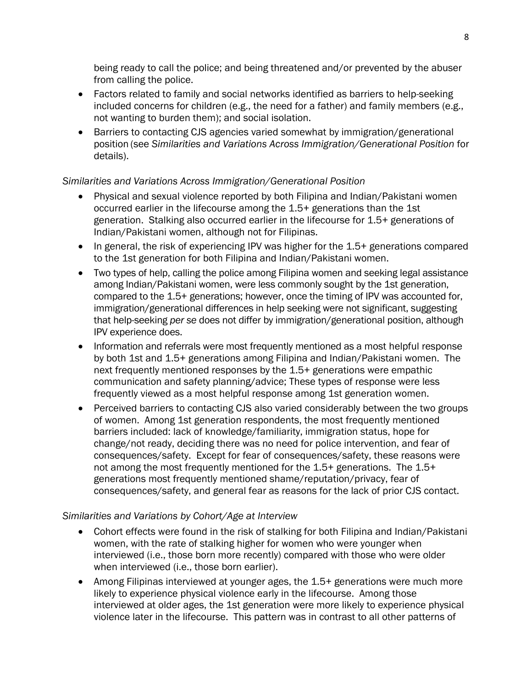being ready to call the police; and being threatened and/or prevented by the abuser from calling the police.

- Factors related to family and social networks identified as barriers to help-seeking included concerns for children (e.g., the need for a father) and family members (e.g., not wanting to burden them); and social isolation.
- Barriers to contacting CJS agencies varied somewhat by immigration/generational position (see *Similarities and Variations Across Immigration/Generational Position* for details).

## *Similarities and Variations Across Immigration/Generational Position*

- Physical and sexual violence reported by both Filipina and Indian/Pakistani women occurred earlier in the lifecourse among the 1.5+ generations than the 1st generation. Stalking also occurred earlier in the lifecourse for 1.5+ generations of Indian/Pakistani women, although not for Filipinas.
- In general, the risk of experiencing IPV was higher for the 1.5+ generations compared to the 1st generation for both Filipina and Indian/Pakistani women.
- Two types of help, calling the police among Filipina women and seeking legal assistance among Indian/Pakistani women, were less commonly sought by the 1st generation, compared to the 1.5+ generations; however, once the timing of IPV was accounted for, immigration/generational differences in help seeking were not significant, suggesting that help-seeking *per se* does not differ by immigration/generational position, although IPV experience does.
- Information and referrals were most frequently mentioned as a most helpful response by both 1st and 1.5+ generations among Filipina and Indian/Pakistani women. The next frequently mentioned responses by the 1.5+ generations were empathic communication and safety planning/advice; These types of response were less frequently viewed as a most helpful response among 1st generation women.
- Perceived barriers to contacting CJS also varied considerably between the two groups of women. Among 1st generation respondents, the most frequently mentioned barriers included: lack of knowledge/familiarity, immigration status, hope for change/not ready, deciding there was no need for police intervention, and fear of consequences/safety. Except for fear of consequences/safety, these reasons were not among the most frequently mentioned for the 1.5+ generations. The 1.5+ generations most frequently mentioned shame/reputation/privacy, fear of consequences/safety, and general fear as reasons for the lack of prior CJS contact.

### *Similarities and Variations by Cohort/Age at Interview*

- Cohort effects were found in the risk of stalking for both Filipina and Indian/Pakistani women, with the rate of stalking higher for women who were younger when interviewed (i.e., those born more recently) compared with those who were older when interviewed (i.e., those born earlier).
- Among Filipinas interviewed at younger ages, the 1.5+ generations were much more likely to experience physical violence early in the lifecourse. Among those interviewed at older ages, the 1st generation were more likely to experience physical violence later in the lifecourse. This pattern was in contrast to all other patterns of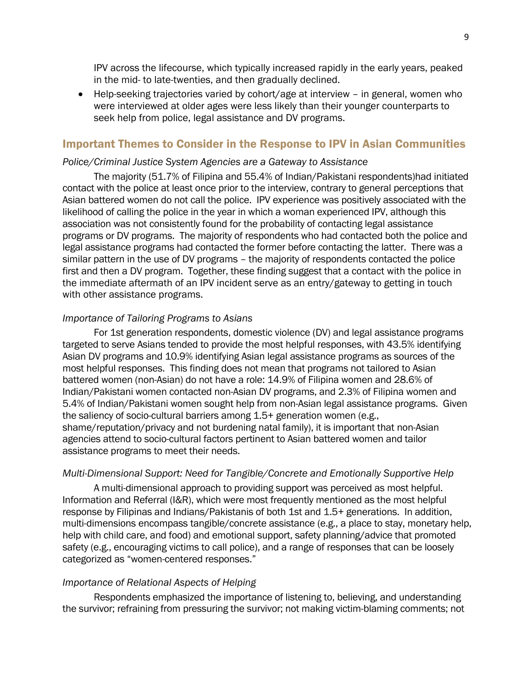IPV across the lifecourse, which typically increased rapidly in the early years, peaked in the mid- to late-twenties, and then gradually declined.

 Help-seeking trajectories varied by cohort/age at interview – in general, women who were interviewed at older ages were less likely than their younger counterparts to seek help from police, legal assistance and DV programs.

### Important Themes to Consider in the Response to IPV in Asian Communities

### *Police/Criminal Justice System Agencies are a Gateway to Assistance*

The majority (51.7% of Filipina and 55.4% of Indian/Pakistani respondents)had initiated contact with the police at least once prior to the interview, contrary to general perceptions that Asian battered women do not call the police. IPV experience was positively associated with the likelihood of calling the police in the year in which a woman experienced IPV, although this association was not consistently found for the probability of contacting legal assistance programs or DV programs. The majority of respondents who had contacted both the police and legal assistance programs had contacted the former before contacting the latter. There was a similar pattern in the use of DV programs – the majority of respondents contacted the police first and then a DV program. Together, these finding suggest that a contact with the police in the immediate aftermath of an IPV incident serve as an entry/gateway to getting in touch with other assistance programs.

### *Importance of Tailoring Programs to Asians*

For 1st generation respondents, domestic violence (DV) and legal assistance programs targeted to serve Asians tended to provide the most helpful responses, with 43.5% identifying Asian DV programs and 10.9% identifying Asian legal assistance programs as sources of the most helpful responses. This finding does not mean that programs not tailored to Asian battered women (non-Asian) do not have a role: 14.9% of Filipina women and 28.6% of Indian/Pakistani women contacted non-Asian DV programs, and 2.3% of Filipina women and 5.4% of Indian/Pakistani women sought help from non-Asian legal assistance programs. Given the saliency of socio-cultural barriers among 1.5+ generation women (e.g., shame/reputation/privacy and not burdening natal family), it is important that non-Asian agencies attend to socio-cultural factors pertinent to Asian battered women and tailor assistance programs to meet their needs.

### *Multi-Dimensional Support: Need for Tangible/Concrete and Emotionally Supportive Help*

A multi-dimensional approach to providing support was perceived as most helpful. Information and Referral (I&R), which were most frequently mentioned as the most helpful response by Filipinas and Indians/Pakistanis of both 1st and 1.5+ generations. In addition, multi-dimensions encompass tangible/concrete assistance (e.g., a place to stay, monetary help, help with child care, and food) and emotional support, safety planning/advice that promoted safety (e.g., encouraging victims to call police), and a range of responses that can be loosely categorized as "women-centered responses."

### *Importance of Relational Aspects of Helping*

Respondents emphasized the importance of listening to, believing, and understanding the survivor; refraining from pressuring the survivor; not making victim-blaming comments; not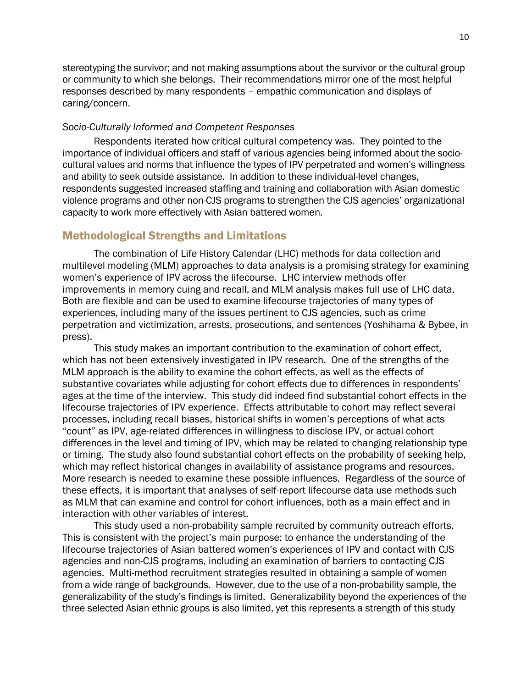stereotyping the survivor; and not making assumptions about the survivor or the cultural group or community to which she belongs. Their recommendations mirror one of the most helpful responses described by many respondents – empathic communication and displays of caring/concern.

### *Socio-Culturally Informed and Competent Responses*

Respondents iterated how critical cultural competency was. They pointed to the importance of individual officers and staff of various agencies being informed about the sociocultural values and norms that influence the types of IPV perpetrated and women's willingness and ability to seek outside assistance. In addition to these individual-level changes, respondents suggested increased staffing and training and collaboration with Asian domestic violence programs and other non-CJS programs to strengthen the CJS agencies' organizational capacity to work more effectively with Asian battered women.

### Methodological Strengths and Limitations

The combination of Life History Calendar (LHC) methods for data collection and multilevel modeling (MLM) approaches to data analysis is a promising strategy for examining women's experience of IPV across the lifecourse. LHC interview methods offer improvements in memory cuing and recall, and MLM analysis makes full use of LHC data. Both are flexible and can be used to examine lifecourse trajectories of many types of experiences, including many of the issues pertinent to CJS agencies, such as crime perpetration and victimization, arrests, prosecutions, and sentences (Yoshihama & Bybee, in press).

This study makes an important contribution to the examination of cohort effect, which has not been extensively investigated in IPV research. One of the strengths of the MLM approach is the ability to examine the cohort effects, as well as the effects of substantive covariates while adjusting for cohort effects due to differences in respondents' ages at the time of the interview. This study did indeed find substantial cohort effects in the lifecourse trajectories of IPV experience. Effects attributable to cohort may reflect several processes, including recall biases, historical shifts in women's perceptions of what acts "count" as IPV, age-related differences in willingness to disclose IPV, or actual cohort differences in the level and timing of IPV, which may be related to changing relationship type or timing. The study also found substantial cohort effects on the probability of seeking help, which may reflect historical changes in availability of assistance programs and resources. More research is needed to examine these possible influences. Regardless of the source of these effects, it is important that analyses of self-report lifecourse data use methods such as MLM that can examine and control for cohort influences, both as a main effect and in interaction with other variables of interest.

This study used a non-probability sample recruited by community outreach efforts. This is consistent with the project's main purpose: to enhance the understanding of the lifecourse trajectories of Asian battered women's experiences of IPV and contact with CJS agencies and non-CJS programs, including an examination of barriers to contacting CJS agencies. Multi-method recruitment strategies resulted in obtaining a sample of women from a wide range of backgrounds. However, due to the use of a non-probability sample, the generalizability of the study's findings is limited. Generalizability beyond the experiences of the three selected Asian ethnic groups is also limited, yet this represents a strength of this study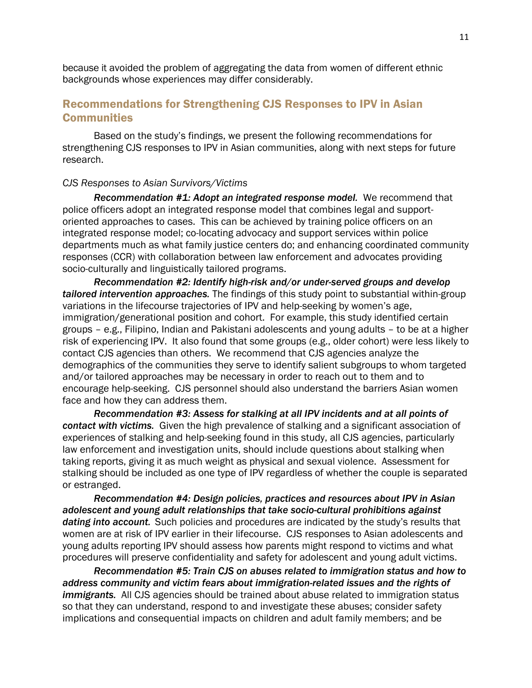because it avoided the problem of aggregating the data from women of different ethnic backgrounds whose experiences may differ considerably.

## Recommendations for Strengthening CJS Responses to IPV in Asian **Communities**

Based on the study's findings, we present the following recommendations for strengthening CJS responses to IPV in Asian communities, along with next steps for future research.

### *CJS Responses to Asian Survivors/Victims*

*Recommendation #1: Adopt an integrated response model.* We recommend that police officers adopt an integrated response model that combines legal and supportoriented approaches to cases. This can be achieved by training police officers on an integrated response model; co-locating advocacy and support services within police departments much as what family justice centers do; and enhancing coordinated community responses (CCR) with collaboration between law enforcement and advocates providing socio-culturally and linguistically tailored programs.

*Recommendation #2: Identify high-risk and/or under-served groups and develop tailored intervention approaches.* The findings of this study point to substantial within-group variations in the lifecourse trajectories of IPV and help-seeking by women's age, immigration/generational position and cohort. For example, this study identified certain groups – e.g., Filipino, Indian and Pakistani adolescents and young adults – to be at a higher risk of experiencing IPV. It also found that some groups (e.g., older cohort) were less likely to contact CJS agencies than others. We recommend that CJS agencies analyze the demographics of the communities they serve to identify salient subgroups to whom targeted and/or tailored approaches may be necessary in order to reach out to them and to encourage help-seeking. CJS personnel should also understand the barriers Asian women face and how they can address them.

*Recommendation #3: Assess for stalking at all IPV incidents and at all points of contact with victims.* Given the high prevalence of stalking and a significant association of experiences of stalking and help-seeking found in this study, all CJS agencies, particularly law enforcement and investigation units, should include questions about stalking when taking reports, giving it as much weight as physical and sexual violence. Assessment for stalking should be included as one type of IPV regardless of whether the couple is separated or estranged.

*Recommendation #4: Design policies, practices and resources about IPV in Asian adolescent and young adult relationships that take socio-cultural prohibitions against dating into account.* Such policies and procedures are indicated by the study's results that women are at risk of IPV earlier in their lifecourse. CJS responses to Asian adolescents and young adults reporting IPV should assess how parents might respond to victims and what procedures will preserve confidentiality and safety for adolescent and young adult victims.

*Recommendation #5: Train CJS on abuses related to immigration status and how to address community and victim fears about immigration-related issues and the rights of immigrants.* All CJS agencies should be trained about abuse related to immigration status so that they can understand, respond to and investigate these abuses; consider safety implications and consequential impacts on children and adult family members; and be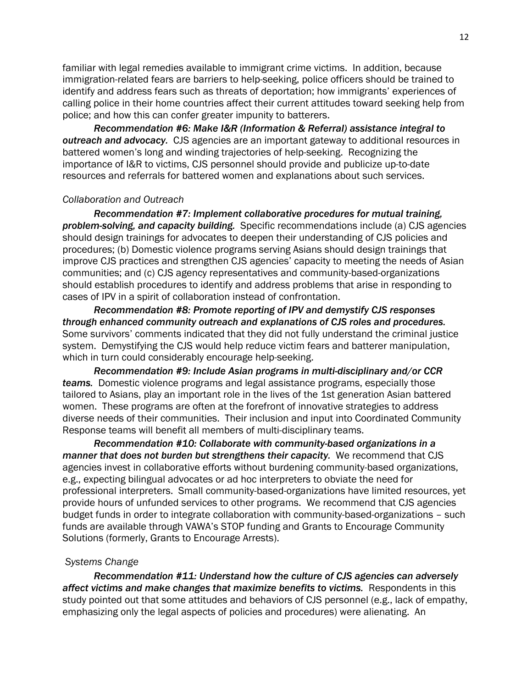familiar with legal remedies available to immigrant crime victims. In addition, because immigration-related fears are barriers to help-seeking, police officers should be trained to identify and address fears such as threats of deportation; how immigrants' experiences of calling police in their home countries affect their current attitudes toward seeking help from police; and how this can confer greater impunity to batterers.

*Recommendation #6: Make I&R (Information & Referral) assistance integral to outreach and advocacy.* CJS agencies are an important gateway to additional resources in battered women's long and winding trajectories of help-seeking. Recognizing the importance of I&R to victims, CJS personnel should provide and publicize up-to-date resources and referrals for battered women and explanations about such services.

### *Collaboration and Outreach*

*Recommendation #7: Implement collaborative procedures for mutual training, problem-solving, and capacity building.* Specific recommendations include (a) CJS agencies should design trainings for advocates to deepen their understanding of CJS policies and procedures; (b) Domestic violence programs serving Asians should design trainings that improve CJS practices and strengthen CJS agencies' capacity to meeting the needs of Asian communities; and (c) CJS agency representatives and community-based-organizations should establish procedures to identify and address problems that arise in responding to cases of IPV in a spirit of collaboration instead of confrontation.

*Recommendation #8: Promote reporting of IPV and demystify CJS responses through enhanced community outreach and explanations of CJS roles and procedures.* Some survivors' comments indicated that they did not fully understand the criminal justice system. Demystifying the CJS would help reduce victim fears and batterer manipulation, which in turn could considerably encourage help-seeking.

*Recommendation #9: Include Asian programs in multi-disciplinary and/or CCR teams.* Domestic violence programs and legal assistance programs, especially those tailored to Asians, play an important role in the lives of the 1st generation Asian battered women. These programs are often at the forefront of innovative strategies to address diverse needs of their communities. Their inclusion and input into Coordinated Community Response teams will benefit all members of multi-disciplinary teams.

*Recommendation #10: Collaborate with community-based organizations in a manner that does not burden but strengthens their capacity.* We recommend that CJS agencies invest in collaborative efforts without burdening community-based organizations, e.g., expecting bilingual advocates or ad hoc interpreters to obviate the need for professional interpreters. Small community-based-organizations have limited resources, yet provide hours of unfunded services to other programs. We recommend that CJS agencies budget funds in order to integrate collaboration with community-based-organizations – such funds are available through VAWA's STOP funding and Grants to Encourage Community Solutions (formerly, Grants to Encourage Arrests).

### *Systems Change*

*Recommendation #11: Understand how the culture of CJS agencies can adversely affect victims and make changes that maximize benefits to victims.* Respondents in this study pointed out that some attitudes and behaviors of CJS personnel (e.g., lack of empathy, emphasizing only the legal aspects of policies and procedures) were alienating. An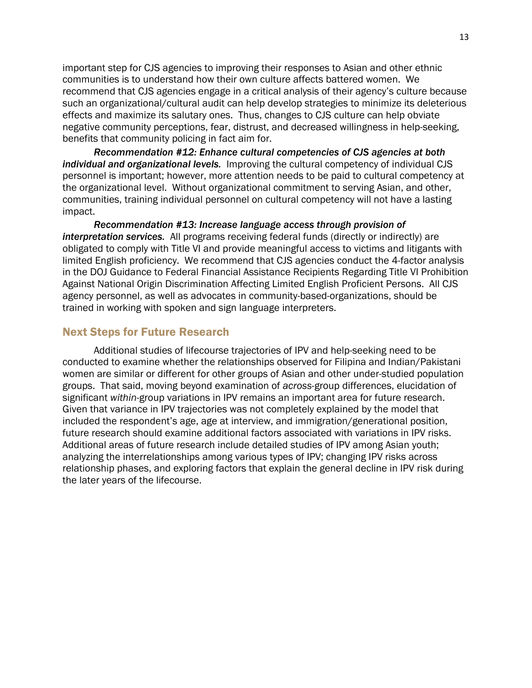important step for CJS agencies to improving their responses to Asian and other ethnic communities is to understand how their own culture affects battered women. We recommend that CJS agencies engage in a critical analysis of their agency's culture because such an organizational/cultural audit can help develop strategies to minimize its deleterious effects and maximize its salutary ones. Thus, changes to CJS culture can help obviate negative community perceptions, fear, distrust, and decreased willingness in help-seeking, benefits that community policing in fact aim for.

*Recommendation #12: Enhance cultural competencies of CJS agencies at both individual and organizational levels.* Improving the cultural competency of individual CJS personnel is important; however, more attention needs to be paid to cultural competency at the organizational level. Without organizational commitment to serving Asian, and other, communities, training individual personnel on cultural competency will not have a lasting impact.

*Recommendation #13: Increase language access through provision of interpretation services.* All programs receiving federal funds (directly or indirectly) are obligated to comply with Title VI and provide meaningful access to victims and litigants with limited English proficiency. We recommend that CJS agencies conduct the 4-factor analysis in the DOJ Guidance to Federal Financial Assistance Recipients Regarding Title VI Prohibition Against National Origin Discrimination Affecting Limited English Proficient Persons. All CJS agency personnel, as well as advocates in community-based-organizations, should be trained in working with spoken and sign language interpreters.

### Next Steps for Future Research

Additional studies of lifecourse trajectories of IPV and help-seeking need to be conducted to examine whether the relationships observed for Filipina and Indian/Pakistani women are similar or different for other groups of Asian and other under-studied population groups. That said, moving beyond examination of *across*-group differences, elucidation of significant *within*-group variations in IPV remains an important area for future research. Given that variance in IPV trajectories was not completely explained by the model that included the respondent's age, age at interview, and immigration/generational position, future research should examine additional factors associated with variations in IPV risks. Additional areas of future research include detailed studies of IPV among Asian youth; analyzing the interrelationships among various types of IPV; changing IPV risks across relationship phases, and exploring factors that explain the general decline in IPV risk during the later years of the lifecourse.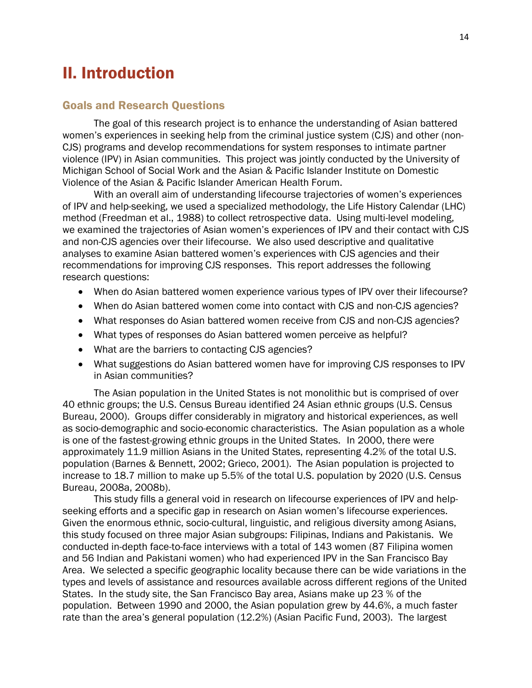# II. Introduction

### Goals and Research Questions

The goal of this research project is to enhance the understanding of Asian battered women's experiences in seeking help from the criminal justice system (CJS) and other (non-CJS) programs and develop recommendations for system responses to intimate partner violence (IPV) in Asian communities. This project was jointly conducted by the University of Michigan School of Social Work and the Asian & Pacific Islander Institute on Domestic Violence of the Asian & Pacific Islander American Health Forum.

With an overall aim of understanding lifecourse trajectories of women's experiences of IPV and help-seeking, we used a specialized methodology, the Life History Calendar (LHC) method (Freedman et al., 1988) to collect retrospective data. Using multi-level modeling, we examined the trajectories of Asian women's experiences of IPV and their contact with CJS and non-CJS agencies over their lifecourse. We also used descriptive and qualitative analyses to examine Asian battered women's experiences with CJS agencies and their recommendations for improving CJS responses. This report addresses the following research questions:

- When do Asian battered women experience various types of IPV over their lifecourse?
- When do Asian battered women come into contact with CJS and non-CJS agencies?
- What responses do Asian battered women receive from CJS and non-CJS agencies?
- What types of responses do Asian battered women perceive as helpful?
- What are the barriers to contacting CJS agencies?
- What suggestions do Asian battered women have for improving CJS responses to IPV in Asian communities?

The Asian population in the United States is not monolithic but is comprised of over 40 ethnic groups; the U.S. Census Bureau identified 24 Asian ethnic groups (U.S. Census Bureau, 2000). Groups differ considerably in migratory and historical experiences, as well as socio-demographic and socio-economic characteristics. The Asian population as a whole is one of the fastest-growing ethnic groups in the United States. In 2000, there were approximately 11.9 million Asians in the United States, representing 4.2% of the total U.S. population (Barnes & Bennett, 2002; Grieco, 2001). The Asian population is projected to increase to 18.7 million to make up 5.5% of the total U.S. population by 2020 (U.S. Census Bureau, 2008a, 2008b).

This study fills a general void in research on lifecourse experiences of IPV and helpseeking efforts and a specific gap in research on Asian women's lifecourse experiences. Given the enormous ethnic, socio-cultural, linguistic, and religious diversity among Asians, this study focused on three major Asian subgroups: Filipinas, Indians and Pakistanis. We conducted in-depth face-to-face interviews with a total of 143 women (87 Filipina women and 56 Indian and Pakistani women) who had experienced IPV in the San Francisco Bay Area. We selected a specific geographic locality because there can be wide variations in the types and levels of assistance and resources available across different regions of the United States. In the study site, the San Francisco Bay area, Asians make up 23 % of the population. Between 1990 and 2000, the Asian population grew by 44.6%, a much faster rate than the area's general population (12.2%) (Asian Pacific Fund, 2003). The largest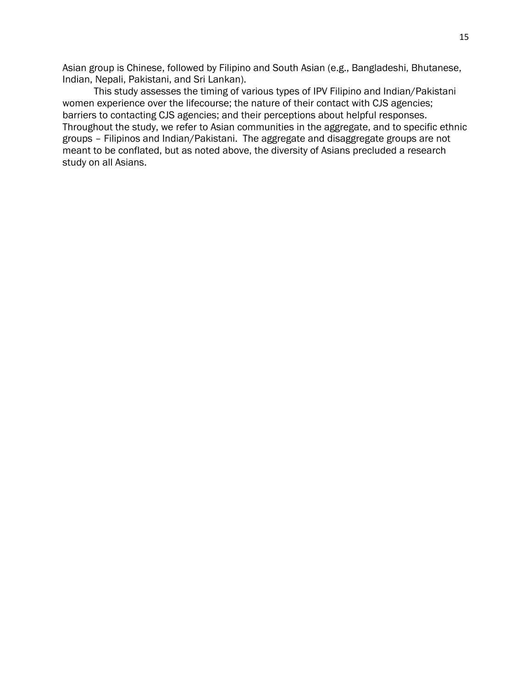Asian group is Chinese, followed by Filipino and South Asian (e.g., Bangladeshi, Bhutanese, Indian, Nepali, Pakistani, and Sri Lankan).

This study assesses the timing of various types of IPV Filipino and Indian/Pakistani women experience over the lifecourse; the nature of their contact with CJS agencies; barriers to contacting CJS agencies; and their perceptions about helpful responses. Throughout the study, we refer to Asian communities in the aggregate, and to specific ethnic groups – Filipinos and Indian/Pakistani. The aggregate and disaggregate groups are not meant to be conflated, but as noted above, the diversity of Asians precluded a research study on all Asians.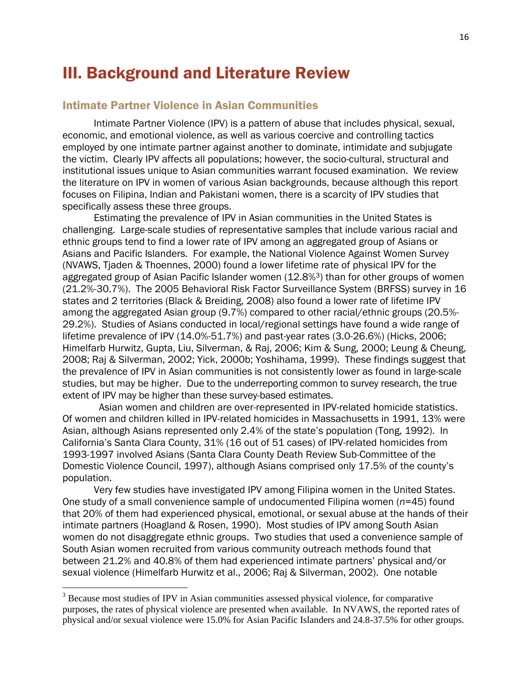# III. Background and Literature Review

### Intimate Partner Violence in Asian Communities

Intimate Partner Violence (IPV) is a pattern of abuse that includes physical, sexual, economic, and emotional violence, as well as various coercive and controlling tactics employed by one intimate partner against another to dominate, intimidate and subjugate the victim. Clearly IPV affects all populations; however, the socio-cultural, structural and institutional issues unique to Asian communities warrant focused examination. We review the literature on IPV in women of various Asian backgrounds, because although this report focuses on Filipina, Indian and Pakistani women, there is a scarcity of IPV studies that specifically assess these three groups.

Estimating the prevalence of IPV in Asian communities in the United States is challenging. Large-scale studies of representative samples that include various racial and ethnic groups tend to find a lower rate of IPV among an aggregated group of Asians or Asians and Pacific Islanders. For example, the National Violence Against Women Survey (NVAWS, Tjaden & Thoennes, 2000) found a lower lifetime rate of physical IPV for the aggregated group of Asian Pacific Islander women (12.8%<sup>3</sup>) than for other groups of women (21.2%-30.7%). The 2005 Behavioral Risk Factor Surveillance System (BRFSS) survey in 16 states and 2 territories (Black & Breiding, 2008) also found a lower rate of lifetime IPV among the aggregated Asian group (9.7%) compared to other racial/ethnic groups (20.5%- 29.2%). Studies of Asians conducted in local/regional settings have found a wide range of lifetime prevalence of IPV (14.0%-51.7%) and past-year rates (3.0-26.6%) (Hicks, 2006; Himelfarb Hurwitz, Gupta, Liu, Silverman, & Raj, 2006; Kim & Sung, 2000; Leung & Cheung, 2008; Raj & Silverman, 2002; Yick, 2000b; Yoshihama, 1999). These findings suggest that the prevalence of IPV in Asian communities is not consistently lower as found in large-scale studies, but may be higher. Due to the underreporting common to survey research, the true extent of IPV may be higher than these survey-based estimates.

 Asian women and children are over-represented in IPV-related homicide statistics. Of women and children killed in IPV-related homicides in Massachusetts in 1991, 13% were Asian, although Asians represented only 2.4% of the state's population (Tong, 1992). In California's Santa Clara County, 31% (16 out of 51 cases) of IPV-related homicides from 1993-1997 involved Asians (Santa Clara County Death Review Sub-Committee of the Domestic Violence Council, 1997), although Asians comprised only 17.5% of the county's population.

Very few studies have investigated IPV among Filipina women in the United States. One study of a small convenience sample of undocumented Filipina women (*n*=45) found that 20% of them had experienced physical, emotional, or sexual abuse at the hands of their intimate partners (Hoagland & Rosen, 1990). Most studies of IPV among South Asian women do not disaggregate ethnic groups. Two studies that used a convenience sample of South Asian women recruited from various community outreach methods found that between 21.2% and 40.8% of them had experienced intimate partners' physical and/or sexual violence (Himelfarb Hurwitz et al., 2006; Raj & Silverman, 2002). One notable

 $\overline{\phantom{a}}$ 

<sup>&</sup>lt;sup>3</sup> Because most studies of IPV in Asian communities assessed physical violence, for comparative purposes, the rates of physical violence are presented when available. In NVAWS, the reported rates of physical and/or sexual violence were 15.0% for Asian Pacific Islanders and 24.8-37.5% for other groups.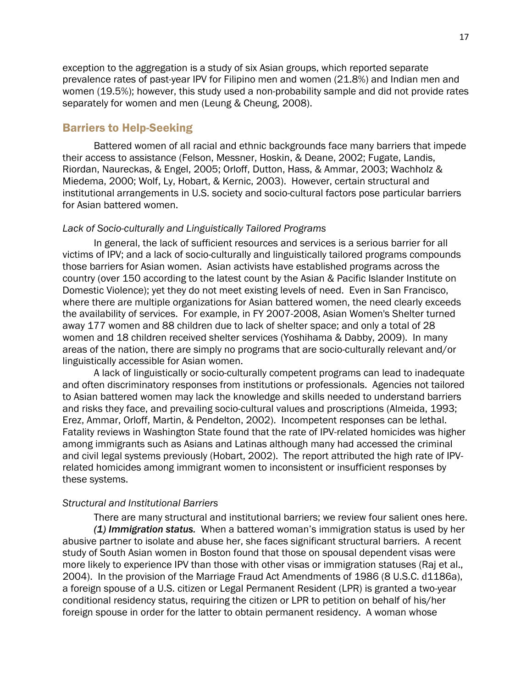exception to the aggregation is a study of six Asian groups, which reported separate prevalence rates of past-year IPV for Filipino men and women (21.8%) and Indian men and women (19.5%); however, this study used a non-probability sample and did not provide rates separately for women and men (Leung & Cheung, 2008).

### Barriers to Help-Seeking

Battered women of all racial and ethnic backgrounds face many barriers that impede their access to assistance (Felson, Messner, Hoskin, & Deane, 2002; Fugate, Landis, Riordan, Naureckas, & Engel, 2005; Orloff, Dutton, Hass, & Ammar, 2003; Wachholz & Miedema, 2000; Wolf, Ly, Hobart, & Kernic, 2003). However, certain structural and institutional arrangements in U.S. society and socio-cultural factors pose particular barriers for Asian battered women.

### *Lack of Socio-culturally and Linguistically Tailored Programs*

In general, the lack of sufficient resources and services is a serious barrier for all victims of IPV; and a lack of socio-culturally and linguistically tailored programs compounds those barriers for Asian women. Asian activists have established programs across the country (over 150 according to the latest count by the Asian & Pacific Islander Institute on Domestic Violence); yet they do not meet existing levels of need. Even in San Francisco, where there are multiple organizations for Asian battered women, the need clearly exceeds the availability of services. For example, in FY 2007-2008, Asian Women's Shelter turned away 177 women and 88 children due to lack of shelter space; and only a total of 28 women and 18 children received shelter services (Yoshihama & Dabby, 2009). In many areas of the nation, there are simply no programs that are socio-culturally relevant and/or linguistically accessible for Asian women.

A lack of linguistically or socio-culturally competent programs can lead to inadequate and often discriminatory responses from institutions or professionals. Agencies not tailored to Asian battered women may lack the knowledge and skills needed to understand barriers and risks they face, and prevailing socio-cultural values and proscriptions (Almeida, 1993; Erez, Ammar, Orloff, Martin, & Pendelton, 2002). Incompetent responses can be lethal. Fatality reviews in Washington State found that the rate of IPV-related homicides was higher among immigrants such as Asians and Latinas although many had accessed the criminal and civil legal systems previously (Hobart, 2002). The report attributed the high rate of IPVrelated homicides among immigrant women to inconsistent or insufficient responses by these systems.

### *Structural and Institutional Barriers*

There are many structural and institutional barriers; we review four salient ones here. *(1) Immigration status.* When a battered woman's immigration status is used by her abusive partner to isolate and abuse her, she faces significant structural barriers. A recent study of South Asian women in Boston found that those on spousal dependent visas were more likely to experience IPV than those with other visas or immigration statuses (Raj et al., 2004). In the provision of the Marriage Fraud Act Amendments of 1986 (8 U.S.C. d1186a), a foreign spouse of a U.S. citizen or Legal Permanent Resident (LPR) is granted a two-year conditional residency status, requiring the citizen or LPR to petition on behalf of his/her foreign spouse in order for the latter to obtain permanent residency. A woman whose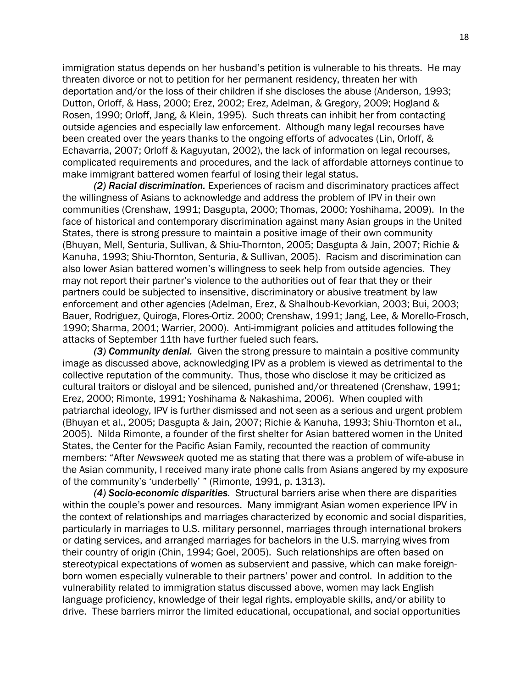immigration status depends on her husband's petition is vulnerable to his threats. He may threaten divorce or not to petition for her permanent residency, threaten her with deportation and/or the loss of their children if she discloses the abuse (Anderson, 1993; Dutton, Orloff, & Hass, 2000; Erez, 2002; Erez, Adelman, & Gregory, 2009; Hogland & Rosen, 1990; Orloff, Jang, & Klein, 1995). Such threats can inhibit her from contacting outside agencies and especially law enforcement. Although many legal recourses have been created over the years thanks to the ongoing efforts of advocates (Lin, Orloff, & Echavarria, 2007; Orloff & Kaguyutan, 2002), the lack of information on legal recourses, complicated requirements and procedures, and the lack of affordable attorneys continue to make immigrant battered women fearful of losing their legal status.

*(2) Racial discrimination.* Experiences of racism and discriminatory practices affect the willingness of Asians to acknowledge and address the problem of IPV in their own communities (Crenshaw, 1991; Dasgupta, 2000; Thomas, 2000; Yoshihama, 2009). In the face of historical and contemporary discrimination against many Asian groups in the United States, there is strong pressure to maintain a positive image of their own community (Bhuyan, Mell, Senturia, Sullivan, & Shiu-Thornton, 2005; Dasgupta & Jain, 2007; Richie & Kanuha, 1993; Shiu-Thornton, Senturia, & Sullivan, 2005). Racism and discrimination can also lower Asian battered women's willingness to seek help from outside agencies. They may not report their partner's violence to the authorities out of fear that they or their partners could be subjected to insensitive, discriminatory or abusive treatment by law enforcement and other agencies (Adelman, Erez, & Shalhoub-Kevorkian, 2003; Bui, 2003; Bauer, Rodriguez, Quiroga, Flores-Ortiz. 2000; Crenshaw, 1991; Jang, Lee, & Morello-Frosch, 1990; Sharma, 2001; Warrier, 2000). Anti-immigrant policies and attitudes following the attacks of September 11th have further fueled such fears.

*(3) Community denial.* Given the strong pressure to maintain a positive community image as discussed above, acknowledging IPV as a problem is viewed as detrimental to the collective reputation of the community. Thus, those who disclose it may be criticized as cultural traitors or disloyal and be silenced, punished and/or threatened (Crenshaw, 1991; Erez, 2000; Rimonte, 1991; Yoshihama & Nakashima, 2006). When coupled with patriarchal ideology, IPV is further dismissed and not seen as a serious and urgent problem (Bhuyan et al., 2005; Dasgupta & Jain, 2007; Richie & Kanuha, 1993; Shiu-Thornton et al., 2005). Nilda Rimonte, a founder of the first shelter for Asian battered women in the United States, the Center for the Pacific Asian Family, recounted the reaction of community members: "After *Newsweek* quoted me as stating that there was a problem of wife-abuse in the Asian community, I received many irate phone calls from Asians angered by my exposure of the community's 'underbelly' " (Rimonte, 1991, p. 1313).

*(4) Socio-economic disparities.* Structural barriers arise when there are disparities within the couple's power and resources. Many immigrant Asian women experience IPV in the context of relationships and marriages characterized by economic and social disparities, particularly in marriages to U.S. military personnel, marriages through international brokers or dating services, and arranged marriages for bachelors in the U.S. marrying wives from their country of origin (Chin, 1994; Goel, 2005). Such relationships are often based on stereotypical expectations of women as subservient and passive, which can make foreignborn women especially vulnerable to their partners' power and control. In addition to the vulnerability related to immigration status discussed above, women may lack English language proficiency, knowledge of their legal rights, employable skills, and/or ability to drive. These barriers mirror the limited educational, occupational, and social opportunities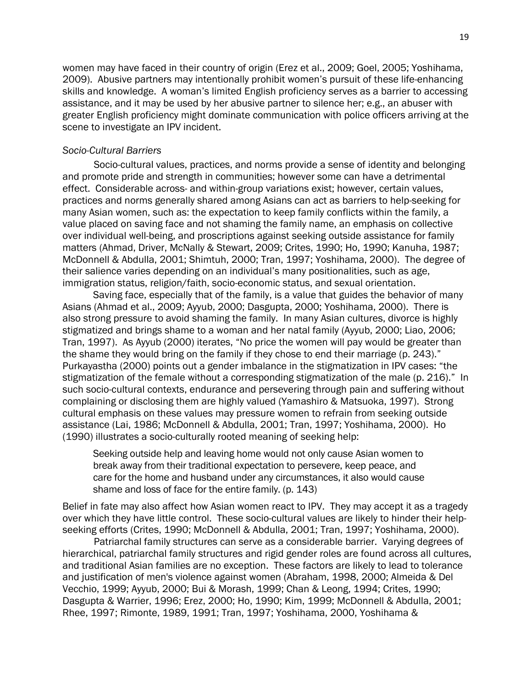women may have faced in their country of origin (Erez et al., 2009; Goel, 2005; Yoshihama, 2009). Abusive partners may intentionally prohibit women's pursuit of these life-enhancing skills and knowledge. A woman's limited English proficiency serves as a barrier to accessing assistance, and it may be used by her abusive partner to silence her; e.g., an abuser with greater English proficiency might dominate communication with police officers arriving at the scene to investigate an IPV incident.

### *Socio-Cultural Barriers*

Socio-cultural values, practices, and norms provide a sense of identity and belonging and promote pride and strength in communities; however some can have a detrimental effect. Considerable across- and within-group variations exist; however, certain values, practices and norms generally shared among Asians can act as barriers to help-seeking for many Asian women, such as: the expectation to keep family conflicts within the family, a value placed on saving face and not shaming the family name, an emphasis on collective over individual well-being, and proscriptions against seeking outside assistance for family matters (Ahmad, Driver, McNally & Stewart, 2009; Crites, 1990; Ho, 1990; Kanuha, 1987; McDonnell & Abdulla, 2001; Shimtuh, 2000; Tran, 1997; Yoshihama, 2000). The degree of their salience varies depending on an individual's many positionalities, such as age, immigration status, religion/faith, socio-economic status, and sexual orientation.

Saving face, especially that of the family, is a value that guides the behavior of many Asians (Ahmad et al., 2009; Ayyub, 2000; Dasgupta, 2000; Yoshihama, 2000). There is also strong pressure to avoid shaming the family. In many Asian cultures, divorce is highly stigmatized and brings shame to a woman and her natal family (Ayyub, 2000; Liao, 2006; Tran, 1997). As Ayyub (2000) iterates, "No price the women will pay would be greater than the shame they would bring on the family if they chose to end their marriage (p. 243)." Purkayastha (2000) points out a gender imbalance in the stigmatization in IPV cases: "the stigmatization of the female without a corresponding stigmatization of the male (p. 216)." In such socio-cultural contexts, endurance and persevering through pain and suffering without complaining or disclosing them are highly valued (Yamashiro & Matsuoka, 1997). Strong cultural emphasis on these values may pressure women to refrain from seeking outside assistance (Lai, 1986; McDonnell & Abdulla, 2001; Tran, 1997; Yoshihama, 2000). Ho (1990) illustrates a socio-culturally rooted meaning of seeking help:

Seeking outside help and leaving home would not only cause Asian women to break away from their traditional expectation to persevere, keep peace, and care for the home and husband under any circumstances, it also would cause shame and loss of face for the entire family. (p. 143)

Belief in fate may also affect how Asian women react to IPV. They may accept it as a tragedy over which they have little control. These socio-cultural values are likely to hinder their helpseeking efforts (Crites, 1990; McDonnell & Abdulla, 2001; Tran, 1997; Yoshihama, 2000).

Patriarchal family structures can serve as a considerable barrier. Varying degrees of hierarchical, patriarchal family structures and rigid gender roles are found across all cultures, and traditional Asian families are no exception. These factors are likely to lead to tolerance and justification of men's violence against women (Abraham, 1998, 2000; Almeida & Del Vecchio, 1999; Ayyub, 2000; Bui & Morash, 1999; Chan & Leong, 1994; Crites, 1990; Dasgupta & Warrier, 1996; Erez, 2000; Ho, 1990; Kim, 1999; McDonnell & Abdulla, 2001; Rhee, 1997; Rimonte, 1989, 1991; Tran, 1997; Yoshihama, 2000, Yoshihama &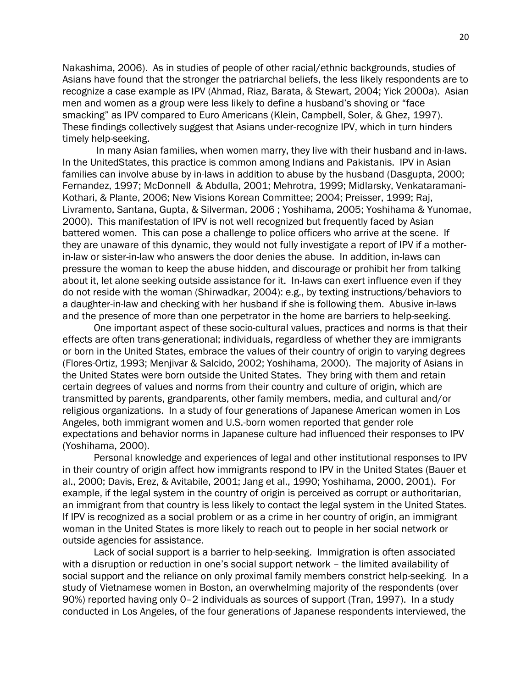Nakashima, 2006). As in studies of people of other racial/ethnic backgrounds, studies of Asians have found that the stronger the patriarchal beliefs, the less likely respondents are to recognize a case example as IPV (Ahmad, Riaz, Barata, & Stewart, 2004; Yick 2000a). Asian men and women as a group were less likely to define a husband's shoving or "face smacking" as IPV compared to Euro Americans (Klein, Campbell, Soler, & Ghez, 1997). These findings collectively suggest that Asians under-recognize IPV, which in turn hinders timely help-seeking.

In many Asian families, when women marry, they live with their husband and in-laws. In the UnitedStates, this practice is common among Indians and Pakistanis. IPV in Asian families can involve abuse by in-laws in addition to abuse by the husband (Dasgupta, 2000; Fernandez, 1997; McDonnell & Abdulla, 2001; Mehrotra, 1999; Midlarsky, Venkataramani-Kothari, & Plante, 2006; New Visions Korean Committee; 2004; Preisser, 1999; Raj, Livramento, Santana, Gupta, & Silverman, 2006 ; Yoshihama, 2005; Yoshihama & Yunomae, 2000). This manifestation of IPV is not well recognized but frequently faced by Asian battered women. This can pose a challenge to police officers who arrive at the scene. If they are unaware of this dynamic, they would not fully investigate a report of IPV if a motherin-law or sister-in-law who answers the door denies the abuse. In addition, in-laws can pressure the woman to keep the abuse hidden, and discourage or prohibit her from talking about it, let alone seeking outside assistance for it. In-laws can exert influence even if they do not reside with the woman (Shirwadkar, 2004): e.g., by texting instructions/behaviors to a daughter-in-law and checking with her husband if she is following them. Abusive in-laws and the presence of more than one perpetrator in the home are barriers to help-seeking.

One important aspect of these socio-cultural values, practices and norms is that their effects are often trans-generational; individuals, regardless of whether they are immigrants or born in the United States, embrace the values of their country of origin to varying degrees (Flores-Ortiz, 1993; Menjivar & Salcido, 2002; Yoshihama, 2000). The majority of Asians in the United States were born outside the United States. They bring with them and retain certain degrees of values and norms from their country and culture of origin, which are transmitted by parents, grandparents, other family members, media, and cultural and/or religious organizations. In a study of four generations of Japanese American women in Los Angeles, both immigrant women and U.S.-born women reported that gender role expectations and behavior norms in Japanese culture had influenced their responses to IPV (Yoshihama, 2000).

Personal knowledge and experiences of legal and other institutional responses to IPV in their country of origin affect how immigrants respond to IPV in the United States (Bauer et al., 2000; Davis, Erez, & Avitabile, 2001; Jang et al., 1990; Yoshihama, 2000, 2001). For example, if the legal system in the country of origin is perceived as corrupt or authoritarian, an immigrant from that country is less likely to contact the legal system in the United States. If IPV is recognized as a social problem or as a crime in her country of origin, an immigrant woman in the United States is more likely to reach out to people in her social network or outside agencies for assistance.

Lack of social support is a barrier to help-seeking. Immigration is often associated with a disruption or reduction in one's social support network – the limited availability of social support and the reliance on only proximal family members constrict help-seeking. In a study of Vietnamese women in Boston, an overwhelming majority of the respondents (over 90%) reported having only 0–2 individuals as sources of support (Tran, 1997). In a study conducted in Los Angeles, of the four generations of Japanese respondents interviewed, the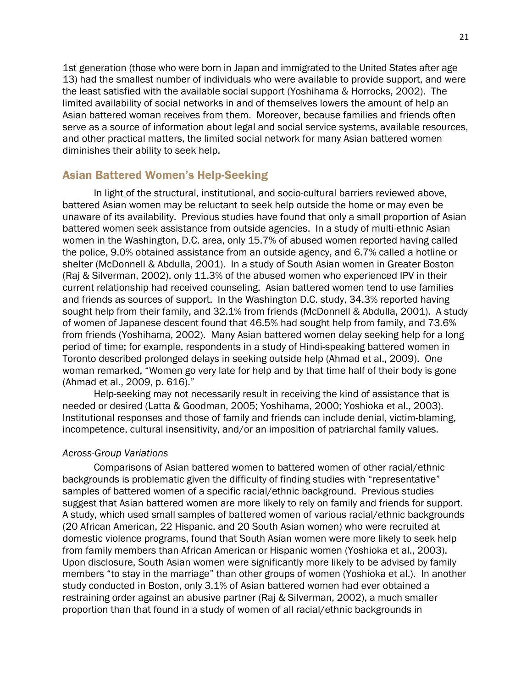1st generation (those who were born in Japan and immigrated to the United States after age 13) had the smallest number of individuals who were available to provide support, and were the least satisfied with the available social support (Yoshihama & Horrocks, 2002). The limited availability of social networks in and of themselves lowers the amount of help an Asian battered woman receives from them. Moreover, because families and friends often serve as a source of information about legal and social service systems, available resources, and other practical matters, the limited social network for many Asian battered women diminishes their ability to seek help.

### Asian Battered Women's Help-Seeking

In light of the structural, institutional, and socio-cultural barriers reviewed above, battered Asian women may be reluctant to seek help outside the home or may even be unaware of its availability. Previous studies have found that only a small proportion of Asian battered women seek assistance from outside agencies. In a study of multi-ethnic Asian women in the Washington, D.C. area, only 15.7% of abused women reported having called the police, 9.0% obtained assistance from an outside agency, and 6.7% called a hotline or shelter (McDonnell & Abdulla, 2001). In a study of South Asian women in Greater Boston (Raj & Silverman, 2002), only 11.3% of the abused women who experienced IPV in their current relationship had received counseling. Asian battered women tend to use families and friends as sources of support. In the Washington D.C. study, 34.3% reported having sought help from their family, and 32.1% from friends (McDonnell & Abdulla, 2001). A study of women of Japanese descent found that 46.5% had sought help from family, and 73.6% from friends (Yoshihama, 2002). Many Asian battered women delay seeking help for a long period of time; for example, respondents in a study of Hindi-speaking battered women in Toronto described prolonged delays in seeking outside help (Ahmad et al., 2009). One woman remarked, "Women go very late for help and by that time half of their body is gone (Ahmad et al., 2009, p. 616)."

Help-seeking may not necessarily result in receiving the kind of assistance that is needed or desired (Latta & Goodman, 2005; Yoshihama, 2000; Yoshioka et al., 2003). Institutional responses and those of family and friends can include denial, victim-blaming, incompetence, cultural insensitivity, and/or an imposition of patriarchal family values.

### *Across-Group Variations*

Comparisons of Asian battered women to battered women of other racial/ethnic backgrounds is problematic given the difficulty of finding studies with "representative" samples of battered women of a specific racial/ethnic background. Previous studies suggest that Asian battered women are more likely to rely on family and friends for support. A study, which used small samples of battered women of various racial/ethnic backgrounds (20 African American, 22 Hispanic, and 20 South Asian women) who were recruited at domestic violence programs, found that South Asian women were more likely to seek help from family members than African American or Hispanic women (Yoshioka et al., 2003). Upon disclosure, South Asian women were significantly more likely to be advised by family members "to stay in the marriage" than other groups of women (Yoshioka et al.). In another study conducted in Boston, only 3.1% of Asian battered women had ever obtained a restraining order against an abusive partner (Raj & Silverman, 2002), a much smaller proportion than that found in a study of women of all racial/ethnic backgrounds in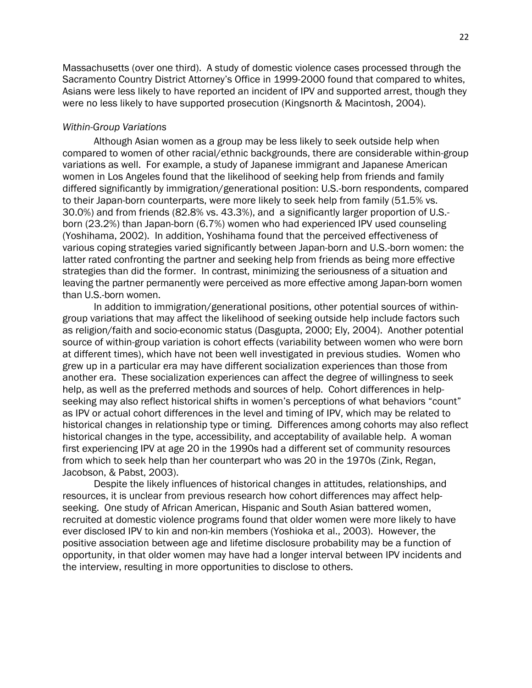Massachusetts (over one third). A study of domestic violence cases processed through the Sacramento Country District Attorney's Office in 1999-2000 found that compared to whites, Asians were less likely to have reported an incident of IPV and supported arrest, though they were no less likely to have supported prosecution (Kingsnorth & Macintosh, 2004).

### *Within-Group Variations*

Although Asian women as a group may be less likely to seek outside help when compared to women of other racial/ethnic backgrounds, there are considerable within-group variations as well. For example, a study of Japanese immigrant and Japanese American women in Los Angeles found that the likelihood of seeking help from friends and family differed significantly by immigration/generational position: U.S.-born respondents, compared to their Japan-born counterparts, were more likely to seek help from family (51.5% vs. 30.0%) and from friends (82.8% vs. 43.3%), and a significantly larger proportion of U.S. born (23.2%) than Japan-born (6.7%) women who had experienced IPV used counseling (Yoshihama, 2002). In addition, Yoshihama found that the perceived effectiveness of various coping strategies varied significantly between Japan-born and U.S.-born women: the latter rated confronting the partner and seeking help from friends as being more effective strategies than did the former. In contrast, minimizing the seriousness of a situation and leaving the partner permanently were perceived as more effective among Japan-born women than U.S.-born women.

In addition to immigration/generational positions, other potential sources of withingroup variations that may affect the likelihood of seeking outside help include factors such as religion/faith and socio-economic status (Dasgupta, 2000; Ely, 2004). Another potential source of within-group variation is cohort effects (variability between women who were born at different times), which have not been well investigated in previous studies. Women who grew up in a particular era may have different socialization experiences than those from another era. These socialization experiences can affect the degree of willingness to seek help, as well as the preferred methods and sources of help. Cohort differences in helpseeking may also reflect historical shifts in women's perceptions of what behaviors "count" as IPV or actual cohort differences in the level and timing of IPV, which may be related to historical changes in relationship type or timing. Differences among cohorts may also reflect historical changes in the type, accessibility, and acceptability of available help. A woman first experiencing IPV at age 20 in the 1990s had a different set of community resources from which to seek help than her counterpart who was 20 in the 1970s (Zink, Regan, Jacobson, & Pabst, 2003).

Despite the likely influences of historical changes in attitudes, relationships, and resources, it is unclear from previous research how cohort differences may affect helpseeking. One study of African American, Hispanic and South Asian battered women, recruited at domestic violence programs found that older women were more likely to have ever disclosed IPV to kin and non-kin members (Yoshioka et al., 2003). However, the positive association between age and lifetime disclosure probability may be a function of opportunity, in that older women may have had a longer interval between IPV incidents and the interview, resulting in more opportunities to disclose to others.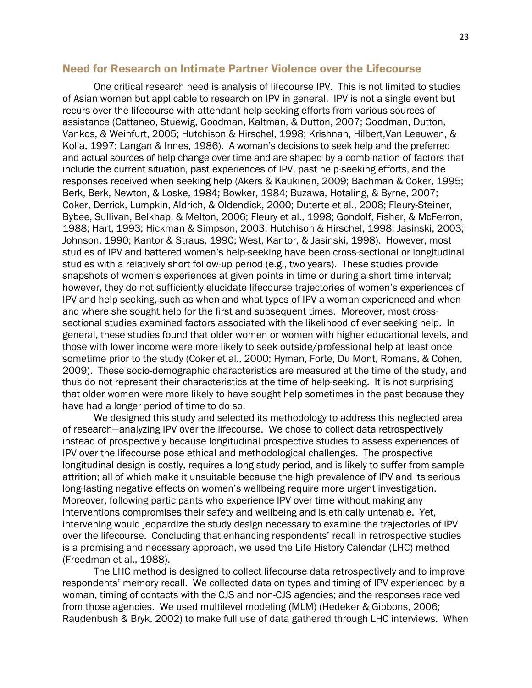### Need for Research on Intimate Partner Violence over the Lifecourse

One critical research need is analysis of lifecourse IPV. This is not limited to studies of Asian women but applicable to research on IPV in general. IPV is not a single event but recurs over the lifecourse with attendant help-seeking efforts from various sources of assistance (Cattaneo, Stuewig, Goodman, Kaltman, & Dutton, 2007; Goodman, Dutton, Vankos, & Weinfurt, 2005; Hutchison & Hirschel, 1998; Krishnan, Hilbert,Van Leeuwen, & Kolia, 1997; Langan & Innes, 1986). A woman's decisions to seek help and the preferred and actual sources of help change over time and are shaped by a combination of factors that include the current situation, past experiences of IPV, past help-seeking efforts, and the responses received when seeking help (Akers & Kaukinen, 2009; Bachman & Coker, 1995; Berk, Berk, Newton, & Loske, 1984; Bowker, 1984; Buzawa, Hotaling, & Byrne, 2007; Coker, Derrick, Lumpkin, Aldrich, & Oldendick, 2000; Duterte et al., 2008; Fleury-Steiner, Bybee, Sullivan, Belknap, & Melton, 2006; Fleury et al., 1998; Gondolf, Fisher, & McFerron, 1988; Hart, 1993; Hickman & Simpson, 2003; Hutchison & Hirschel, 1998; Jasinski, 2003; Johnson, 1990; Kantor & Straus, 1990; West, Kantor, & Jasinski, 1998). However, most studies of IPV and battered women's help-seeking have been cross-sectional or longitudinal studies with a relatively short follow-up period (e.g., two years). These studies provide snapshots of women's experiences at given points in time or during a short time interval; however, they do not sufficiently elucidate lifecourse trajectories of women's experiences of IPV and help-seeking, such as when and what types of IPV a woman experienced and when and where she sought help for the first and subsequent times. Moreover, most crosssectional studies examined factors associated with the likelihood of ever seeking help. In general, these studies found that older women or women with higher educational levels, and those with lower income were more likely to seek outside/professional help at least once sometime prior to the study (Coker et al., 2000; Hyman, Forte, Du Mont, Romans, & Cohen, 2009). These socio-demographic characteristics are measured at the time of the study, and thus do not represent their characteristics at the time of help-seeking. It is not surprising that older women were more likely to have sought help sometimes in the past because they have had a longer period of time to do so.

We designed this study and selected its methodology to address this neglected area of research—analyzing IPV over the lifecourse. We chose to collect data retrospectively instead of prospectively because longitudinal prospective studies to assess experiences of IPV over the lifecourse pose ethical and methodological challenges. The prospective longitudinal design is costly, requires a long study period, and is likely to suffer from sample attrition; all of which make it unsuitable because the high prevalence of IPV and its serious long-lasting negative effects on women's wellbeing require more urgent investigation. Moreover, following participants who experience IPV over time without making any interventions compromises their safety and wellbeing and is ethically untenable. Yet, intervening would jeopardize the study design necessary to examine the trajectories of IPV over the lifecourse. Concluding that enhancing respondents' recall in retrospective studies is a promising and necessary approach, we used the Life History Calendar (LHC) method (Freedman et al., 1988).

The LHC method is designed to collect lifecourse data retrospectively and to improve respondents' memory recall. We collected data on types and timing of IPV experienced by a woman, timing of contacts with the CJS and non-CJS agencies; and the responses received from those agencies. We used multilevel modeling (MLM) (Hedeker & Gibbons, 2006; Raudenbush & Bryk, 2002) to make full use of data gathered through LHC interviews. When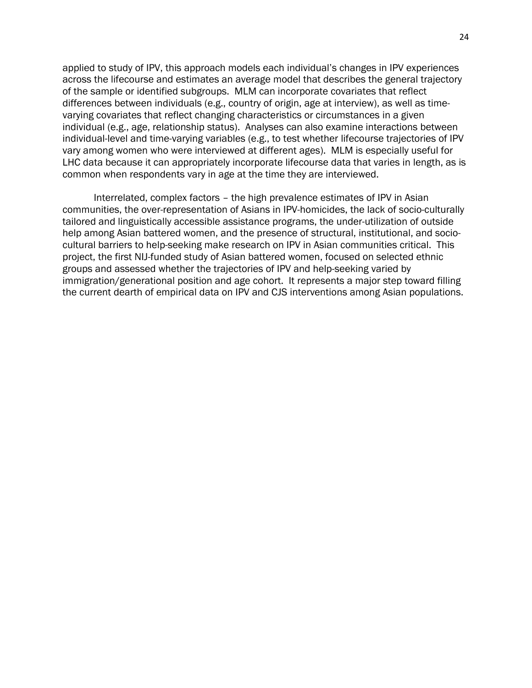applied to study of IPV, this approach models each individual's changes in IPV experiences across the lifecourse and estimates an average model that describes the general trajectory of the sample or identified subgroups. MLM can incorporate covariates that reflect differences between individuals (e.g., country of origin, age at interview), as well as timevarying covariates that reflect changing characteristics or circumstances in a given individual (e.g., age, relationship status). Analyses can also examine interactions between individual-level and time-varying variables (e.g., to test whether lifecourse trajectories of IPV vary among women who were interviewed at different ages). MLM is especially useful for LHC data because it can appropriately incorporate lifecourse data that varies in length, as is common when respondents vary in age at the time they are interviewed.

Interrelated, complex factors – the high prevalence estimates of IPV in Asian communities, the over-representation of Asians in IPV-homicides, the lack of socio-culturally tailored and linguistically accessible assistance programs, the under-utilization of outside help among Asian battered women, and the presence of structural, institutional, and sociocultural barriers to help-seeking make research on IPV in Asian communities critical. This project, the first NIJ-funded study of Asian battered women, focused on selected ethnic groups and assessed whether the trajectories of IPV and help-seeking varied by immigration/generational position and age cohort. It represents a major step toward filling the current dearth of empirical data on IPV and CJS interventions among Asian populations.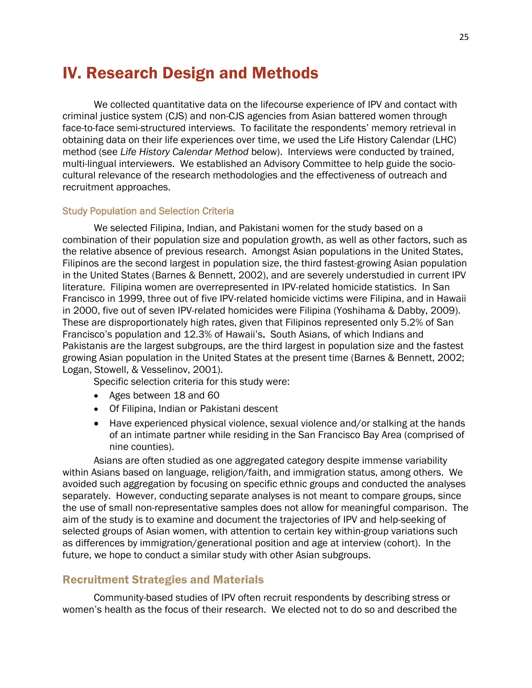# IV. Research Design and Methods

We collected quantitative data on the lifecourse experience of IPV and contact with criminal justice system (CJS) and non-CJS agencies from Asian battered women through face-to-face semi-structured interviews. To facilitate the respondents' memory retrieval in obtaining data on their life experiences over time, we used the Life History Calendar (LHC) method (see *Life History Calendar Method* below). Interviews were conducted by trained, multi-lingual interviewers. We established an Advisory Committee to help guide the sociocultural relevance of the research methodologies and the effectiveness of outreach and recruitment approaches.

### Study Population and Selection Criteria

We selected Filipina, Indian, and Pakistani women for the study based on a combination of their population size and population growth, as well as other factors, such as the relative absence of previous research. Amongst Asian populations in the United States, Filipinos are the second largest in population size, the third fastest-growing Asian population in the United States (Barnes & Bennett, 2002), and are severely understudied in current IPV literature. Filipina women are overrepresented in IPV-related homicide statistics. In San Francisco in 1999, three out of five IPV-related homicide victims were Filipina, and in Hawaii in 2000, five out of seven IPV-related homicides were Filipina (Yoshihama & Dabby, 2009). These are disproportionately high rates, given that Filipinos represented only 5.2% of San Francisco's population and 12.3% of Hawaii's. South Asians, of which Indians and Pakistanis are the largest subgroups, are the third largest in population size and the fastest growing Asian population in the United States at the present time (Barnes & Bennett, 2002; Logan, Stowell, & Vesselinov, 2001).

Specific selection criteria for this study were:

- Ages between 18 and 60
- Of Filipina, Indian or Pakistani descent
- Have experienced physical violence, sexual violence and/or stalking at the hands of an intimate partner while residing in the San Francisco Bay Area (comprised of nine counties).

Asians are often studied as one aggregated category despite immense variability within Asians based on language, religion/faith, and immigration status, among others. We avoided such aggregation by focusing on specific ethnic groups and conducted the analyses separately. However, conducting separate analyses is not meant to compare groups, since the use of small non-representative samples does not allow for meaningful comparison. The aim of the study is to examine and document the trajectories of IPV and help-seeking of selected groups of Asian women, with attention to certain key within-group variations such as differences by immigration/generational position and age at interview (cohort). In the future, we hope to conduct a similar study with other Asian subgroups.

### Recruitment Strategies and Materials

Community-based studies of IPV often recruit respondents by describing stress or women's health as the focus of their research. We elected not to do so and described the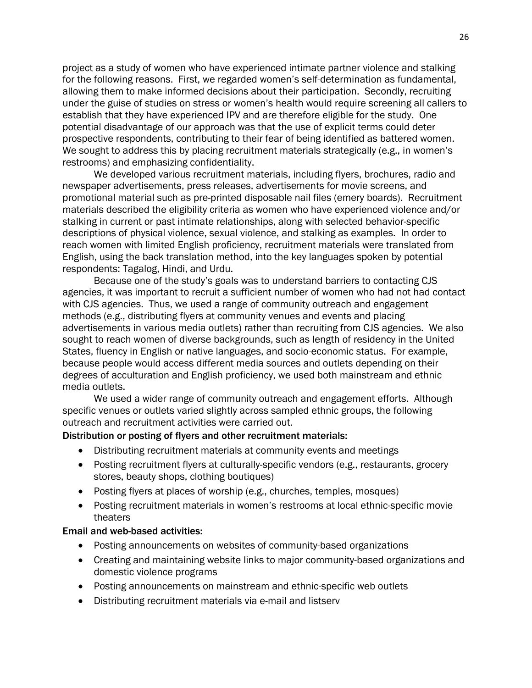project as a study of women who have experienced intimate partner violence and stalking for the following reasons. First, we regarded women's self-determination as fundamental, allowing them to make informed decisions about their participation. Secondly, recruiting under the guise of studies on stress or women's health would require screening all callers to establish that they have experienced IPV and are therefore eligible for the study. One potential disadvantage of our approach was that the use of explicit terms could deter prospective respondents, contributing to their fear of being identified as battered women. We sought to address this by placing recruitment materials strategically (e.g., in women's restrooms) and emphasizing confidentiality.

We developed various recruitment materials, including flyers, brochures, radio and newspaper advertisements, press releases, advertisements for movie screens, and promotional material such as pre-printed disposable nail files (emery boards). Recruitment materials described the eligibility criteria as women who have experienced violence and/or stalking in current or past intimate relationships, along with selected behavior-specific descriptions of physical violence, sexual violence, and stalking as examples. In order to reach women with limited English proficiency, recruitment materials were translated from English, using the back translation method, into the key languages spoken by potential respondents: Tagalog, Hindi, and Urdu.

Because one of the study's goals was to understand barriers to contacting CJS agencies, it was important to recruit a sufficient number of women who had not had contact with CJS agencies. Thus, we used a range of community outreach and engagement methods (e.g., distributing flyers at community venues and events and placing advertisements in various media outlets) rather than recruiting from CJS agencies. We also sought to reach women of diverse backgrounds, such as length of residency in the United States, fluency in English or native languages, and socio-economic status. For example, because people would access different media sources and outlets depending on their degrees of acculturation and English proficiency, we used both mainstream and ethnic media outlets.

We used a wider range of community outreach and engagement efforts. Although specific venues or outlets varied slightly across sampled ethnic groups, the following outreach and recruitment activities were carried out.

### Distribution or posting of flyers and other recruitment materials:

- Distributing recruitment materials at community events and meetings
- Posting recruitment flyers at culturally-specific vendors (e.g., restaurants, grocery stores, beauty shops, clothing boutiques)
- Posting flyers at places of worship (e.g., churches, temples, mosques)
- Posting recruitment materials in women's restrooms at local ethnic-specific movie theaters

#### Email and web-based activities:

- Posting announcements on websites of community-based organizations
- Creating and maintaining website links to major community-based organizations and domestic violence programs
- Posting announcements on mainstream and ethnic-specific web outlets
- Distributing recruitment materials via e-mail and listserv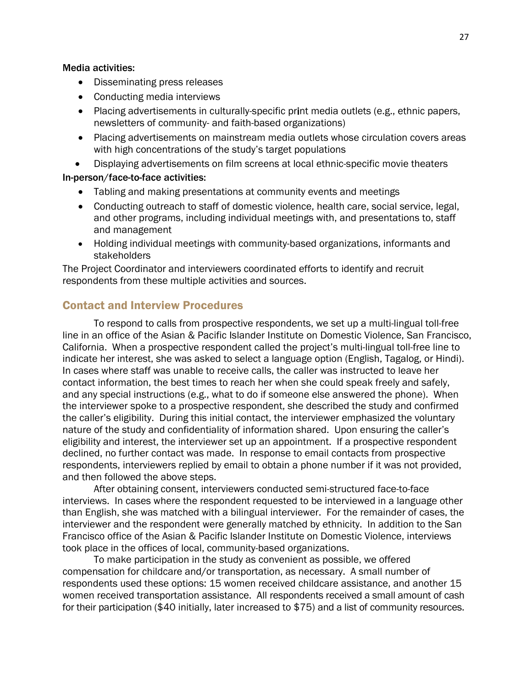### Media activities:

- Disseminating press releases
- Conducting media interviews
- Placing advertisements in culturally-specific print media outlets (e.g., ethnic papers, newsletters of community- and faith-based organizations)
- Placing advertisements on mainstream media outlets whose circulation covers areas with high concentrations of the study's target populations
- Displaying advertisements on film screens at local ethnic-specific movie theaters

### In-person/face-to-face activities:

- Tabling and making presentations at community events and meetings
- Conducting outreach to staff of domestic violence, health care, social service, legal, and other programs, including individual meetings with, and presentations to, staff and management
- Holding individual meetings with community-based organizations, informants and stakeholders

The Project Coordinator and interviewers coordinated efforts to identify and recruit respondents from these multiple activities and sources.

## Contact and Interview Procedures

 To respond to calls from prospective respondents, we set up a multi-lingual toll-free line in an office of the Asian & Pacific Islander Institute on Domestic Violence, San Francisco, California. When a prospective respondent called the project's multi-lingual toll-free line to indicate her interest, she was asked to select a language option (English, Tagalog, or Hindi). In cases where staff was unable to receive calls, the caller was instructed to leave her contact information, the best times to reach her when she could speak freely and safely, and any special instructions (e.g., what to do if someone else answered the phone). When the interviewer spoke to a prospective respondent, she described the study and confirmed the caller's eligibility. During this initial contact, the interviewer emphasized the voluntary nature of the study and confidentiality of information shared. Upon ensuring the caller's eligibility and interest, the interviewer set up an appointment. If a prospective respondent declined, no further contact was made. In response to email contacts from prospective respondents, interviewers replied by email to obtain a phone number if it was not provided, and then followed the above steps.

After obtaining consent, interviewers conducted semi-structured face-to-face interviews. In cases where the respondent requested to be interviewed in a language other than English, she was matched with a bilingual interviewer. For the remainder of cases, the interviewer and the respondent were generally matched by ethnicity. In addition to the San Francisco office of the Asian & Pacific Islander Institute on Domestic Violence, interviews took place in the offices of local, community-based organizations.

To make participation in the study as convenient as possible, we offered compensation for childcare and/or transportation, as necessary. A small number of respondents used these options: 15 women received childcare assistance, and another 15 women received transportation assistance. All respondents received a small amount of cash for their participation (\$40 initially, later increased to \$75) and a list of community resources.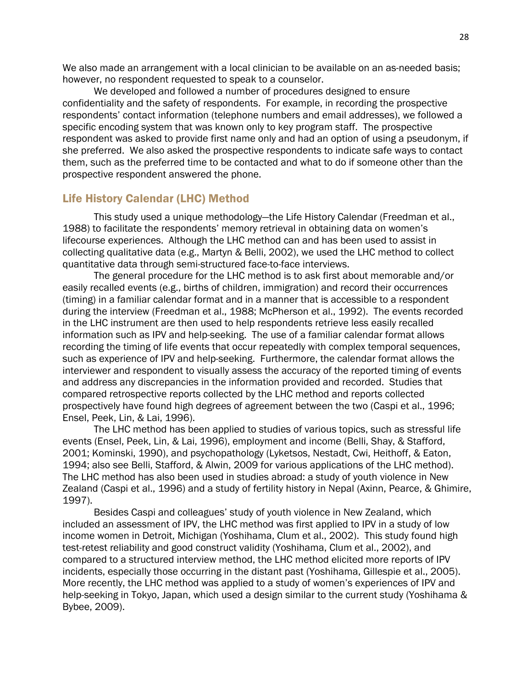We also made an arrangement with a local clinician to be available on an as-needed basis; however, no respondent requested to speak to a counselor.

We developed and followed a number of procedures designed to ensure confidentiality and the safety of respondents. For example, in recording the prospective respondents' contact information (telephone numbers and email addresses), we followed a specific encoding system that was known only to key program staff. The prospective respondent was asked to provide first name only and had an option of using a pseudonym, if she preferred. We also asked the prospective respondents to indicate safe ways to contact them, such as the preferred time to be contacted and what to do if someone other than the prospective respondent answered the phone.

### Life History Calendar (LHC) Method

This study used a unique methodology—the Life History Calendar (Freedman et al., 1988) to facilitate the respondents' memory retrieval in obtaining data on women's lifecourse experiences. Although the LHC method can and has been used to assist in collecting qualitative data (e.g., Martyn & Belli, 2002), we used the LHC method to collect quantitative data through semi-structured face-to-face interviews.

The general procedure for the LHC method is to ask first about memorable and/or easily recalled events (e.g., births of children, immigration) and record their occurrences (timing) in a familiar calendar format and in a manner that is accessible to a respondent during the interview (Freedman et al., 1988; McPherson et al., 1992). The events recorded in the LHC instrument are then used to help respondents retrieve less easily recalled information such as IPV and help-seeking. The use of a familiar calendar format allows recording the timing of life events that occur repeatedly with complex temporal sequences, such as experience of IPV and help-seeking. Furthermore, the calendar format allows the interviewer and respondent to visually assess the accuracy of the reported timing of events and address any discrepancies in the information provided and recorded. Studies that compared retrospective reports collected by the LHC method and reports collected prospectively have found high degrees of agreement between the two (Caspi et al., 1996; Ensel, Peek, Lin, & Lai, 1996).

The LHC method has been applied to studies of various topics, such as stressful life events (Ensel, Peek, Lin, & Lai, 1996), employment and income (Belli, Shay, & Stafford, 2001; Kominski, 1990), and psychopathology (Lyketsos, Nestadt, Cwi, Heithoff, & Eaton, 1994; also see Belli, Stafford, & Alwin, 2009 for various applications of the LHC method). The LHC method has also been used in studies abroad: a study of youth violence in New Zealand (Caspi et al., 1996) and a study of fertility history in Nepal (Axinn, Pearce, & Ghimire, 1997).

Besides Caspi and colleagues' study of youth violence in New Zealand, which included an assessment of IPV, the LHC method was first applied to IPV in a study of low income women in Detroit, Michigan (Yoshihama, Clum et al., 2002). This study found high test-retest reliability and good construct validity (Yoshihama, Clum et al., 2002), and compared to a structured interview method, the LHC method elicited more reports of IPV incidents, especially those occurring in the distant past (Yoshihama, Gillespie et al., 2005). More recently, the LHC method was applied to a study of women's experiences of IPV and help-seeking in Tokyo, Japan, which used a design similar to the current study (Yoshihama & Bybee, 2009).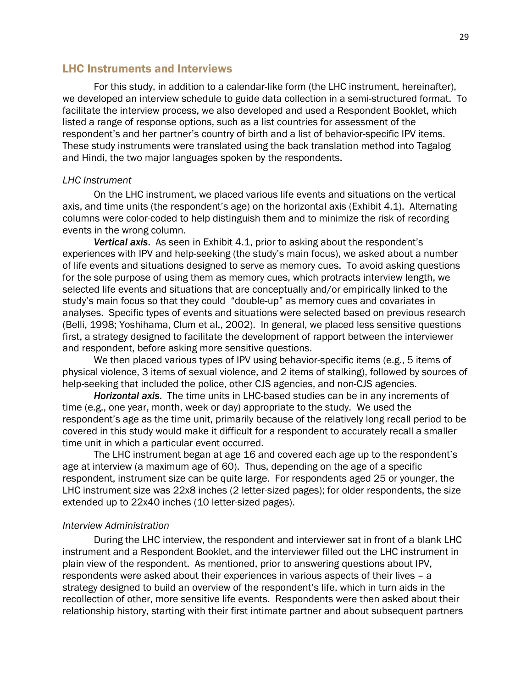### LHC Instruments and Interviews

For this study, in addition to a calendar-like form (the LHC instrument, hereinafter), we developed an interview schedule to guide data collection in a semi-structured format. To facilitate the interview process, we also developed and used a Respondent Booklet, which listed a range of response options, such as a list countries for assessment of the respondent's and her partner's country of birth and a list of behavior-specific IPV items. These study instruments were translated using the back translation method into Tagalog and Hindi, the two major languages spoken by the respondents.

#### *LHC Instrument*

On the LHC instrument, we placed various life events and situations on the vertical axis, and time units (the respondent's age) on the horizontal axis (Exhibit 4.1). Alternating columns were color-coded to help distinguish them and to minimize the risk of recording events in the wrong column.

*Vertical axis*. As seen in Exhibit 4.1, prior to asking about the respondent's experiences with IPV and help-seeking (the study's main focus), we asked about a number of life events and situations designed to serve as memory cues. To avoid asking questions for the sole purpose of using them as memory cues, which protracts interview length, we selected life events and situations that are conceptually and/or empirically linked to the study's main focus so that they could "double-up" as memory cues and covariates in analyses. Specific types of events and situations were selected based on previous research (Belli, 1998; Yoshihama, Clum et al., 2002). In general, we placed less sensitive questions first, a strategy designed to facilitate the development of rapport between the interviewer and respondent, before asking more sensitive questions.

We then placed various types of IPV using behavior-specific items (e.g., 5 items of physical violence, 3 items of sexual violence, and 2 items of stalking), followed by sources of help-seeking that included the police, other CJS agencies, and non-CJS agencies.

*Horizontal axis*. The time units in LHC-based studies can be in any increments of time (e.g., one year, month, week or day) appropriate to the study. We used the respondent's age as the time unit, primarily because of the relatively long recall period to be covered in this study would make it difficult for a respondent to accurately recall a smaller time unit in which a particular event occurred.

The LHC instrument began at age 16 and covered each age up to the respondent's age at interview (a maximum age of 60). Thus, depending on the age of a specific respondent, instrument size can be quite large. For respondents aged 25 or younger, the LHC instrument size was 22x8 inches (2 letter-sized pages); for older respondents, the size extended up to 22x40 inches (10 letter-sized pages).

### *Interview Administration*

During the LHC interview, the respondent and interviewer sat in front of a blank LHC instrument and a Respondent Booklet, and the interviewer filled out the LHC instrument in plain view of the respondent. As mentioned, prior to answering questions about IPV, respondents were asked about their experiences in various aspects of their lives – a strategy designed to build an overview of the respondent's life, which in turn aids in the recollection of other, more sensitive life events. Respondents were then asked about their relationship history, starting with their first intimate partner and about subsequent partners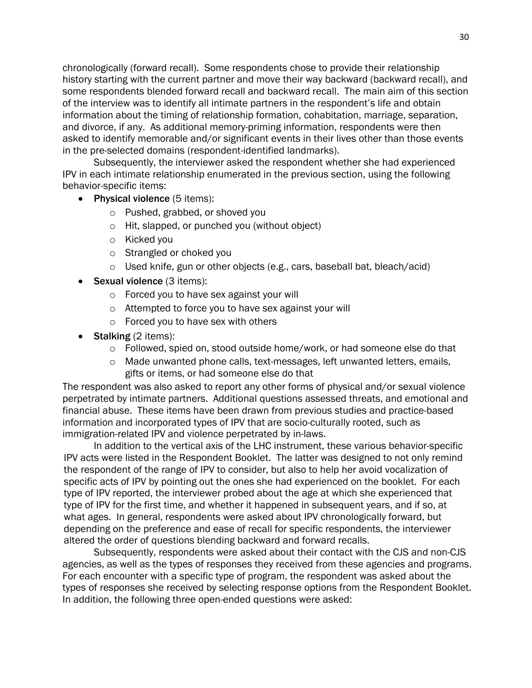chronologically (forward recall). Some respondents chose to provide their relationship history starting with the current partner and move their way backward (backward recall), and some respondents blended forward recall and backward recall. The main aim of this section of the interview was to identify all intimate partners in the respondent's life and obtain information about the timing of relationship formation, cohabitation, marriage, separation, and divorce, if any. As additional memory-priming information, respondents were then asked to identify memorable and/or significant events in their lives other than those events in the pre-selected domains (respondent-identified landmarks).

Subsequently, the interviewer asked the respondent whether she had experienced IPV in each intimate relationship enumerated in the previous section, using the following behavior-specific items:

- Physical violence (5 items):
	- o Pushed, grabbed, or shoved you
	- o Hit, slapped, or punched you (without object)
	- o Kicked you
	- o Strangled or choked you
	- o Used knife, gun or other objects (e.g., cars, baseball bat, bleach/acid)
- Sexual violence (3 items):
	- o Forced you to have sex against your will
	- o Attempted to force you to have sex against your will
	- o Forced you to have sex with others
- $\bullet$  Stalking (2 items):
	- o Followed, spied on, stood outside home/work, or had someone else do that
	- $\circ$  Made unwanted phone calls, text-messages, left unwanted letters, emails, gifts or items, or had someone else do that

The respondent was also asked to report any other forms of physical and/or sexual violence perpetrated by intimate partners. Additional questions assessed threats, and emotional and financial abuse. These items have been drawn from previous studies and practice-based information and incorporated types of IPV that are socio-culturally rooted, such as immigration-related IPV and violence perpetrated by in-laws.

In addition to the vertical axis of the LHC instrument, these various behavior-specific IPV acts were listed in the Respondent Booklet. The latter was designed to not only remind the respondent of the range of IPV to consider, but also to help her avoid vocalization of specific acts of IPV by pointing out the ones she had experienced on the booklet. For each type of IPV reported, the interviewer probed about the age at which she experienced that type of IPV for the first time, and whether it happened in subsequent years, and if so, at what ages. In general, respondents were asked about IPV chronologically forward, but depending on the preference and ease of recall for specific respondents, the interviewer altered the order of questions blending backward and forward recalls.

Subsequently, respondents were asked about their contact with the CJS and non-CJS agencies, as well as the types of responses they received from these agencies and programs. For each encounter with a specific type of program, the respondent was asked about the types of responses she received by selecting response options from the Respondent Booklet. In addition, the following three open-ended questions were asked: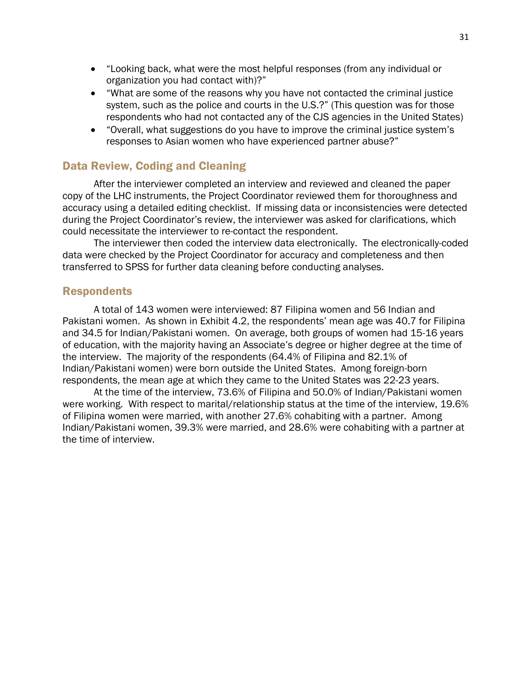- "Looking back, what were the most helpful responses (from any individual or organization you had contact with)?"
- "What are some of the reasons why you have not contacted the criminal justice system, such as the police and courts in the U.S.?" (This question was for those respondents who had not contacted any of the CJS agencies in the United States)
- "Overall, what suggestions do you have to improve the criminal justice system's responses to Asian women who have experienced partner abuse?"

### Data Review, Coding and Cleaning

After the interviewer completed an interview and reviewed and cleaned the paper copy of the LHC instruments, the Project Coordinator reviewed them for thoroughness and accuracy using a detailed editing checklist. If missing data or inconsistencies were detected during the Project Coordinator's review, the interviewer was asked for clarifications, which could necessitate the interviewer to re-contact the respondent.

The interviewer then coded the interview data electronically. The electronically-coded data were checked by the Project Coordinator for accuracy and completeness and then transferred to SPSS for further data cleaning before conducting analyses.

### **Respondents**

A total of 143 women were interviewed: 87 Filipina women and 56 Indian and Pakistani women. As shown in Exhibit 4.2, the respondents' mean age was 40.7 for Filipina and 34.5 for Indian/Pakistani women. On average, both groups of women had 15-16 years of education, with the majority having an Associate's degree or higher degree at the time of the interview. The majority of the respondents (64.4% of Filipina and 82.1% of Indian/Pakistani women) were born outside the United States. Among foreign-born respondents, the mean age at which they came to the United States was 22-23 years.

At the time of the interview, 73.6% of Filipina and 50.0% of Indian/Pakistani women were working. With respect to marital/relationship status at the time of the interview, 19.6% of Filipina women were married, with another 27.6% cohabiting with a partner. Among Indian/Pakistani women, 39.3% were married, and 28.6% were cohabiting with a partner at the time of interview.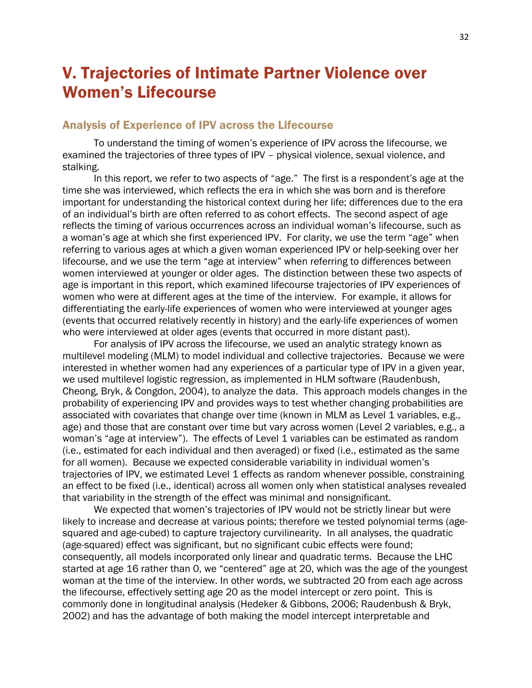# V. Trajectories of Intimate Partner Violence over Women's Lifecourse

### Analysis of Experience of IPV across the Lifecourse

To understand the timing of women's experience of IPV across the lifecourse, we examined the trajectories of three types of IPV – physical violence, sexual violence, and stalking.

In this report, we refer to two aspects of "age." The first is a respondent's age at the time she was interviewed, which reflects the era in which she was born and is therefore important for understanding the historical context during her life; differences due to the era of an individual's birth are often referred to as cohort effects. The second aspect of age reflects the timing of various occurrences across an individual woman's lifecourse, such as a woman's age at which she first experienced IPV. For clarity, we use the term "age" when referring to various ages at which a given woman experienced IPV or help-seeking over her lifecourse, and we use the term "age at interview" when referring to differences between women interviewed at younger or older ages. The distinction between these two aspects of age is important in this report, which examined lifecourse trajectories of IPV experiences of women who were at different ages at the time of the interview. For example, it allows for differentiating the early-life experiences of women who were interviewed at younger ages (events that occurred relatively recently in history) and the early-life experiences of women who were interviewed at older ages (events that occurred in more distant past).

For analysis of IPV across the lifecourse, we used an analytic strategy known as multilevel modeling (MLM) to model individual and collective trajectories. Because we were interested in whether women had any experiences of a particular type of IPV in a given year, we used multilevel logistic regression, as implemented in HLM software (Raudenbush, Cheong, Bryk, & Congdon, 2004), to analyze the data. This approach models changes in the probability of experiencing IPV and provides ways to test whether changing probabilities are associated with covariates that change over time (known in MLM as Level 1 variables, e.g., age) and those that are constant over time but vary across women (Level 2 variables, e.g., a woman's "age at interview"). The effects of Level 1 variables can be estimated as random (i.e., estimated for each individual and then averaged) or fixed (i.e., estimated as the same for all women). Because we expected considerable variability in individual women's traiectories of IPV, we estimated Level 1 effects as random whenever possible, constraining an effect to be fixed (i.e., identical) across all women only when statistical analyses revealed that variability in the strength of the effect was minimal and nonsignificant.

We expected that women's trajectories of IPV would not be strictly linear but were likely to increase and decrease at various points; therefore we tested polynomial terms (agesquared and age-cubed) to capture trajectory curvilinearity. In all analyses, the quadratic (age-squared) effect was significant, but no significant cubic effects were found; consequently, all models incorporated only linear and quadratic terms. Because the LHC started at age 16 rather than 0, we "centered" age at 20, which was the age of the youngest woman at the time of the interview. In other words, we subtracted 20 from each age across the lifecourse, effectively setting age 20 as the model intercept or zero point. This is commonly done in longitudinal analysis (Hedeker & Gibbons, 2006; Raudenbush & Bryk, 2002) and has the advantage of both making the model intercept interpretable and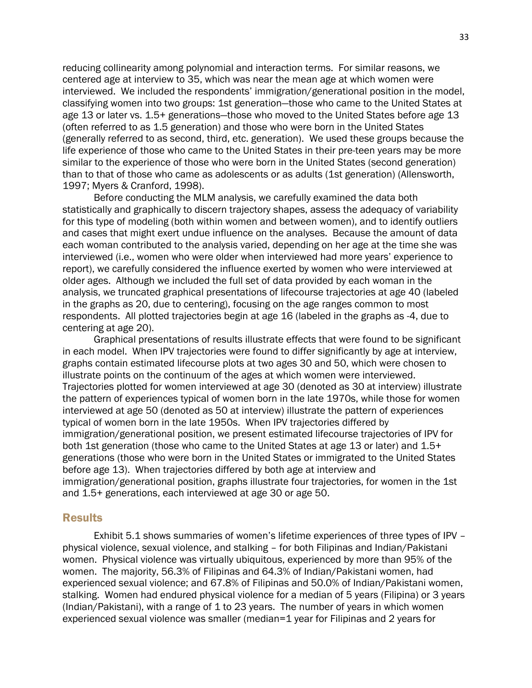reducing collinearity among polynomial and interaction terms. For similar reasons, we centered age at interview to 35, which was near the mean age at which women were interviewed. We included the respondents' immigration/generational position in the model, classifying women into two groups: 1st generation—those who came to the United States at age 13 or later vs. 1.5+ generations—those who moved to the United States before age 13 (often referred to as 1.5 generation) and those who were born in the United States (generally referred to as second, third, etc. generation). We used these groups because the life experience of those who came to the United States in their pre-teen years may be more similar to the experience of those who were born in the United States (second generation) than to that of those who came as adolescents or as adults (1st generation) (Allensworth, 1997; Myers & Cranford, 1998).

Before conducting the MLM analysis, we carefully examined the data both statistically and graphically to discern trajectory shapes, assess the adequacy of variability for this type of modeling (both within women and between women), and to identify outliers and cases that might exert undue influence on the analyses. Because the amount of data each woman contributed to the analysis varied, depending on her age at the time she was interviewed (i.e., women who were older when interviewed had more years' experience to report), we carefully considered the influence exerted by women who were interviewed at older ages. Although we included the full set of data provided by each woman in the analysis, we truncated graphical presentations of lifecourse trajectories at age 40 (labeled in the graphs as 20, due to centering), focusing on the age ranges common to most respondents. All plotted trajectories begin at age 16 (labeled in the graphs as -4, due to centering at age 20).

Graphical presentations of results illustrate effects that were found to be significant in each model. When IPV trajectories were found to differ significantly by age at interview, graphs contain estimated lifecourse plots at two ages 30 and 50, which were chosen to illustrate points on the continuum of the ages at which women were interviewed. Trajectories plotted for women interviewed at age 30 (denoted as 30 at interview) illustrate the pattern of experiences typical of women born in the late 1970s, while those for women interviewed at age 50 (denoted as 50 at interview) illustrate the pattern of experiences typical of women born in the late 1950s. When IPV trajectories differed by immigration/generational position, we present estimated lifecourse trajectories of IPV for both 1st generation (those who came to the United States at age 13 or later) and 1.5+ generations (those who were born in the United States or immigrated to the United States before age 13). When trajectories differed by both age at interview and immigration/generational position, graphs illustrate four trajectories, for women in the 1st and 1.5+ generations, each interviewed at age 30 or age 50.

### **Results**

Exhibit 5.1 shows summaries of women's lifetime experiences of three types of IPV – physical violence, sexual violence, and stalking – for both Filipinas and Indian/Pakistani women. Physical violence was virtually ubiquitous, experienced by more than 95% of the women. The majority, 56.3% of Filipinas and 64.3% of Indian/Pakistani women, had experienced sexual violence; and 67.8% of Filipinas and 50.0% of Indian/Pakistani women, stalking. Women had endured physical violence for a median of 5 years (Filipina) or 3 years (Indian/Pakistani), with a range of  $1$  to 23 years. The number of years in which women experienced sexual violence was smaller (median=1 year for Filipinas and 2 years for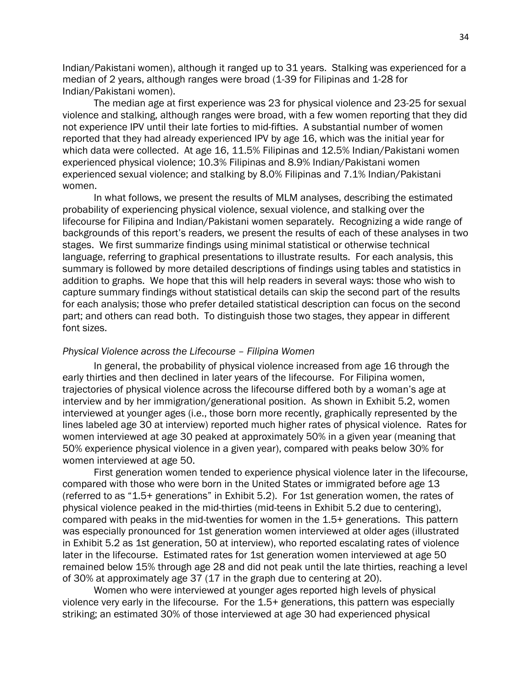Indian/Pakistani women), although it ranged up to 31 years. Stalking was experienced for a median of 2 years, although ranges were broad (1-39 for Filipinas and 1-28 for Indian/Pakistani women).

The median age at first experience was 23 for physical violence and 23-25 for sexual violence and stalking, although ranges were broad, with a few women reporting that they did not experience IPV until their late forties to mid-fifties. A substantial number of women reported that they had already experienced IPV by age 16, which was the initial year for which data were collected. At age 16, 11.5% Filipinas and 12.5% Indian/Pakistani women experienced physical violence; 10.3% Filipinas and 8.9% Indian/Pakistani women experienced sexual violence; and stalking by 8.0% Filipinas and 7.1% Indian/Pakistani women.

In what follows, we present the results of MLM analyses, describing the estimated probability of experiencing physical violence, sexual violence, and stalking over the lifecourse for Filipina and Indian/Pakistani women separately. Recognizing a wide range of backgrounds of this report's readers, we present the results of each of these analyses in two stages. We first summarize findings using minimal statistical or otherwise technical language, referring to graphical presentations to illustrate results. For each analysis, this summary is followed by more detailed descriptions of findings using tables and statistics in addition to graphs. We hope that this will help readers in several ways: those who wish to capture summary findings without statistical details can skip the second part of the results for each analysis; those who prefer detailed statistical description can focus on the second part; and others can read both. To distinguish those two stages, they appear in different font sizes.

### *Physical Violence across the Lifecourse – Filipina Women*

In general, the probability of physical violence increased from age 16 through the early thirties and then declined in later years of the lifecourse. For Filipina women, trajectories of physical violence across the lifecourse differed both by a woman's age at interview and by her immigration/generational position. As shown in Exhibit 5.2, women interviewed at younger ages (i.e., those born more recently, graphically represented by the lines labeled age 30 at interview) reported much higher rates of physical violence. Rates for women interviewed at age 30 peaked at approximately 50% in a given year (meaning that 50% experience physical violence in a given year), compared with peaks below 30% for women interviewed at age 50.

First generation women tended to experience physical violence later in the lifecourse, compared with those who were born in the United States or immigrated before age 13 (referred to as "1.5+ generations" in Exhibit 5.2). For 1st generation women, the rates of physical violence peaked in the mid-thirties (mid-teens in Exhibit 5.2 due to centering), compared with peaks in the mid-twenties for women in the 1.5+ generations. This pattern was especially pronounced for 1st generation women interviewed at older ages (illustrated in Exhibit 5.2 as 1st generation, 50 at interview), who reported escalating rates of violence later in the lifecourse. Estimated rates for 1st generation women interviewed at age 50 remained below 15% through age 28 and did not peak until the late thirties, reaching a level of 30% at approximately age 37 (17 in the graph due to centering at 20).

Women who were interviewed at younger ages reported high levels of physical violence very early in the lifecourse. For the 1.5+ generations, this pattern was especially striking; an estimated 30% of those interviewed at age 30 had experienced physical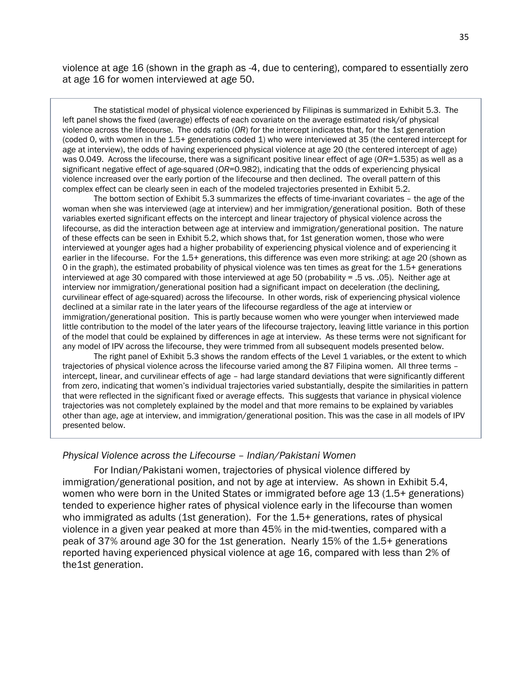violence at age 16 (shown in the graph as -4, due to centering), compared to essentially zero at age 16 for women interviewed at age 50.

The statistical model of physical violence experienced by Filipinas is summarized in Exhibit 5.3. The left panel shows the fixed (average) effects of each covariate on the average estimated risk/of physical violence across the lifecourse. The odds ratio (*OR*) for the intercept indicates that, for the 1st generation (coded 0, with women in the 1.5+ generations coded 1) who were interviewed at 35 (the centered intercept for age at interview), the odds of having experienced physical violence at age 20 (the centered intercept of age) was 0.049. Across the lifecourse, there was a significant positive linear effect of age (*OR*=1.535) as well as a significant negative effect of age-squared (*OR*=0.982), indicating that the odds of experiencing physical violence increased over the early portion of the lifecourse and then declined. The overall pattern of this complex effect can be clearly seen in each of the modeled trajectories presented in Exhibit 5.2.

The bottom section of Exhibit 5.3 summarizes the effects of time-invariant covariates – the age of the woman when she was interviewed (age at interview) and her immigration/generational position. Both of these variables exerted significant effects on the intercept and linear trajectory of physical violence across the lifecourse, as did the interaction between age at interview and immigration/generational position. The nature of these effects can be seen in Exhibit 5.2, which shows that, for 1st generation women, those who were interviewed at younger ages had a higher probability of experiencing physical violence and of experiencing it earlier in the lifecourse. For the 1.5+ generations, this difference was even more striking: at age 20 (shown as 0 in the graph), the estimated probability of physical violence was ten times as great for the 1.5+ generations interviewed at age 30 compared with those interviewed at age 50 (probability = .5 vs. .05). Neither age at interview nor immigration/generational position had a significant impact on deceleration (the declining, curvilinear effect of age-squared) across the lifecourse. In other words, risk of experiencing physical violence declined at a similar rate in the later years of the lifecourse regardless of the age at interview or immigration/generational position. This is partly because women who were younger when interviewed made little contribution to the model of the later years of the lifecourse trajectory, leaving little variance in this portion of the model that could be explained by differences in age at interview. As these terms were not significant for any model of IPV across the lifecourse, they were trimmed from all subsequent models presented below.

The right panel of Exhibit 5.3 shows the random effects of the Level 1 variables, or the extent to which trajectories of physical violence across the lifecourse varied among the 87 Filipina women. All three terms – intercept, linear, and curvilinear effects of age – had large standard deviations that were significantly different from zero, indicating that women's individual trajectories varied substantially, despite the similarities in pattern that were reflected in the significant fixed or average effects. This suggests that variance in physical violence trajectories was not completely explained by the model and that more remains to be explained by variables other than age, age at interview, and immigration/generational position. This was the case in all models of IPV presented below.

### *Physical Violence across the Lifecourse – Indian/Pakistani Women*

For Indian/Pakistani women, trajectories of physical violence differed by immigration/generational position, and not by age at interview. As shown in Exhibit 5.4, women who were born in the United States or immigrated before age 13 (1.5+ generations) tended to experience higher rates of physical violence early in the lifecourse than women who immigrated as adults (1st generation). For the 1.5+ generations, rates of physical violence in a given year peaked at more than 45% in the mid-twenties, compared with a peak of 37% around age 30 for the 1st generation. Nearly 15% of the 1.5+ generations reported having experienced physical violence at age 16, compared with less than 2% of the1st generation.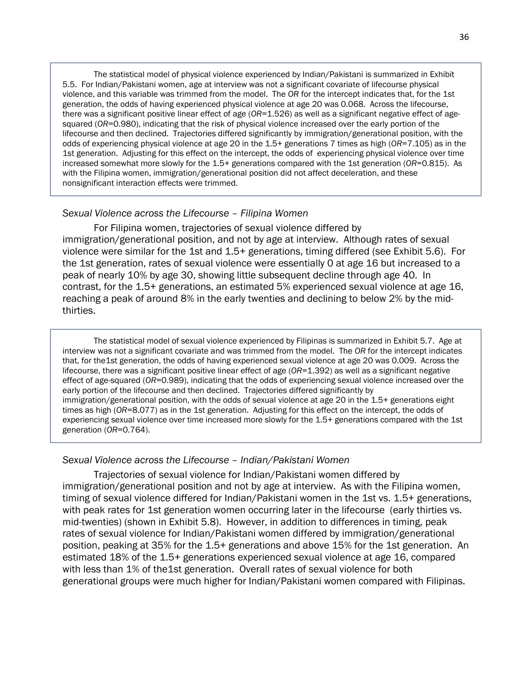The statistical model of physical violence experienced by Indian/Pakistani is summarized in Exhibit 5.5. For Indian/Pakistani women, age at interview was not a significant covariate of lifecourse physical violence, and this variable was trimmed from the model. The *OR* for the intercept indicates that, for the 1st generation, the odds of having experienced physical violence at age 20 was 0.068. Across the lifecourse, there was a significant positive linear effect of age (*OR*=1.526) as well as a significant negative effect of agesquared (*OR*=0.980), indicating that the risk of physical violence increased over the early portion of the lifecourse and then declined. Trajectories differed significantly by immigration/generational position, with the odds of experiencing physical violence at age 20 in the 1.5+ generations 7 times as high (*OR*=7.105) as in the 1st generation. Adjusting for this effect on the intercept, the odds of experiencing physical violence over time increased somewhat more slowly for the 1.5+ generations compared with the 1st generation (*OR*=0.815). As with the Filipina women, immigration/generational position did not affect deceleration, and these nonsignificant interaction effects were trimmed.

### *Sexual Violence across the Lifecourse – Filipina Women*

For Filipina women, trajectories of sexual violence differed by immigration/generational position, and not by age at interview. Although rates of sexual violence were similar for the 1st and 1.5+ generations, timing differed (see Exhibit 5.6). For the 1st generation, rates of sexual violence were essentially 0 at age 16 but increased to a peak of nearly 10% by age 30, showing little subsequent decline through age 40. In contrast, for the 1.5+ generations, an estimated 5% experienced sexual violence at age 16, reaching a peak of around 8% in the early twenties and declining to below 2% by the midthirties.

The statistical model of sexual violence experienced by Filipinas is summarized in Exhibit 5.7. Age at interview was not a significant covariate and was trimmed from the model. The *OR* for the intercept indicates that, for the1st generation, the odds of having experienced sexual violence at age 20 was 0.009. Across the lifecourse, there was a significant positive linear effect of age (*OR*=1.392) as well as a significant negative effect of age-squared (*OR*=0.989), indicating that the odds of experiencing sexual violence increased over the early portion of the lifecourse and then declined. Trajectories differed significantly by immigration/generational position, with the odds of sexual violence at age 20 in the 1.5+ generations eight times as high (*OR*=8.077) as in the 1st generation. Adjusting for this effect on the intercept, the odds of experiencing sexual violence over time increased more slowly for the 1.5+ generations compared with the 1st generation (*OR*=0.764).

### *Sexual Violence across the Lifecourse – Indian/Pakistani Women*

Trajectories of sexual violence for Indian/Pakistani women differed by immigration/generational position and not by age at interview. As with the Filipina women, timing of sexual violence differed for Indian/Pakistani women in the 1st vs. 1.5+ generations, with peak rates for 1st generation women occurring later in the lifecourse (early thirties vs. mid-twenties) (shown in Exhibit 5.8). However, in addition to differences in timing, peak rates of sexual violence for Indian/Pakistani women differed by immigration/generational position, peaking at 35% for the 1.5+ generations and above 15% for the 1st generation. An estimated 18% of the 1.5+ generations experienced sexual violence at age 16, compared with less than 1% of the1st generation. Overall rates of sexual violence for both generational groups were much higher for Indian/Pakistani women compared with Filipinas.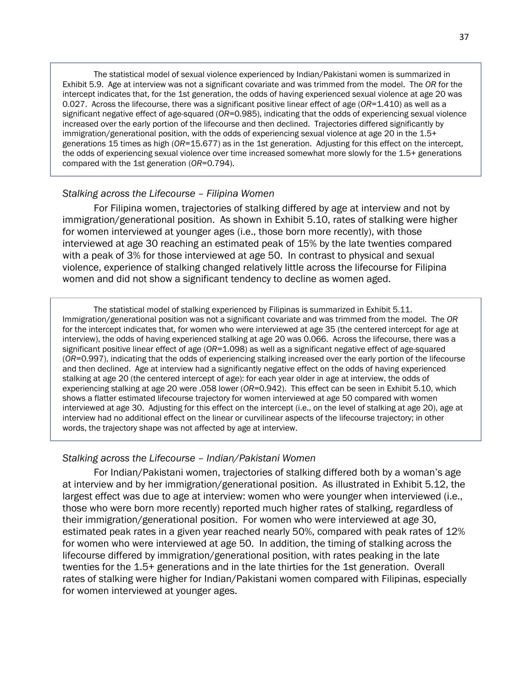The statistical model of sexual violence experienced by Indian/Pakistani women is summarized in Exhibit 5.9. Age at interview was not a significant covariate and was trimmed from the model. The *OR* for the intercept indicates that, for the 1st generation, the odds of having experienced sexual violence at age 20 was 0.027. Across the lifecourse, there was a significant positive linear effect of age (*OR*=1.410) as well as a significant negative effect of age-squared (*OR*=0.985), indicating that the odds of experiencing sexual violence increased over the early portion of the lifecourse and then declined. Trajectories differed significantly by immigration/generational position, with the odds of experiencing sexual violence at age 20 in the 1.5+ generations 15 times as high (*OR*=15.677) as in the 1st generation. Adjusting for this effect on the intercept, the odds of experiencing sexual violence over time increased somewhat more slowly for the 1.5+ generations compared with the 1st generation (*OR*=0.794).

## *Stalking across the Lifecourse – Filipina Women*

For Filipina women, trajectories of stalking differed by age at interview and not by immigration/generational position. As shown in Exhibit 5.10, rates of stalking were higher for women interviewed at younger ages (i.e., those born more recently), with those interviewed at age 30 reaching an estimated peak of 15% by the late twenties compared with a peak of 3% for those interviewed at age 50. In contrast to physical and sexual violence, experience of stalking changed relatively little across the lifecourse for Filipina women and did not show a significant tendency to decline as women aged.

The statistical model of stalking experienced by Filipinas is summarized in Exhibit 5.11. Immigration/generational position was not a significant covariate and was trimmed from the model. The *OR* for the intercept indicates that, for women who were interviewed at age 35 (the centered intercept for age at interview), the odds of having experienced stalking at age 20 was 0.066. Across the lifecourse, there was a significant positive linear effect of age (*OR*=1.098) as well as a significant negative effect of age-squared (*OR*=0.997), indicating that the odds of experiencing stalking increased over the early portion of the lifecourse and then declined. Age at interview had a significantly negative effect on the odds of having experienced stalking at age 20 (the centered intercept of age): for each year older in age at interview, the odds of experiencing stalking at age 20 were .058 lower (*OR*=0.942). This effect can be seen in Exhibit 5.10, which shows a flatter estimated lifecourse trajectory for women interviewed at age 50 compared with women interviewed at age 30. Adjusting for this effect on the intercept (i.e., on the level of stalking at age 20), age at interview had no additional effect on the linear or curvilinear aspects of the lifecourse trajectory; in other words, the trajectory shape was not affected by age at interview.

## *Stalking across the Lifecourse – Indian/Pakistani Women*

For Indian/Pakistani women, trajectories of stalking differed both by a woman's age at interview and by her immigration/generational position. As illustrated in Exhibit 5.12, the largest effect was due to age at interview: women who were younger when interviewed (i.e., those who were born more recently) reported much higher rates of stalking, regardless of their immigration/generational position. For women who were interviewed at age 30, estimated peak rates in a given year reached nearly 50%, compared with peak rates of 12% for women who were interviewed at age 50. In addition, the timing of stalking across the lifecourse differed by immigration/generational position, with rates peaking in the late twenties for the 1.5+ generations and in the late thirties for the 1st generation. Overall rates of stalking were higher for Indian/Pakistani women compared with Filipinas, especially for women interviewed at younger ages.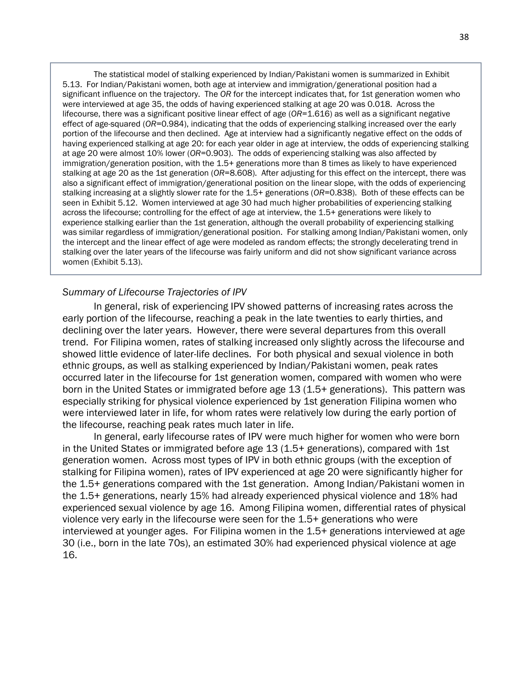The statistical model of stalking experienced by Indian/Pakistani women is summarized in Exhibit 5.13. For Indian/Pakistani women, both age at interview and immigration/generational position had a significant influence on the trajectory. The *OR* for the intercept indicates that, for 1st generation women who were interviewed at age 35, the odds of having experienced stalking at age 20 was 0.018. Across the lifecourse, there was a significant positive linear effect of age (*OR*=1.616) as well as a significant negative effect of age-squared (*OR*=0.984), indicating that the odds of experiencing stalking increased over the early portion of the lifecourse and then declined. Age at interview had a significantly negative effect on the odds of having experienced stalking at age 20: for each year older in age at interview, the odds of experiencing stalking at age 20 were almost 10% lower (*OR*=0.903). The odds of experiencing stalking was also affected by immigration/generation position, with the 1.5+ generations more than 8 times as likely to have experienced stalking at age 20 as the 1st generation (*OR*=8.608). After adjusting for this effect on the intercept, there was also a significant effect of immigration/generational position on the linear slope, with the odds of experiencing stalking increasing at a slightly slower rate for the 1.5+ generations (*OR*=0.838). Both of these effects can be seen in Exhibit 5.12. Women interviewed at age 30 had much higher probabilities of experiencing stalking across the lifecourse; controlling for the effect of age at interview, the 1.5+ generations were likely to experience stalking earlier than the 1st generation, although the overall probability of experiencing stalking was similar regardless of immigration/generational position. For stalking among Indian/Pakistani women, only the intercept and the linear effect of age were modeled as random effects; the strongly decelerating trend in stalking over the later years of the lifecourse was fairly uniform and did not show significant variance across women (Exhibit 5.13).

## *Summary of Lifecourse Trajectories of IPV*

In general, risk of experiencing IPV showed patterns of increasing rates across the early portion of the lifecourse, reaching a peak in the late twenties to early thirties, and declining over the later years. However, there were several departures from this overall trend. For Filipina women, rates of stalking increased only slightly across the lifecourse and showed little evidence of later-life declines. For both physical and sexual violence in both ethnic groups, as well as stalking experienced by Indian/Pakistani women, peak rates occurred later in the lifecourse for 1st generation women, compared with women who were born in the United States or immigrated before age 13 (1.5+ generations). This pattern was especially striking for physical violence experienced by 1st generation Filipina women who were interviewed later in life, for whom rates were relatively low during the early portion of the lifecourse, reaching peak rates much later in life.

In general, early lifecourse rates of IPV were much higher for women who were born in the United States or immigrated before age 13 (1.5+ generations), compared with 1st generation women. Across most types of IPV in both ethnic groups (with the exception of stalking for Filipina women), rates of IPV experienced at age 20 were significantly higher for the 1.5+ generations compared with the 1st generation. Among Indian/Pakistani women in the 1.5+ generations, nearly 15% had already experienced physical violence and 18% had experienced sexual violence by age 16. Among Filipina women, differential rates of physical violence very early in the lifecourse were seen for the 1.5+ generations who were interviewed at younger ages. For Filipina women in the 1.5+ generations interviewed at age 30 (i.e., born in the late 70s), an estimated 30% had experienced physical violence at age 16.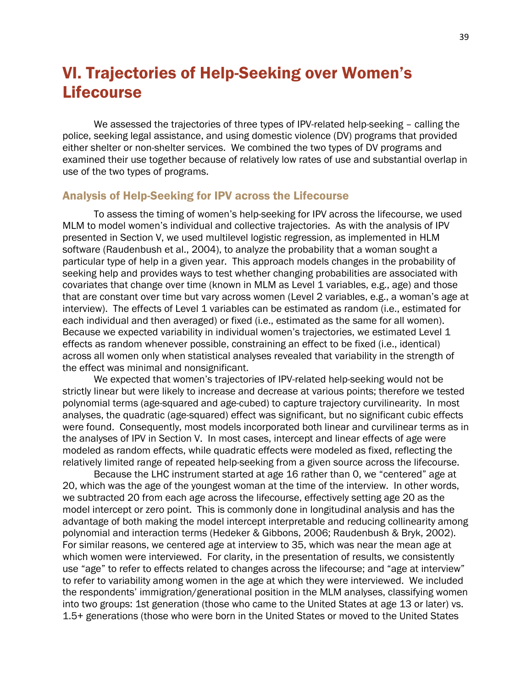# VI. Trajectories of Help-Seeking over Women's Lifecourse

We assessed the trajectories of three types of IPV-related help-seeking – calling the police, seeking legal assistance, and using domestic violence (DV) programs that provided either shelter or non-shelter services. We combined the two types of DV programs and examined their use together because of relatively low rates of use and substantial overlap in use of the two types of programs.

# Analysis of Help-Seeking for IPV across the Lifecourse

To assess the timing of women's help-seeking for IPV across the lifecourse, we used MLM to model women's individual and collective trajectories. As with the analysis of IPV presented in Section V, we used multilevel logistic regression, as implemented in HLM software (Raudenbush et al., 2004), to analyze the probability that a woman sought a particular type of help in a given year. This approach models changes in the probability of seeking help and provides ways to test whether changing probabilities are associated with covariates that change over time (known in MLM as Level 1 variables, e.g., age) and those that are constant over time but vary across women (Level 2 variables, e.g., a woman's age at interview). The effects of Level 1 variables can be estimated as random (i.e., estimated for each individual and then averaged) or fixed (i.e., estimated as the same for all women). Because we expected variability in individual women's trajectories, we estimated Level 1 effects as random whenever possible, constraining an effect to be fixed (i.e., identical) across all women only when statistical analyses revealed that variability in the strength of the effect was minimal and nonsignificant.

We expected that women's trajectories of IPV-related help-seeking would not be strictly linear but were likely to increase and decrease at various points; therefore we tested polynomial terms (age-squared and age-cubed) to capture trajectory curvilinearity. In most analyses, the quadratic (age-squared) effect was significant, but no significant cubic effects were found. Consequently, most models incorporated both linear and curvilinear terms as in the analyses of IPV in Section V. In most cases, intercept and linear effects of age were modeled as random effects, while quadratic effects were modeled as fixed, reflecting the relatively limited range of repeated help-seeking from a given source across the lifecourse.

Because the LHC instrument started at age 16 rather than 0, we "centered" age at 20, which was the age of the youngest woman at the time of the interview. In other words, we subtracted 20 from each age across the lifecourse, effectively setting age 20 as the model intercept or zero point. This is commonly done in longitudinal analysis and has the advantage of both making the model intercept interpretable and reducing collinearity among polynomial and interaction terms (Hedeker & Gibbons, 2006; Raudenbush & Bryk, 2002). For similar reasons, we centered age at interview to 35, which was near the mean age at which women were interviewed. For clarity, in the presentation of results, we consistently use "age" to refer to effects related to changes across the lifecourse; and "age at interview" to refer to variability among women in the age at which they were interviewed. We included the respondents' immigration/generational position in the MLM analyses, classifying women into two groups: 1st generation (those who came to the United States at age 13 or later) vs. 1.5+ generations (those who were born in the United States or moved to the United States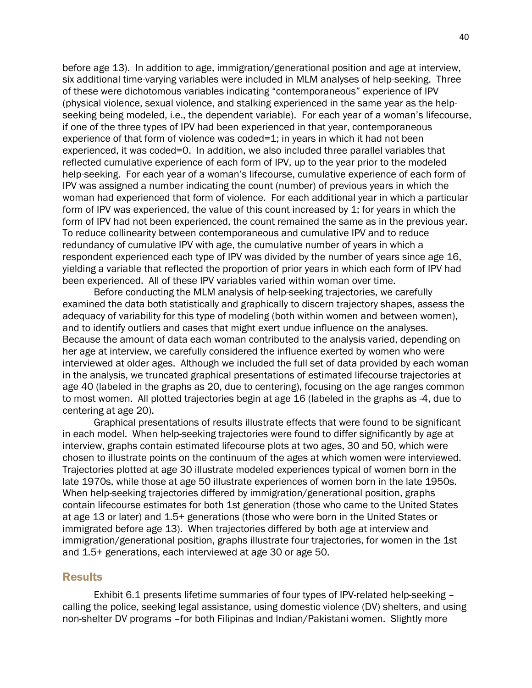before age 13). In addition to age, immigration/generational position and age at interview, six additional time-varying variables were included in MLM analyses of help-seeking. Three of these were dichotomous variables indicating "contemporaneous" experience of IPV (physical violence, sexual violence, and stalking experienced in the same year as the helpseeking being modeled, i.e., the dependent variable). For each year of a woman's lifecourse, if one of the three types of IPV had been experienced in that year, contemporaneous experience of that form of violence was coded=1; in years in which it had not been experienced, it was coded=0. In addition, we also included three parallel variables that reflected cumulative experience of each form of IPV, up to the year prior to the modeled help-seeking. For each year of a woman's lifecourse, cumulative experience of each form of IPV was assigned a number indicating the count (number) of previous years in which the woman had experienced that form of violence. For each additional year in which a particular form of IPV was experienced, the value of this count increased by 1; for years in which the form of IPV had not been experienced, the count remained the same as in the previous year. To reduce collinearity between contemporaneous and cumulative IPV and to reduce redundancy of cumulative IPV with age, the cumulative number of years in which a respondent experienced each type of IPV was divided by the number of years since age 16, yielding a variable that reflected the proportion of prior years in which each form of IPV had been experienced. All of these IPV variables varied within woman over time.

Before conducting the MLM analysis of help-seeking trajectories, we carefully examined the data both statistically and graphically to discern trajectory shapes, assess the adequacy of variability for this type of modeling (both within women and between women), and to identify outliers and cases that might exert undue influence on the analyses. Because the amount of data each woman contributed to the analysis varied, depending on her age at interview, we carefully considered the influence exerted by women who were interviewed at older ages. Although we included the full set of data provided by each woman in the analysis, we truncated graphical presentations of estimated lifecourse trajectories at age 40 (labeled in the graphs as 20, due to centering), focusing on the age ranges common to most women. All plotted trajectories begin at age 16 (labeled in the graphs as -4, due to centering at age 20).

Graphical presentations of results illustrate effects that were found to be significant in each model. When help-seeking trajectories were found to differ significantly by age at interview, graphs contain estimated lifecourse plots at two ages, 30 and 50, which were chosen to illustrate points on the continuum of the ages at which women were interviewed. Trajectories plotted at age 30 illustrate modeled experiences typical of women born in the late 1970s, while those at age 50 illustrate experiences of women born in the late 1950s. When help-seeking trajectories differed by immigration/generational position, graphs contain lifecourse estimates for both 1st generation (those who came to the United States at age 13 or later) and 1.5+ generations (those who were born in the United States or immigrated before age 13). When trajectories differed by both age at interview and immigration/generational position, graphs illustrate four trajectories, for women in the 1st and 1.5+ generations, each interviewed at age 30 or age 50.

# Results

Exhibit 6.1 presents lifetime summaries of four types of IPV-related help-seeking – calling the police, seeking legal assistance, using domestic violence (DV) shelters, and using non-shelter DV programs –for both Filipinas and Indian/Pakistani women. Slightly more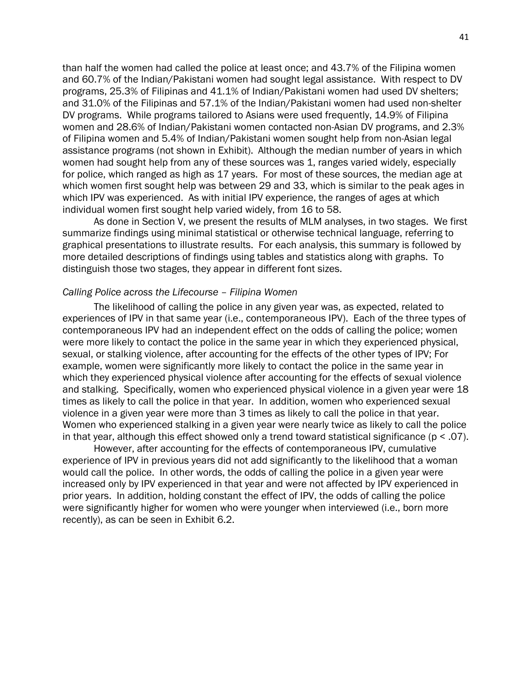than half the women had called the police at least once; and 43.7% of the Filipina women and 60.7% of the Indian/Pakistani women had sought legal assistance. With respect to DV programs, 25.3% of Filipinas and 41.1% of Indian/Pakistani women had used DV shelters; and 31.0% of the Filipinas and 57.1% of the Indian/Pakistani women had used non-shelter DV programs. While programs tailored to Asians were used frequently, 14.9% of Filipina women and 28.6% of Indian/Pakistani women contacted non-Asian DV programs, and 2.3% of Filipina women and 5.4% of Indian/Pakistani women sought help from non-Asian legal assistance programs (not shown in Exhibit). Although the median number of years in which women had sought help from any of these sources was 1, ranges varied widely, especially for police, which ranged as high as 17 years. For most of these sources, the median age at which women first sought help was between 29 and 33, which is similar to the peak ages in which IPV was experienced. As with initial IPV experience, the ranges of ages at which individual women first sought help varied widely, from 16 to 58.

As done in Section V, we present the results of MLM analyses, in two stages. We first summarize findings using minimal statistical or otherwise technical language, referring to graphical presentations to illustrate results. For each analysis, this summary is followed by more detailed descriptions of findings using tables and statistics along with graphs. To distinguish those two stages, they appear in different font sizes.

## *Calling Police across the Lifecourse – Filipina Women*

The likelihood of calling the police in any given year was, as expected, related to experiences of IPV in that same year (i.e., contemporaneous IPV). Each of the three types of contemporaneous IPV had an independent effect on the odds of calling the police; women were more likely to contact the police in the same year in which they experienced physical, sexual, or stalking violence, after accounting for the effects of the other types of IPV; For example, women were significantly more likely to contact the police in the same year in which they experienced physical violence after accounting for the effects of sexual violence and stalking. Specifically, women who experienced physical violence in a given year were 18 times as likely to call the police in that year. In addition, women who experienced sexual violence in a given year were more than 3 times as likely to call the police in that year. Women who experienced stalking in a given year were nearly twice as likely to call the police in that year, although this effect showed only a trend toward statistical significance ( $p < .07$ ).

However, after accounting for the effects of contemporaneous IPV, cumulative experience of IPV in previous years did not add significantly to the likelihood that a woman would call the police. In other words, the odds of calling the police in a given year were increased only by IPV experienced in that year and were not affected by IPV experienced in prior years. In addition, holding constant the effect of IPV, the odds of calling the police were significantly higher for women who were younger when interviewed (i.e., born more recently), as can be seen in Exhibit 6.2.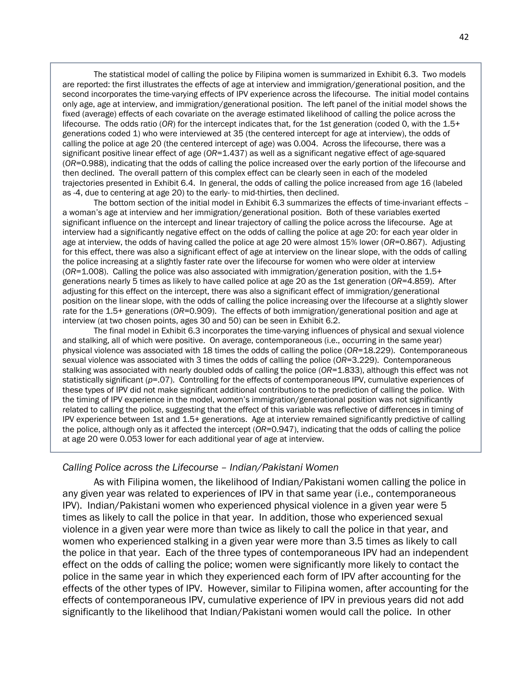The statistical model of calling the police by Filipina women is summarized in Exhibit 6.3. Two models are reported: the first illustrates the effects of age at interview and immigration/generational position, and the second incorporates the time-varying effects of IPV experience across the lifecourse. The initial model contains only age, age at interview, and immigration/generational position. The left panel of the initial model shows the fixed (average) effects of each covariate on the average estimated likelihood of calling the police across the lifecourse. The odds ratio (*OR*) for the intercept indicates that, for the 1st generation (coded 0, with the 1.5+ generations coded 1) who were interviewed at 35 (the centered intercept for age at interview), the odds of calling the police at age 20 (the centered intercept of age) was 0.004. Across the lifecourse, there was a significant positive linear effect of age (*OR*=1.437) as well as a significant negative effect of age-squared (*OR*=0.988), indicating that the odds of calling the police increased over the early portion of the lifecourse and then declined. The overall pattern of this complex effect can be clearly seen in each of the modeled trajectories presented in Exhibit 6.4. In general, the odds of calling the police increased from age 16 (labeled as -4, due to centering at age 20) to the early- to mid-thirties, then declined.

The bottom section of the initial model in Exhibit 6.3 summarizes the effects of time-invariant effects – a woman's age at interview and her immigration/generational position. Both of these variables exerted significant influence on the intercept and linear trajectory of calling the police across the lifecourse. Age at interview had a significantly negative effect on the odds of calling the police at age 20: for each year older in age at interview, the odds of having called the police at age 20 were almost 15% lower (*OR*=0.867). Adjusting for this effect, there was also a significant effect of age at interview on the linear slope, with the odds of calling the police increasing at a slightly faster rate over the lifecourse for women who were older at interview (*OR*=1.008). Calling the police was also associated with immigration/generation position, with the 1.5+ generations nearly 5 times as likely to have called police at age 20 as the 1st generation (*OR*=4.859). After adjusting for this effect on the intercept, there was also a significant effect of immigration/generational position on the linear slope, with the odds of calling the police increasing over the lifecourse at a slightly slower rate for the 1.5+ generations (*OR*=0.909). The effects of both immigration/generational position and age at interview (at two chosen points, ages 30 and 50) can be seen in Exhibit 6.2.

The final model in Exhibit 6.3 incorporates the time-varying influences of physical and sexual violence and stalking, all of which were positive. On average, contemporaneous (i.e., occurring in the same year) physical violence was associated with 18 times the odds of calling the police (*OR*=18.229). Contemporaneous sexual violence was associated with 3 times the odds of calling the police (*OR*=3.229). Contemporaneous stalking was associated with nearly doubled odds of calling the police (*OR*=1.833), although this effect was not statistically significant (*p*=.07). Controlling for the effects of contemporaneous IPV, cumulative experiences of these types of IPV did not make significant additional contributions to the prediction of calling the police. With the timing of IPV experience in the model, women's immigration/generational position was not significantly related to calling the police, suggesting that the effect of this variable was reflective of differences in timing of IPV experience between 1st and 1.5+ generations. Age at interview remained significantly predictive of calling the police, although only as it affected the intercept (*OR*=0.947), indicating that the odds of calling the police at age 20 were 0.053 lower for each additional year of age at interview.

## *Calling Police across the Lifecourse – Indian/Pakistani Women*

As with Filipina women, the likelihood of Indian/Pakistani women calling the police in any given year was related to experiences of IPV in that same year (i.e., contemporaneous IPV). Indian/Pakistani women who experienced physical violence in a given year were 5 times as likely to call the police in that year. In addition, those who experienced sexual violence in a given year were more than twice as likely to call the police in that year, and women who experienced stalking in a given year were more than 3.5 times as likely to call the police in that year. Each of the three types of contemporaneous IPV had an independent effect on the odds of calling the police; women were significantly more likely to contact the police in the same year in which they experienced each form of IPV after accounting for the effects of the other types of IPV. However, similar to Filipina women, after accounting for the effects of contemporaneous IPV, cumulative experience of IPV in previous years did not add significantly to the likelihood that Indian/Pakistani women would call the police. In other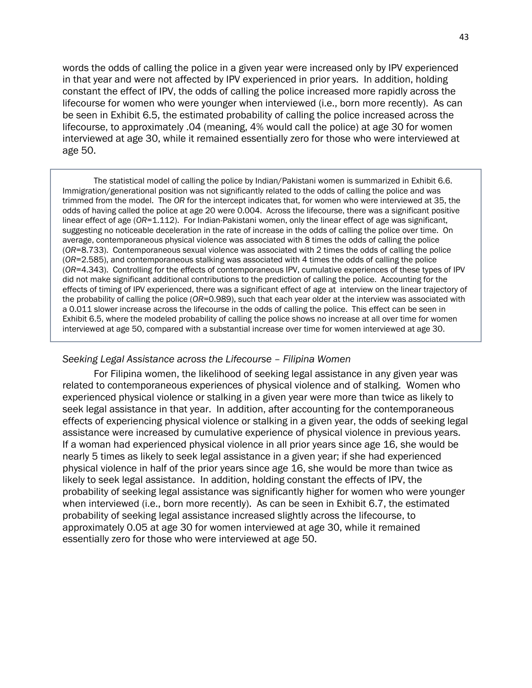words the odds of calling the police in a given year were increased only by IPV experienced in that year and were not affected by IPV experienced in prior years. In addition, holding constant the effect of IPV, the odds of calling the police increased more rapidly across the lifecourse for women who were younger when interviewed (i.e., born more recently). As can be seen in Exhibit 6.5, the estimated probability of calling the police increased across the lifecourse, to approximately .04 (meaning, 4% would call the police) at age 30 for women interviewed at age 30, while it remained essentially zero for those who were interviewed at age 50.

The statistical model of calling the police by Indian/Pakistani women is summarized in Exhibit 6.6. Immigration/generational position was not significantly related to the odds of calling the police and was trimmed from the model. The *OR* for the intercept indicates that, for women who were interviewed at 35, the odds of having called the police at age 20 were 0.004. Across the lifecourse, there was a significant positive linear effect of age (*OR*=1.112). For Indian-Pakistani women, only the linear effect of age was significant, suggesting no noticeable deceleration in the rate of increase in the odds of calling the police over time. On average, contemporaneous physical violence was associated with 8 times the odds of calling the police (*OR*=8.733). Contemporaneous sexual violence was associated with 2 times the odds of calling the police (*OR*=2.585), and contemporaneous stalking was associated with 4 times the odds of calling the police (*OR*=4.343). Controlling for the effects of contemporaneous IPV, cumulative experiences of these types of IPV did not make significant additional contributions to the prediction of calling the police. Accounting for the effects of timing of IPV experienced, there was a significant effect of age at interview on the linear trajectory of the probability of calling the police (*OR*=0.989), such that each year older at the interview was associated with a 0.011 slower increase across the lifecourse in the odds of calling the police. This effect can be seen in Exhibit 6.5, where the modeled probability of calling the police shows no increase at all over time for women interviewed at age 50, compared with a substantial increase over time for women interviewed at age 30.

#### *Seeking Legal Assistance across the Lifecourse – Filipina Women*

For Filipina women, the likelihood of seeking legal assistance in any given year was related to contemporaneous experiences of physical violence and of stalking. Women who experienced physical violence or stalking in a given year were more than twice as likely to seek legal assistance in that year. In addition, after accounting for the contemporaneous effects of experiencing physical violence or stalking in a given year, the odds of seeking legal assistance were increased by cumulative experience of physical violence in previous years. If a woman had experienced physical violence in all prior years since age 16, she would be nearly 5 times as likely to seek legal assistance in a given year; if she had experienced physical violence in half of the prior years since age 16, she would be more than twice as likely to seek legal assistance. In addition, holding constant the effects of IPV, the probability of seeking legal assistance was significantly higher for women who were younger when interviewed (i.e., born more recently). As can be seen in Exhibit 6.7, the estimated probability of seeking legal assistance increased slightly across the lifecourse, to approximately 0.05 at age 30 for women interviewed at age 30, while it remained essentially zero for those who were interviewed at age 50.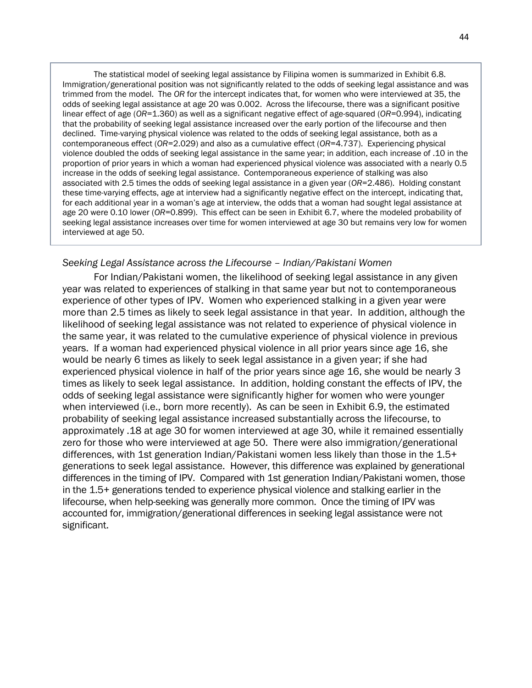The statistical model of seeking legal assistance by Filipina women is summarized in Exhibit 6.8. Immigration/generational position was not significantly related to the odds of seeking legal assistance and was trimmed from the model. The *OR* for the intercept indicates that, for women who were interviewed at 35, the odds of seeking legal assistance at age 20 was 0.002. Across the lifecourse, there was a significant positive linear effect of age (*OR*=1.360) as well as a significant negative effect of age-squared (*OR*=0.994), indicating that the probability of seeking legal assistance increased over the early portion of the lifecourse and then declined. Time-varying physical violence was related to the odds of seeking legal assistance, both as a contemporaneous effect (*OR*=2.029) and also as a cumulative effect (*OR*=4.737). Experiencing physical violence doubled the odds of seeking legal assistance in the same year; in addition, each increase of .10 in the proportion of prior years in which a woman had experienced physical violence was associated with a nearly 0.5 increase in the odds of seeking legal assistance. Contemporaneous experience of stalking was also associated with 2.5 times the odds of seeking legal assistance in a given year (*OR*=2.486). Holding constant these time-varying effects, age at interview had a significantly negative effect on the intercept, indicating that, for each additional year in a woman's age at interview, the odds that a woman had sought legal assistance at age 20 were 0.10 lower (*OR*=0.899). This effect can be seen in Exhibit 6.7, where the modeled probability of seeking legal assistance increases over time for women interviewed at age 30 but remains very low for women interviewed at age 50.

## *Seeking Legal Assistance across the Lifecourse – Indian/Pakistani Women*

For Indian/Pakistani women, the likelihood of seeking legal assistance in any given year was related to experiences of stalking in that same year but not to contemporaneous experience of other types of IPV. Women who experienced stalking in a given year were more than 2.5 times as likely to seek legal assistance in that year. In addition, although the likelihood of seeking legal assistance was not related to experience of physical violence in the same year, it was related to the cumulative experience of physical violence in previous years. If a woman had experienced physical violence in all prior years since age 16, she would be nearly 6 times as likely to seek legal assistance in a given year; if she had experienced physical violence in half of the prior years since age 16, she would be nearly 3 times as likely to seek legal assistance. In addition, holding constant the effects of IPV, the odds of seeking legal assistance were significantly higher for women who were younger when interviewed (i.e., born more recently). As can be seen in Exhibit 6.9, the estimated probability of seeking legal assistance increased substantially across the lifecourse, to approximately .18 at age 30 for women interviewed at age 30, while it remained essentially zero for those who were interviewed at age 50. There were also immigration/generational differences, with 1st generation Indian/Pakistani women less likely than those in the 1.5+ generations to seek legal assistance. However, this difference was explained by generational differences in the timing of IPV. Compared with 1st generation Indian/Pakistani women, those in the 1.5+ generations tended to experience physical violence and stalking earlier in the lifecourse, when help-seeking was generally more common. Once the timing of IPV was accounted for, immigration/generational differences in seeking legal assistance were not significant.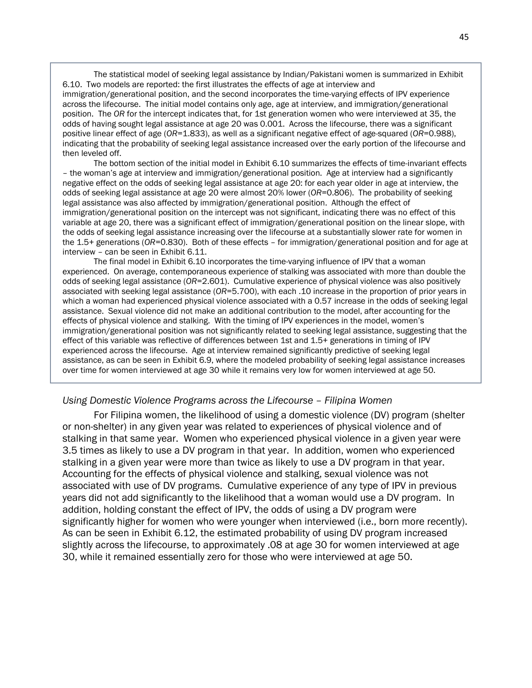The statistical model of seeking legal assistance by Indian/Pakistani women is summarized in Exhibit 6.10. Two models are reported: the first illustrates the effects of age at interview and immigration/generational position, and the second incorporates the time-varying effects of IPV experience across the lifecourse. The initial model contains only age, age at interview, and immigration/generational position. The *OR* for the intercept indicates that, for 1st generation women who were interviewed at 35, the odds of having sought legal assistance at age 20 was 0.001. Across the lifecourse, there was a significant positive linear effect of age (*OR*=1.833), as well as a significant negative effect of age-squared (*OR*=0.988), indicating that the probability of seeking legal assistance increased over the early portion of the lifecourse and then leveled off.

The bottom section of the initial model in Exhibit 6.10 summarizes the effects of time-invariant effects – the woman's age at interview and immigration/generational position. Age at interview had a significantly negative effect on the odds of seeking legal assistance at age 20: for each year older in age at interview, the odds of seeking legal assistance at age 20 were almost 20% lower (*OR*=0.806). The probability of seeking legal assistance was also affected by immigration/generational position. Although the effect of immigration/generational position on the intercept was not significant, indicating there was no effect of this variable at age 20, there was a significant effect of immigration/generational position on the linear slope, with the odds of seeking legal assistance increasing over the lifecourse at a substantially slower rate for women in the 1.5+ generations (*OR*=0.830). Both of these effects – for immigration/generational position and for age at interview – can be seen in Exhibit 6.11.

The final model in Exhibit 6.10 incorporates the time-varying influence of IPV that a woman experienced. On average, contemporaneous experience of stalking was associated with more than double the odds of seeking legal assistance (*OR*=2.601). Cumulative experience of physical violence was also positively associated with seeking legal assistance (*OR*=5.700), with each .10 increase in the proportion of prior years in which a woman had experienced physical violence associated with a 0.57 increase in the odds of seeking legal assistance. Sexual violence did not make an additional contribution to the model, after accounting for the effects of physical violence and stalking. With the timing of IPV experiences in the model, women's immigration/generational position was not significantly related to seeking legal assistance, suggesting that the effect of this variable was reflective of differences between 1st and 1.5+ generations in timing of IPV experienced across the lifecourse. Age at interview remained significantly predictive of seeking legal assistance, as can be seen in Exhibit 6.9, where the modeled probability of seeking legal assistance increases over time for women interviewed at age 30 while it remains very low for women interviewed at age 50.

## *Using Domestic Violence Programs across the Lifecourse – Filipina Women*

For Filipina women, the likelihood of using a domestic violence (DV) program (shelter or non-shelter) in any given year was related to experiences of physical violence and of stalking in that same year. Women who experienced physical violence in a given year were 3.5 times as likely to use a DV program in that year. In addition, women who experienced stalking in a given year were more than twice as likely to use a DV program in that year. Accounting for the effects of physical violence and stalking, sexual violence was not associated with use of DV programs. Cumulative experience of any type of IPV in previous years did not add significantly to the likelihood that a woman would use a DV program. In addition, holding constant the effect of IPV, the odds of using a DV program were significantly higher for women who were younger when interviewed (i.e., born more recently). As can be seen in Exhibit 6.12, the estimated probability of using DV program increased slightly across the lifecourse, to approximately .08 at age 30 for women interviewed at age 30, while it remained essentially zero for those who were interviewed at age 50.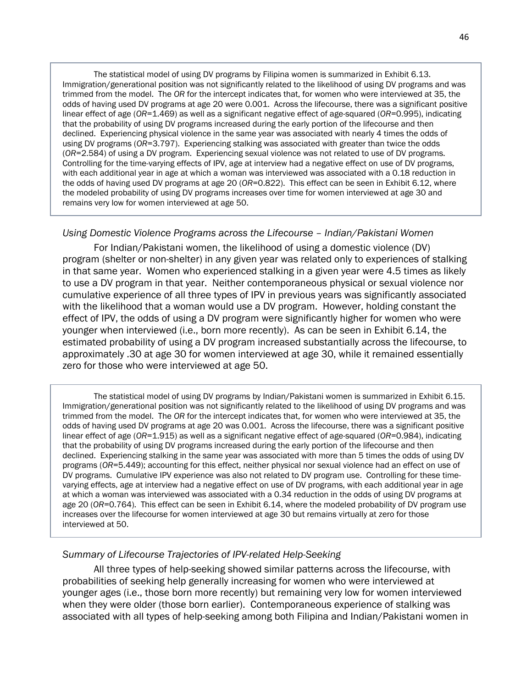The statistical model of using DV programs by Filipina women is summarized in Exhibit 6.13. Immigration/generational position was not significantly related to the likelihood of using DV programs and was trimmed from the model. The *OR* for the intercept indicates that, for women who were interviewed at 35, the odds of having used DV programs at age 20 were 0.001. Across the lifecourse, there was a significant positive linear effect of age (*OR*=1.469) as well as a significant negative effect of age-squared (*OR*=0.995), indicating that the probability of using DV programs increased during the early portion of the lifecourse and then declined. Experiencing physical violence in the same year was associated with nearly 4 times the odds of using DV programs (*OR*=3.797). Experiencing stalking was associated with greater than twice the odds (*OR*=2.584) of using a DV program. Experiencing sexual violence was not related to use of DV programs. Controlling for the time-varying effects of IPV, age at interview had a negative effect on use of DV programs, with each additional year in age at which a woman was interviewed was associated with a 0.18 reduction in the odds of having used DV programs at age 20 (*OR*=0.822). This effect can be seen in Exhibit 6.12, where the modeled probability of using DV programs increases over time for women interviewed at age 30 and remains very low for women interviewed at age 50.

# *Using Domestic Violence Programs across the Lifecourse – Indian/Pakistani Women*

For Indian/Pakistani women, the likelihood of using a domestic violence (DV) program (shelter or non-shelter) in any given year was related only to experiences of stalking in that same year. Women who experienced stalking in a given year were 4.5 times as likely to use a DV program in that year. Neither contemporaneous physical or sexual violence nor cumulative experience of all three types of IPV in previous years was significantly associated with the likelihood that a woman would use a DV program. However, holding constant the effect of IPV, the odds of using a DV program were significantly higher for women who were younger when interviewed (i.e., born more recently). As can be seen in Exhibit 6.14, the estimated probability of using a DV program increased substantially across the lifecourse, to approximately .30 at age 30 for women interviewed at age 30, while it remained essentially zero for those who were interviewed at age 50.

The statistical model of using DV programs by Indian/Pakistani women is summarized in Exhibit 6.15. Immigration/generational position was not significantly related to the likelihood of using DV programs and was trimmed from the model. The *OR* for the intercept indicates that, for women who were interviewed at 35, the odds of having used DV programs at age 20 was 0.001. Across the lifecourse, there was a significant positive linear effect of age (*OR*=1.915) as well as a significant negative effect of age-squared (*OR*=0.984), indicating that the probability of using DV programs increased during the early portion of the lifecourse and then declined. Experiencing stalking in the same year was associated with more than 5 times the odds of using DV programs (*OR*=5.449); accounting for this effect, neither physical nor sexual violence had an effect on use of DV programs. Cumulative IPV experience was also not related to DV program use. Controlling for these timevarying effects, age at interview had a negative effect on use of DV programs, with each additional year in age at which a woman was interviewed was associated with a 0.34 reduction in the odds of using DV programs at age 20 (*OR*=0.764). This effect can be seen in Exhibit 6.14, where the modeled probability of DV program use increases over the lifecourse for women interviewed at age 30 but remains virtually at zero for those interviewed at 50.

## *Summary of Lifecourse Trajectories of IPV-related Help-Seeking*

All three types of help-seeking showed similar patterns across the lifecourse, with probabilities of seeking help generally increasing for women who were interviewed at younger ages (i.e., those born more recently) but remaining very low for women interviewed when they were older (those born earlier). Contemporaneous experience of stalking was associated with all types of help-seeking among both Filipina and Indian/Pakistani women in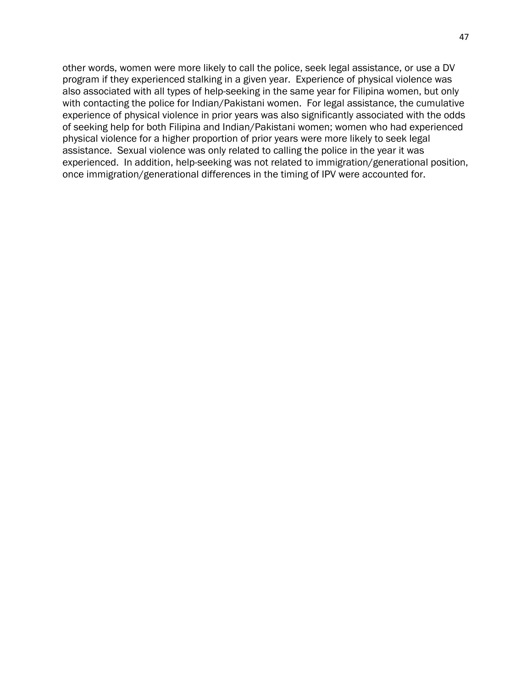other words, women were more likely to call the police, seek legal assistance, or use a DV program if they experienced stalking in a given year. Experience of physical violence was also associated with all types of help-seeking in the same year for Filipina women, but only with contacting the police for Indian/Pakistani women. For legal assistance, the cumulative experience of physical violence in prior years was also significantly associated with the odds of seeking help for both Filipina and Indian/Pakistani women; women who had experienced physical violence for a higher proportion of prior years were more likely to seek legal assistance. Sexual violence was only related to calling the police in the year it was experienced. In addition, help-seeking was not related to immigration/generational position, once immigration/generational differences in the timing of IPV were accounted for.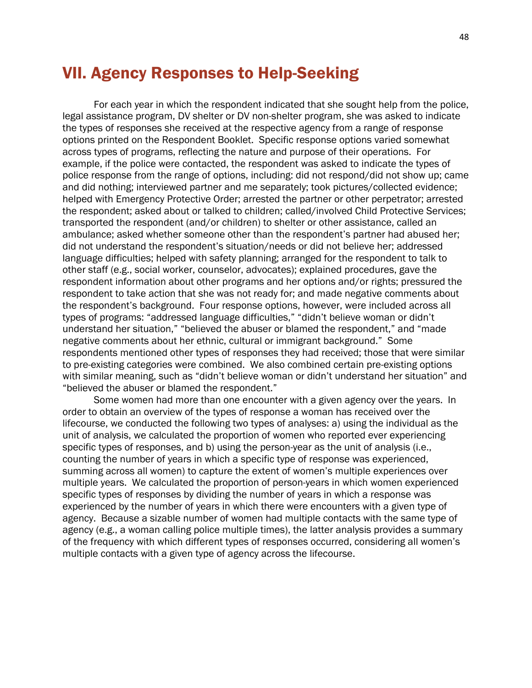# VII. Agency Responses to Help-Seeking

For each year in which the respondent indicated that she sought help from the police, legal assistance program, DV shelter or DV non-shelter program, she was asked to indicate the types of responses she received at the respective agency from a range of response options printed on the Respondent Booklet. Specific response options varied somewhat across types of programs, reflecting the nature and purpose of their operations. For example, if the police were contacted, the respondent was asked to indicate the types of police response from the range of options, including: did not respond/did not show up; came and did nothing; interviewed partner and me separately; took pictures/collected evidence; helped with Emergency Protective Order; arrested the partner or other perpetrator; arrested the respondent; asked about or talked to children; called/involved Child Protective Services; transported the respondent (and/or children) to shelter or other assistance, called an ambulance; asked whether someone other than the respondent's partner had abused her; did not understand the respondent's situation/needs or did not believe her; addressed language difficulties; helped with safety planning; arranged for the respondent to talk to other staff (e.g., social worker, counselor, advocates); explained procedures, gave the respondent information about other programs and her options and/or rights; pressured the respondent to take action that she was not ready for; and made negative comments about the respondent's background. Four response options, however, were included across all types of programs: "addressed language difficulties," "didn't believe woman or didn't understand her situation," "believed the abuser or blamed the respondent," and "made negative comments about her ethnic, cultural or immigrant background." Some respondents mentioned other types of responses they had received; those that were similar to pre-existing categories were combined. We also combined certain pre-existing options with similar meaning, such as "didn't believe woman or didn't understand her situation" and "believed the abuser or blamed the respondent."

Some women had more than one encounter with a given agency over the years. In order to obtain an overview of the types of response a woman has received over the lifecourse, we conducted the following two types of analyses: a) using the individual as the unit of analysis, we calculated the proportion of women who reported ever experiencing specific types of responses, and b) using the person-year as the unit of analysis (i.e., counting the number of years in which a specific type of response was experienced, summing across all women) to capture the extent of women's multiple experiences over multiple years. We calculated the proportion of person-years in which women experienced specific types of responses by dividing the number of years in which a response was experienced by the number of years in which there were encounters with a given type of agency. Because a sizable number of women had multiple contacts with the same type of agency (e.g., a woman calling police multiple times), the latter analysis provides a summary of the frequency with which different types of responses occurred, considering all women's multiple contacts with a given type of agency across the lifecourse.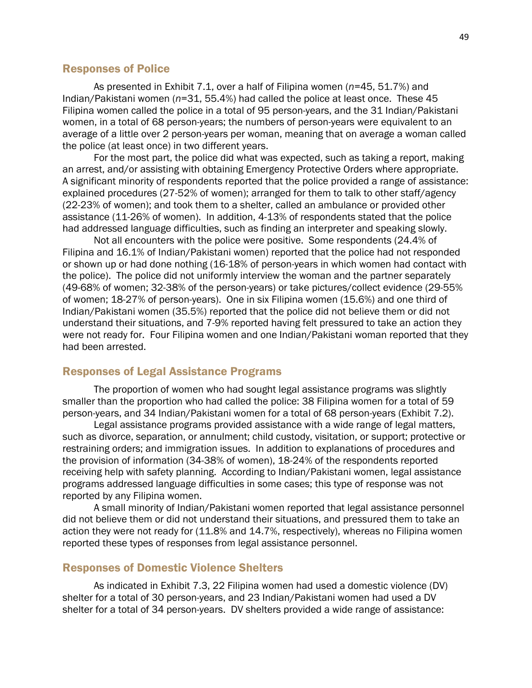# Responses of Police

As presented in Exhibit 7.1, over a half of Filipina women (*n*=45, 51.7%) and Indian/Pakistani women (*n*=31, 55.4%) had called the police at least once. These 45 Filipina women called the police in a total of 95 person-years, and the 31 Indian/Pakistani women, in a total of 68 person-years; the numbers of person-years were equivalent to an average of a little over 2 person-years per woman, meaning that on average a woman called the police (at least once) in two different years.

For the most part, the police did what was expected, such as taking a report, making an arrest, and/or assisting with obtaining Emergency Protective Orders where appropriate. A significant minority of respondents reported that the police provided a range of assistance: explained procedures (27-52% of women); arranged for them to talk to other staff/agency (22-23% of women); and took them to a shelter, called an ambulance or provided other assistance (11-26% of women). In addition, 4-13% of respondents stated that the police had addressed language difficulties, such as finding an interpreter and speaking slowly.

Not all encounters with the police were positive. Some respondents (24.4% of Filipina and 16.1% of Indian/Pakistani women) reported that the police had not responded or shown up or had done nothing (16-18% of person-years in which women had contact with the police). The police did not uniformly interview the woman and the partner separately (49-68% of women; 32-38% of the person-years) or take pictures/collect evidence (29-55% of women; 18-27% of person-years). One in six Filipina women (15.6%) and one third of Indian/Pakistani women (35.5%) reported that the police did not believe them or did not understand their situations, and 7-9% reported having felt pressured to take an action they were not ready for. Four Filipina women and one Indian/Pakistani woman reported that they had been arrested.

## Responses of Legal Assistance Programs

The proportion of women who had sought legal assistance programs was slightly smaller than the proportion who had called the police: 38 Filipina women for a total of 59 person-years, and 34 Indian/Pakistani women for a total of 68 person-years (Exhibit 7.2).

Legal assistance programs provided assistance with a wide range of legal matters, such as divorce, separation, or annulment; child custody, visitation, or support; protective or restraining orders; and immigration issues. In addition to explanations of procedures and the provision of information (34-38% of women), 18-24% of the respondents reported receiving help with safety planning. According to Indian/Pakistani women, legal assistance programs addressed language difficulties in some cases; this type of response was not reported by any Filipina women.

A small minority of Indian/Pakistani women reported that legal assistance personnel did not believe them or did not understand their situations, and pressured them to take an action they were not ready for (11.8% and 14.7%, respectively), whereas no Filipina women reported these types of responses from legal assistance personnel.

# Responses of Domestic Violence Shelters

As indicated in Exhibit 7.3, 22 Filipina women had used a domestic violence (DV) shelter for a total of 30 person-years, and 23 Indian/Pakistani women had used a DV shelter for a total of 34 person-years. DV shelters provided a wide range of assistance: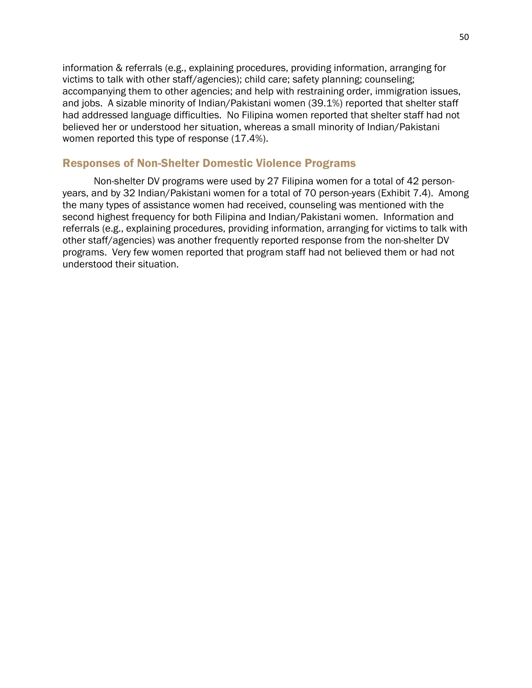information & referrals (e.g., explaining procedures, providing information, arranging for victims to talk with other staff/agencies); child care; safety planning; counseling; accompanying them to other agencies; and help with restraining order, immigration issues, and jobs. A sizable minority of Indian/Pakistani women (39.1%) reported that shelter staff had addressed language difficulties. No Filipina women reported that shelter staff had not believed her or understood her situation, whereas a small minority of Indian/Pakistani women reported this type of response (17.4%).

# Responses of Non-Shelter Domestic Violence Programs

Non-shelter DV programs were used by 27 Filipina women for a total of 42 personyears, and by 32 Indian/Pakistani women for a total of 70 person-years (Exhibit 7.4). Among the many types of assistance women had received, counseling was mentioned with the second highest frequency for both Filipina and Indian/Pakistani women. Information and referrals (e.g., explaining procedures, providing information, arranging for victims to talk with other staff/agencies) was another frequently reported response from the non-shelter DV programs. Very few women reported that program staff had not believed them or had not understood their situation.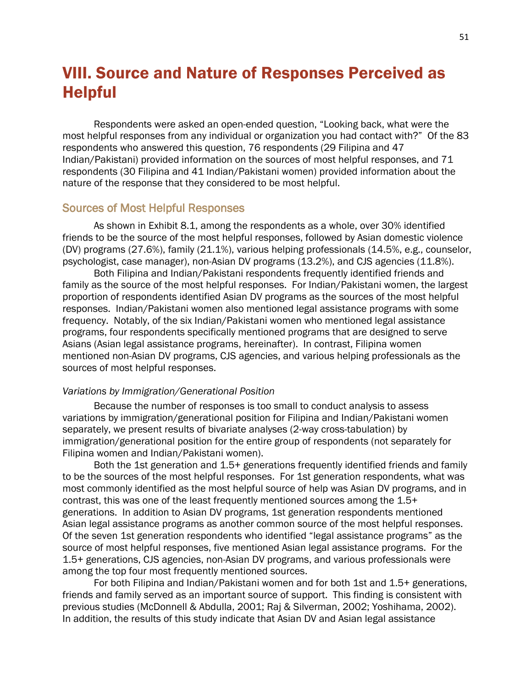# VIII. Source and Nature of Responses Perceived as Helpful

Respondents were asked an open-ended question, "Looking back, what were the most helpful responses from any individual or organization you had contact with?" Of the 83 respondents who answered this question, 76 respondents (29 Filipina and 47 Indian/Pakistani) provided information on the sources of most helpful responses, and 71 respondents (30 Filipina and 41 Indian/Pakistani women) provided information about the nature of the response that they considered to be most helpful.

# Sources of Most Helpful Responses

As shown in Exhibit 8.1, among the respondents as a whole, over 30% identified friends to be the source of the most helpful responses, followed by Asian domestic violence (DV) programs (27.6%), family (21.1%), various helping professionals (14.5%, e.g., counselor, psychologist, case manager), non-Asian DV programs (13.2%), and CJS agencies (11.8%).

Both Filipina and Indian/Pakistani respondents frequently identified friends and family as the source of the most helpful responses. For Indian/Pakistani women, the largest proportion of respondents identified Asian DV programs as the sources of the most helpful responses. Indian/Pakistani women also mentioned legal assistance programs with some frequency. Notably, of the six Indian/Pakistani women who mentioned legal assistance programs, four respondents specifically mentioned programs that are designed to serve Asians (Asian legal assistance programs, hereinafter). In contrast, Filipina women mentioned non-Asian DV programs, CJS agencies, and various helping professionals as the sources of most helpful responses.

## *Variations by Immigration/Generational Position*

Because the number of responses is too small to conduct analysis to assess variations by immigration/generational position for Filipina and Indian/Pakistani women separately, we present results of bivariate analyses (2-way cross-tabulation) by immigration/generational position for the entire group of respondents (not separately for Filipina women and Indian/Pakistani women).

Both the 1st generation and 1.5+ generations frequently identified friends and family to be the sources of the most helpful responses. For 1st generation respondents, what was most commonly identified as the most helpful source of help was Asian DV programs, and in contrast, this was one of the least frequently mentioned sources among the 1.5+ generations. In addition to Asian DV programs, 1st generation respondents mentioned Asian legal assistance programs as another common source of the most helpful responses. Of the seven 1st generation respondents who identified "legal assistance programs" as the source of most helpful responses, five mentioned Asian legal assistance programs. For the 1.5+ generations, CJS agencies, non-Asian DV programs, and various professionals were among the top four most frequently mentioned sources.

For both Filipina and Indian/Pakistani women and for both 1st and 1.5+ generations, friends and family served as an important source of support. This finding is consistent with previous studies (McDonnell & Abdulla, 2001; Raj & Silverman, 2002; Yoshihama, 2002). In addition, the results of this study indicate that Asian DV and Asian legal assistance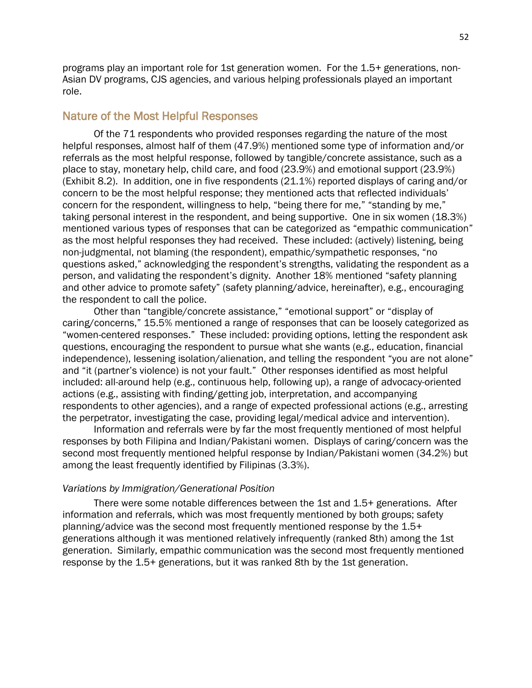programs play an important role for 1st generation women. For the 1.5+ generations, non-Asian DV programs, CJS agencies, and various helping professionals played an important role.

# Nature of the Most Helpful Responses

Of the 71 respondents who provided responses regarding the nature of the most helpful responses, almost half of them (47.9%) mentioned some type of information and/or referrals as the most helpful response, followed by tangible/concrete assistance, such as a place to stay, monetary help, child care, and food (23.9%) and emotional support (23.9%) (Exhibit 8.2). In addition, one in five respondents (21.1%) reported displays of caring and/or concern to be the most helpful response; they mentioned acts that reflected individuals' concern for the respondent, willingness to help, "being there for me," "standing by me," taking personal interest in the respondent, and being supportive. One in six women (18.3%) mentioned various types of responses that can be categorized as "empathic communication" as the most helpful responses they had received. These included: (actively) listening, being non-judgmental, not blaming (the respondent), empathic/sympathetic responses, "no questions asked," acknowledging the respondent's strengths, validating the respondent as a person, and validating the respondent's dignity. Another 18% mentioned "safety planning and other advice to promote safety" (safety planning/advice, hereinafter), e.g., encouraging the respondent to call the police.

Other than "tangible/concrete assistance," "emotional support" or "display of caring/concerns," 15.5% mentioned a range of responses that can be loosely categorized as "women-centered responses." These included: providing options, letting the respondent ask questions, encouraging the respondent to pursue what she wants (e.g., education, financial independence), lessening isolation/alienation, and telling the respondent "you are not alone" and "it (partner's violence) is not your fault." Other responses identified as most helpful included: all-around help (e.g., continuous help, following up), a range of advocacy-oriented actions (e.g., assisting with finding/getting job, interpretation, and accompanying respondents to other agencies), and a range of expected professional actions (e.g., arresting the perpetrator, investigating the case, providing legal/medical advice and intervention).

Information and referrals were by far the most frequently mentioned of most helpful responses by both Filipina and Indian/Pakistani women. Displays of caring/concern was the second most frequently mentioned helpful response by Indian/Pakistani women (34.2%) but among the least frequently identified by Filipinas (3.3%).

## *Variations by Immigration/Generational Position*

There were some notable differences between the 1st and 1.5+ generations. After information and referrals, which was most frequently mentioned by both groups; safety planning/advice was the second most frequently mentioned response by the 1.5+ generations although it was mentioned relatively infrequently (ranked 8th) among the 1st generation. Similarly, empathic communication was the second most frequently mentioned response by the 1.5+ generations, but it was ranked 8th by the 1st generation.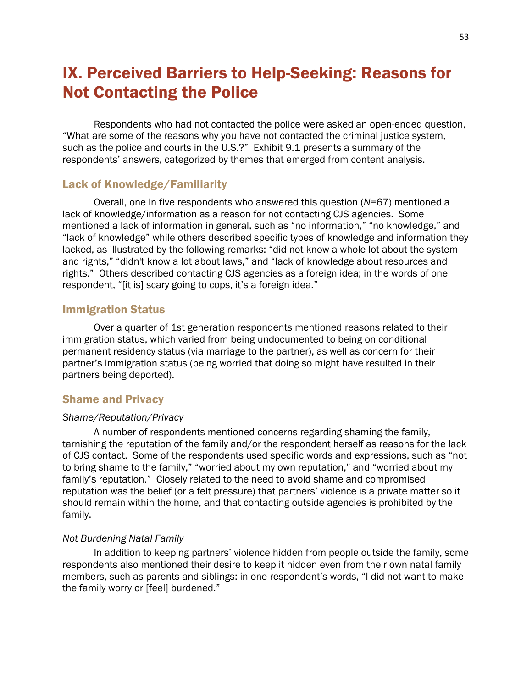# IX. Perceived Barriers to Help-Seeking: Reasons for Not Contacting the Police

Respondents who had not contacted the police were asked an open-ended question, "What are some of the reasons why you have not contacted the criminal justice system, such as the police and courts in the U.S.?" Exhibit 9.1 presents a summary of the respondents' answers, categorized by themes that emerged from content analysis.

# Lack of Knowledge/Familiarity

Overall, one in five respondents who answered this question (*N*=67) mentioned a lack of knowledge/information as a reason for not contacting CJS agencies. Some mentioned a lack of information in general, such as "no information," "no knowledge," and "lack of knowledge" while others described specific types of knowledge and information they lacked, as illustrated by the following remarks: "did not know a whole lot about the system and rights," "didn't know a lot about laws," and "lack of knowledge about resources and rights." Others described contacting CJS agencies as a foreign idea; in the words of one respondent, "[it is] scary going to cops, it's a foreign idea."

## Immigration Status

Over a quarter of 1st generation respondents mentioned reasons related to their immigration status, which varied from being undocumented to being on conditional permanent residency status (via marriage to the partner), as well as concern for their partner's immigration status (being worried that doing so might have resulted in their partners being deported).

# Shame and Privacy

## *Shame/Reputation/Privacy*

A number of respondents mentioned concerns regarding shaming the family, tarnishing the reputation of the family and/or the respondent herself as reasons for the lack of CJS contact. Some of the respondents used specific words and expressions, such as "not to bring shame to the family," "worried about my own reputation," and "worried about my family's reputation." Closely related to the need to avoid shame and compromised reputation was the belief (or a felt pressure) that partners' violence is a private matter so it should remain within the home, and that contacting outside agencies is prohibited by the family.

#### *Not Burdening Natal Family*

In addition to keeping partners' violence hidden from people outside the family, some respondents also mentioned their desire to keep it hidden even from their own natal family members, such as parents and siblings: in one respondent's words, "I did not want to make the family worry or [feel] burdened."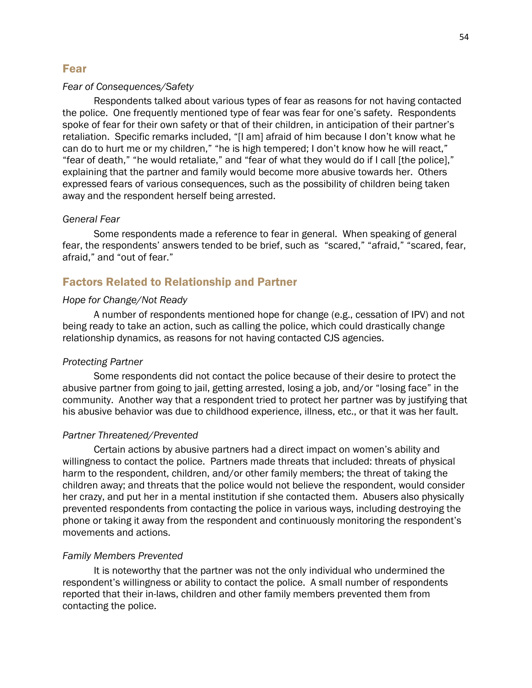## Fear

#### *Fear of Consequences/Safety*

Respondents talked about various types of fear as reasons for not having contacted the police. One frequently mentioned type of fear was fear for one's safety. Respondents spoke of fear for their own safety or that of their children, in anticipation of their partner's retaliation. Specific remarks included, "[I am] afraid of him because I don't know what he can do to hurt me or my children," "he is high tempered; I don't know how he will react," "fear of death," "he would retaliate," and "fear of what they would do if I call [the police]," explaining that the partner and family would become more abusive towards her. Others expressed fears of various consequences, such as the possibility of children being taken away and the respondent herself being arrested.

## *General Fear*

Some respondents made a reference to fear in general. When speaking of general fear, the respondents' answers tended to be brief, such as "scared," "afraid," "scared, fear, afraid," and "out of fear."

# Factors Related to Relationship and Partner

## *Hope for Change/Not Ready*

A number of respondents mentioned hope for change (e.g., cessation of IPV) and not being ready to take an action, such as calling the police, which could drastically change relationship dynamics, as reasons for not having contacted CJS agencies.

#### *Protecting Partner*

Some respondents did not contact the police because of their desire to protect the abusive partner from going to jail, getting arrested, losing a job, and/or "losing face" in the community. Another way that a respondent tried to protect her partner was by justifying that his abusive behavior was due to childhood experience, illness, etc., or that it was her fault.

## *Partner Threatened/Prevented*

Certain actions by abusive partners had a direct impact on women's ability and willingness to contact the police. Partners made threats that included: threats of physical harm to the respondent, children, and/or other family members; the threat of taking the children away; and threats that the police would not believe the respondent, would consider her crazy, and put her in a mental institution if she contacted them. Abusers also physically prevented respondents from contacting the police in various ways, including destroying the phone or taking it away from the respondent and continuously monitoring the respondent's movements and actions.

#### *Family Members Prevented*

It is noteworthy that the partner was not the only individual who undermined the respondent's willingness or ability to contact the police. A small number of respondents reported that their in-laws, children and other family members prevented them from contacting the police.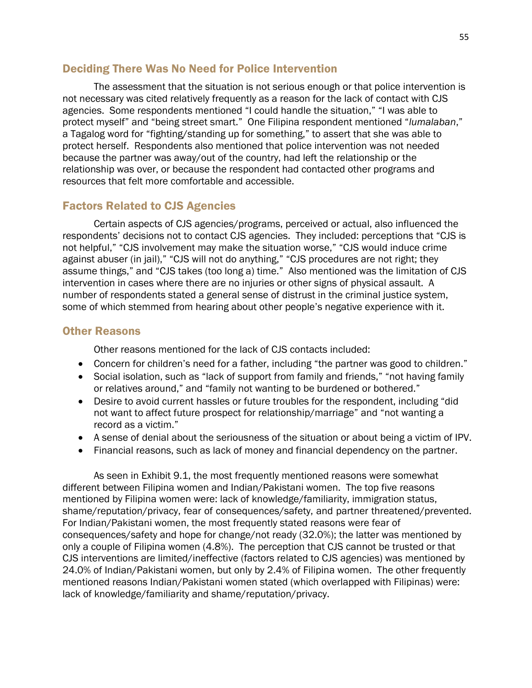# Deciding There Was No Need for Police Intervention

The assessment that the situation is not serious enough or that police intervention is not necessary was cited relatively frequently as a reason for the lack of contact with CJS agencies. Some respondents mentioned "I could handle the situation," "I was able to protect myself" and "being street smart." One Filipina respondent mentioned "*lumalaban*," a Tagalog word for "fighting/standing up for something," to assert that she was able to protect herself. Respondents also mentioned that police intervention was not needed because the partner was away/out of the country, had left the relationship or the relationship was over, or because the respondent had contacted other programs and resources that felt more comfortable and accessible.

# Factors Related to CJS Agencies

Certain aspects of CJS agencies/programs, perceived or actual, also influenced the respondents' decisions not to contact CJS agencies. They included: perceptions that "CJS is not helpful," "CJS involvement may make the situation worse," "CJS would induce crime against abuser (in jail)," "CJS will not do anything," "CJS procedures are not right; they assume things," and "CJS takes (too long a) time." Also mentioned was the limitation of CJS intervention in cases where there are no injuries or other signs of physical assault. A number of respondents stated a general sense of distrust in the criminal justice system, some of which stemmed from hearing about other people's negative experience with it.

# Other Reasons

Other reasons mentioned for the lack of CJS contacts included:

- Concern for children's need for a father, including "the partner was good to children."
- Social isolation, such as "lack of support from family and friends," "not having family or relatives around," and "family not wanting to be burdened or bothered."
- Desire to avoid current hassles or future troubles for the respondent, including "did not want to affect future prospect for relationship/marriage" and "not wanting a record as a victim."
- A sense of denial about the seriousness of the situation or about being a victim of IPV.
- Financial reasons, such as lack of money and financial dependency on the partner.

As seen in Exhibit 9.1, the most frequently mentioned reasons were somewhat different between Filipina women and Indian/Pakistani women. The top five reasons mentioned by Filipina women were: lack of knowledge/familiarity, immigration status, shame/reputation/privacy, fear of consequences/safety, and partner threatened/prevented. For Indian/Pakistani women, the most frequently stated reasons were fear of consequences/safety and hope for change/not ready (32.0%); the latter was mentioned by only a couple of Filipina women (4.8%). The perception that CJS cannot be trusted or that CJS interventions are limited/ineffective (factors related to CJS agencies) was mentioned by 24.0% of Indian/Pakistani women, but only by 2.4% of Filipina women. The other frequently mentioned reasons Indian/Pakistani women stated (which overlapped with Filipinas) were: lack of knowledge/familiarity and shame/reputation/privacy.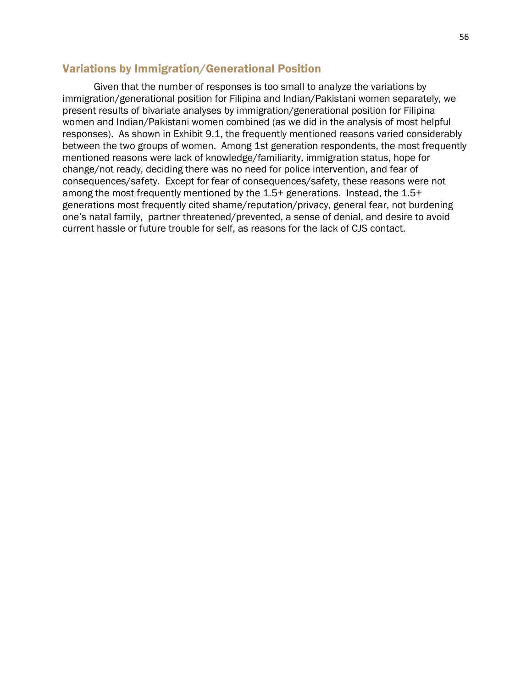# Variations by Immigration/Generational Position

Given that the number of responses is too small to analyze the variations by immigration/generational position for Filipina and Indian/Pakistani women separately, we present results of bivariate analyses by immigration/generational position for Filipina women and Indian/Pakistani women combined (as we did in the analysis of most helpful responses). As shown in Exhibit 9.1, the frequently mentioned reasons varied considerably between the two groups of women. Among 1st generation respondents, the most frequently mentioned reasons were lack of knowledge/familiarity, immigration status, hope for change/not ready, deciding there was no need for police intervention, and fear of consequences/safety. Except for fear of consequences/safety, these reasons were not among the most frequently mentioned by the 1.5+ generations. Instead, the 1.5+ generations most frequently cited shame/reputation/privacy, general fear, not burdening one's natal family, partner threatened/prevented, a sense of denial, and desire to avoid current hassle or future trouble for self, as reasons for the lack of CJS contact.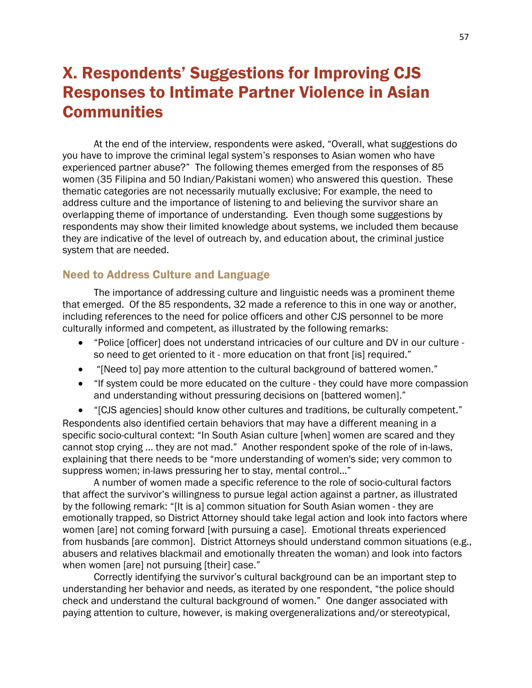# X. Respondents' Suggestions for Improving CJS Responses to Intimate Partner Violence in Asian **Communities**

At the end of the interview, respondents were asked, "Overall, what suggestions do you have to improve the criminal legal system's responses to Asian women who have experienced partner abuse?" The following themes emerged from the responses of 85 women (35 Filipina and 50 Indian/Pakistani women) who answered this question. These thematic categories are not necessarily mutually exclusive; For example, the need to address culture and the importance of listening to and believing the survivor share an overlapping theme of importance of understanding. Even though some suggestions by respondents may show their limited knowledge about systems, we included them because they are indicative of the level of outreach by, and education about, the criminal justice system that are needed.

# Need to Address Culture and Language

The importance of addressing culture and linguistic needs was a prominent theme that emerged. Of the 85 respondents, 32 made a reference to this in one way or another, including references to the need for police officers and other CJS personnel to be more culturally informed and competent, as illustrated by the following remarks:

- "Police [officer] does not understand intricacies of our culture and DV in our culture so need to get oriented to it - more education on that front [is] required."
- "[Need to] pay more attention to the cultural background of battered women."
- "If system could be more educated on the culture they could have more compassion and understanding without pressuring decisions on [battered women]."
- "[CJS agencies] should know other cultures and traditions, be culturally competent."

Respondents also identified certain behaviors that may have a different meaning in a specific socio-cultural context: "In South Asian culture [when] women are scared and they cannot stop crying … they are not mad." Another respondent spoke of the role of in-laws, explaining that there needs to be "more understanding of women's side; very common to suppress women; in-laws pressuring her to stay, mental control…"

A number of women made a specific reference to the role of socio-cultural factors that affect the survivor's willingness to pursue legal action against a partner, as illustrated by the following remark: "[It is a] common situation for South Asian women - they are emotionally trapped, so District Attorney should take legal action and look into factors where women [are] not coming forward [with pursuing a case]. Emotional threats experienced from husbands [are common]. District Attorneys should understand common situations (e.g., abusers and relatives blackmail and emotionally threaten the woman) and look into factors when women [are] not pursuing [their] case."

Correctly identifying the survivor's cultural background can be an important step to understanding her behavior and needs, as iterated by one respondent, "the police should check and understand the cultural background of women." One danger associated with paying attention to culture, however, is making overgeneralizations and/or stereotypical,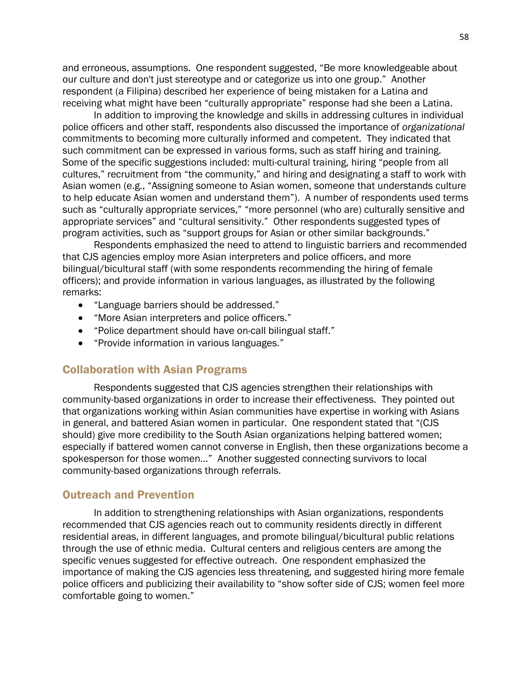and erroneous, assumptions. One respondent suggested, "Be more knowledgeable about our culture and don't just stereotype and or categorize us into one group." Another respondent (a Filipina) described her experience of being mistaken for a Latina and receiving what might have been "culturally appropriate" response had she been a Latina.

In addition to improving the knowledge and skills in addressing cultures in individual police officers and other staff, respondents also discussed the importance of *organizational*  commitments to becoming more culturally informed and competent. They indicated that such commitment can be expressed in various forms, such as staff hiring and training. Some of the specific suggestions included: multi-cultural training, hiring "people from all cultures," recruitment from "the community," and hiring and designating a staff to work with Asian women (e.g., "Assigning someone to Asian women, someone that understands culture to help educate Asian women and understand them"). A number of respondents used terms such as "culturally appropriate services," "more personnel (who are) culturally sensitive and appropriate services" and "cultural sensitivity." Other respondents suggested types of program activities, such as "support groups for Asian or other similar backgrounds."

Respondents emphasized the need to attend to linguistic barriers and recommended that CJS agencies employ more Asian interpreters and police officers, and more bilingual/bicultural staff (with some respondents recommending the hiring of female officers); and provide information in various languages, as illustrated by the following remarks:

- "Language barriers should be addressed."
- "More Asian interpreters and police officers."
- "Police department should have on-call bilingual staff."
- "Provide information in various languages."

# Collaboration with Asian Programs

Respondents suggested that CJS agencies strengthen their relationships with community-based organizations in order to increase their effectiveness. They pointed out that organizations working within Asian communities have expertise in working with Asians in general, and battered Asian women in particular. One respondent stated that "(CJS should) give more credibility to the South Asian organizations helping battered women; especially if battered women cannot converse in English, then these organizations become a spokesperson for those women..." Another suggested connecting survivors to local community-based organizations through referrals.

## Outreach and Prevention

In addition to strengthening relationships with Asian organizations, respondents recommended that CJS agencies reach out to community residents directly in different residential areas, in different languages, and promote bilingual/bicultural public relations through the use of ethnic media. Cultural centers and religious centers are among the specific venues suggested for effective outreach. One respondent emphasized the importance of making the CJS agencies less threatening, and suggested hiring more female police officers and publicizing their availability to "show softer side of CJS; women feel more comfortable going to women."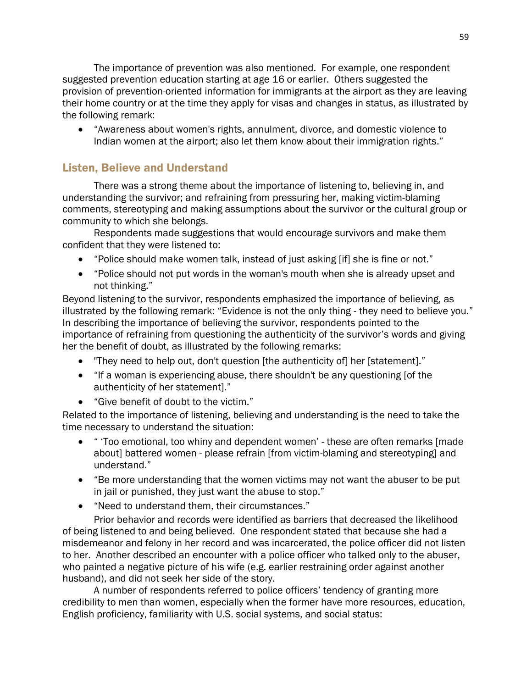The importance of prevention was also mentioned. For example, one respondent suggested prevention education starting at age 16 or earlier. Others suggested the provision of prevention-oriented information for immigrants at the airport as they are leaving their home country or at the time they apply for visas and changes in status, as illustrated by the following remark:

 "Awareness about women's rights, annulment, divorce, and domestic violence to Indian women at the airport; also let them know about their immigration rights."

# Listen, Believe and Understand

There was a strong theme about the importance of listening to, believing in, and understanding the survivor; and refraining from pressuring her, making victim-blaming comments, stereotyping and making assumptions about the survivor or the cultural group or community to which she belongs.

Respondents made suggestions that would encourage survivors and make them confident that they were listened to:

- "Police should make women talk, instead of just asking [if] she is fine or not."
- "Police should not put words in the woman's mouth when she is already upset and not thinking."

Beyond listening to the survivor, respondents emphasized the importance of believing, as illustrated by the following remark: "Evidence is not the only thing - they need to believe you." In describing the importance of believing the survivor, respondents pointed to the importance of refraining from questioning the authenticity of the survivor's words and giving her the benefit of doubt, as illustrated by the following remarks:

- "They need to help out, don't question [the authenticity of] her [statement]."
- "If a woman is experiencing abuse, there shouldn't be any questioning [of the authenticity of her statement]."
- "Give benefit of doubt to the victim."

Related to the importance of listening, believing and understanding is the need to take the time necessary to understand the situation:

- " 'Too emotional, too whiny and dependent women' these are often remarks [made about] battered women - please refrain [from victim-blaming and stereotyping] and understand."
- "Be more understanding that the women victims may not want the abuser to be put in jail or punished, they just want the abuse to stop."
- "Need to understand them, their circumstances."

Prior behavior and records were identified as barriers that decreased the likelihood of being listened to and being believed. One respondent stated that because she had a misdemeanor and felony in her record and was incarcerated, the police officer did not listen to her. Another described an encounter with a police officer who talked only to the abuser, who painted a negative picture of his wife (e.g. earlier restraining order against another husband), and did not seek her side of the story.

A number of respondents referred to police officers' tendency of granting more credibility to men than women, especially when the former have more resources, education, English proficiency, familiarity with U.S. social systems, and social status: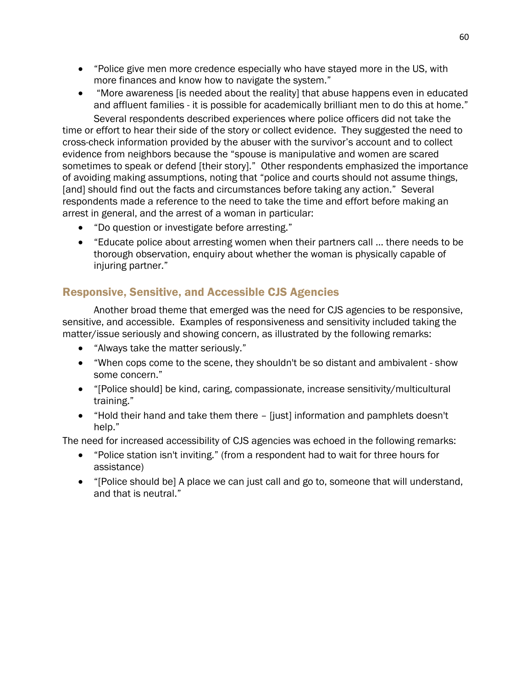- "Police give men more credence especially who have stayed more in the US, with more finances and know how to navigate the system."
- "More awareness [is needed about the reality] that abuse happens even in educated and affluent families - it is possible for academically brilliant men to do this at home." Several respondents described experiences where police officers did not take the

time or effort to hear their side of the story or collect evidence. They suggested the need to cross-check information provided by the abuser with the survivor's account and to collect evidence from neighbors because the "spouse is manipulative and women are scared sometimes to speak or defend [their story]." Other respondents emphasized the importance of avoiding making assumptions, noting that "police and courts should not assume things, [and] should find out the facts and circumstances before taking any action." Several respondents made a reference to the need to take the time and effort before making an arrest in general, and the arrest of a woman in particular:

- "Do question or investigate before arresting."
- "Educate police about arresting women when their partners call … there needs to be thorough observation, enquiry about whether the woman is physically capable of injuring partner."

# Responsive, Sensitive, and Accessible CJS Agencies

Another broad theme that emerged was the need for CJS agencies to be responsive, sensitive, and accessible. Examples of responsiveness and sensitivity included taking the matter/issue seriously and showing concern, as illustrated by the following remarks:

- "Always take the matter seriously."
- "When cops come to the scene, they shouldn't be so distant and ambivalent show some concern."
- "[Police should] be kind, caring, compassionate, increase sensitivity/multicultural training."
- "Hold their hand and take them there [just] information and pamphlets doesn't help."

The need for increased accessibility of CJS agencies was echoed in the following remarks:

- "Police station isn't inviting." (from a respondent had to wait for three hours for assistance)
- "[Police should be] A place we can just call and go to, someone that will understand, and that is neutral."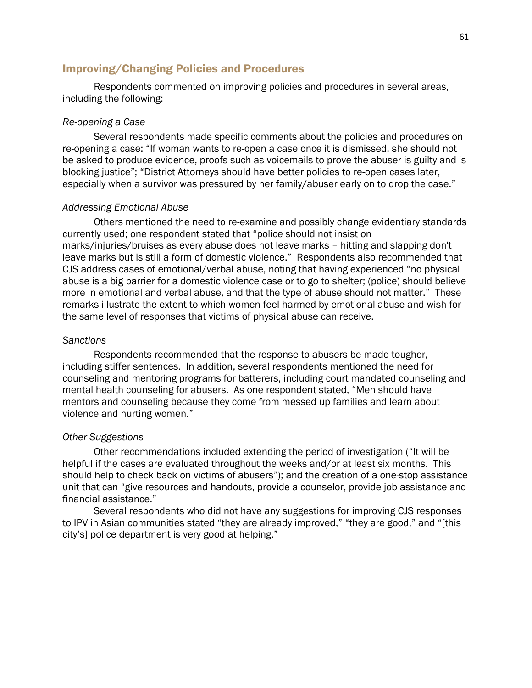# Improving/Changing Policies and Procedures

Respondents commented on improving policies and procedures in several areas, including the following:

## *Re-opening a Case*

Several respondents made specific comments about the policies and procedures on re-opening a case: "If woman wants to re-open a case once it is dismissed, she should not be asked to produce evidence, proofs such as voicemails to prove the abuser is guilty and is blocking justice"; "District Attorneys should have better policies to re-open cases later, especially when a survivor was pressured by her family/abuser early on to drop the case."

## *Addressing Emotional Abuse*

Others mentioned the need to re-examine and possibly change evidentiary standards currently used; one respondent stated that "police should not insist on marks/injuries/bruises as every abuse does not leave marks – hitting and slapping don't leave marks but is still a form of domestic violence." Respondents also recommended that CJS address cases of emotional/verbal abuse, noting that having experienced "no physical abuse is a big barrier for a domestic violence case or to go to shelter; (police) should believe more in emotional and verbal abuse, and that the type of abuse should not matter." These remarks illustrate the extent to which women feel harmed by emotional abuse and wish for the same level of responses that victims of physical abuse can receive.

## *Sanctions*

Respondents recommended that the response to abusers be made tougher, including stiffer sentences. In addition, several respondents mentioned the need for counseling and mentoring programs for batterers, including court mandated counseling and mental health counseling for abusers. As one respondent stated, "Men should have mentors and counseling because they come from messed up families and learn about violence and hurting women."

#### *Other Suggestions*

Other recommendations included extending the period of investigation ("It will be helpful if the cases are evaluated throughout the weeks and/or at least six months. This should help to check back on victims of abusers"); and the creation of a one-stop assistance unit that can "give resources and handouts, provide a counselor, provide job assistance and financial assistance."

Several respondents who did not have any suggestions for improving CJS responses to IPV in Asian communities stated "they are already improved," "they are good," and "[this city's] police department is very good at helping."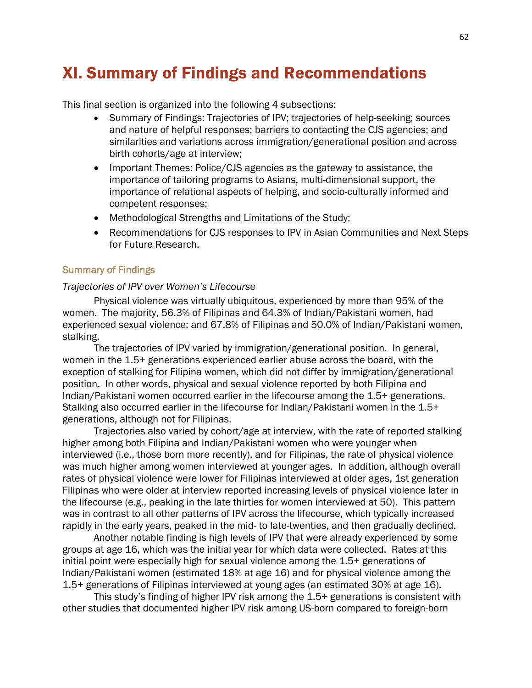# XI. Summary of Findings and Recommendations

This final section is organized into the following 4 subsections:

- Summary of Findings: Trajectories of IPV; trajectories of help-seeking; sources and nature of helpful responses; barriers to contacting the CJS agencies; and similarities and variations across immigration/generational position and across birth cohorts/age at interview;
- Important Themes: Police/CJS agencies as the gateway to assistance, the importance of tailoring programs to Asians, multi-dimensional support, the importance of relational aspects of helping, and socio-culturally informed and competent responses;
- Methodological Strengths and Limitations of the Study;
- Recommendations for CJS responses to IPV in Asian Communities and Next Steps for Future Research.

## Summary of Findings

# *Trajectories of IPV over Women's Lifecourse*

Physical violence was virtually ubiquitous, experienced by more than 95% of the women. The majority, 56.3% of Filipinas and 64.3% of Indian/Pakistani women, had experienced sexual violence; and 67.8% of Filipinas and 50.0% of Indian/Pakistani women, stalking.

The trajectories of IPV varied by immigration/generational position. In general, women in the 1.5+ generations experienced earlier abuse across the board, with the exception of stalking for Filipina women, which did not differ by immigration/generational position. In other words, physical and sexual violence reported by both Filipina and Indian/Pakistani women occurred earlier in the lifecourse among the 1.5+ generations. Stalking also occurred earlier in the lifecourse for Indian/Pakistani women in the 1.5+ generations, although not for Filipinas.

Trajectories also varied by cohort/age at interview, with the rate of reported stalking higher among both Filipina and Indian/Pakistani women who were younger when interviewed (i.e., those born more recently), and for Filipinas, the rate of physical violence was much higher among women interviewed at younger ages. In addition, although overall rates of physical violence were lower for Filipinas interviewed at older ages, 1st generation Filipinas who were older at interview reported increasing levels of physical violence later in the lifecourse (e.g., peaking in the late thirties for women interviewed at 50). This pattern was in contrast to all other patterns of IPV across the lifecourse, which typically increased rapidly in the early years, peaked in the mid- to late-twenties, and then gradually declined.

Another notable finding is high levels of IPV that were already experienced by some groups at age 16, which was the initial year for which data were collected. Rates at this initial point were especially high for sexual violence among the 1.5+ generations of Indian/Pakistani women (estimated 18% at age 16) and for physical violence among the 1.5+ generations of Filipinas interviewed at young ages (an estimated 30% at age 16).

This study's finding of higher IPV risk among the 1.5+ generations is consistent with other studies that documented higher IPV risk among US-born compared to foreign-born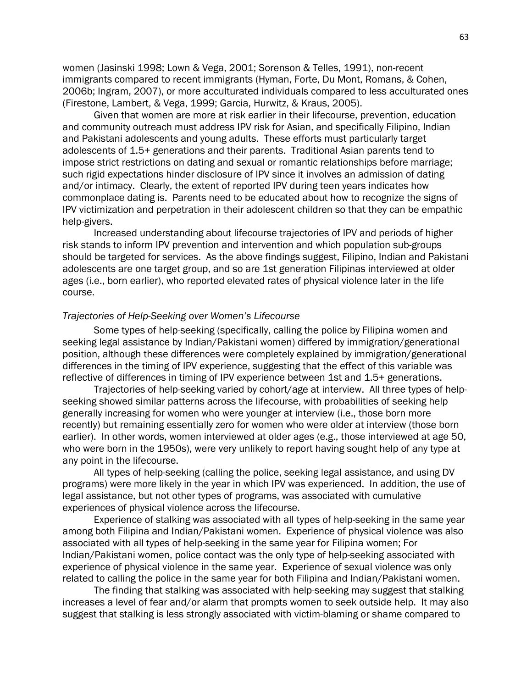women (Jasinski 1998; Lown & Vega, 2001; Sorenson & Telles, 1991), non-recent immigrants compared to recent immigrants (Hyman, Forte, Du Mont, Romans, & Cohen, 2006b; Ingram, 2007), or more acculturated individuals compared to less acculturated ones (Firestone, Lambert, & Vega, 1999; Garcia, Hurwitz, & Kraus, 2005).

Given that women are more at risk earlier in their lifecourse, prevention, education and community outreach must address IPV risk for Asian, and specifically Filipino, Indian and Pakistani adolescents and young adults. These efforts must particularly target adolescents of 1.5+ generations and their parents. Traditional Asian parents tend to impose strict restrictions on dating and sexual or romantic relationships before marriage; such rigid expectations hinder disclosure of IPV since it involves an admission of dating and/or intimacy. Clearly, the extent of reported IPV during teen years indicates how commonplace dating is. Parents need to be educated about how to recognize the signs of IPV victimization and perpetration in their adolescent children so that they can be empathic help-givers.

Increased understanding about lifecourse trajectories of IPV and periods of higher risk stands to inform IPV prevention and intervention and which population sub-groups should be targeted for services. As the above findings suggest, Filipino, Indian and Pakistani adolescents are one target group, and so are 1st generation Filipinas interviewed at older ages (i.e., born earlier), who reported elevated rates of physical violence later in the life course.

## *Trajectories of Help-Seeking over Women's Lifecourse*

Some types of help-seeking (specifically, calling the police by Filipina women and seeking legal assistance by Indian/Pakistani women) differed by immigration/generational position, although these differences were completely explained by immigration/generational differences in the timing of IPV experience, suggesting that the effect of this variable was reflective of differences in timing of IPV experience between 1st and 1.5+ generations.

Trajectories of help-seeking varied by cohort/age at interview. All three types of helpseeking showed similar patterns across the lifecourse, with probabilities of seeking help generally increasing for women who were younger at interview (i.e., those born more recently) but remaining essentially zero for women who were older at interview (those born earlier). In other words, women interviewed at older ages (e.g., those interviewed at age 50, who were born in the 1950s), were very unlikely to report having sought help of any type at any point in the lifecourse.

All types of help-seeking (calling the police, seeking legal assistance, and using DV programs) were more likely in the year in which IPV was experienced. In addition, the use of legal assistance, but not other types of programs, was associated with cumulative experiences of physical violence across the lifecourse.

Experience of stalking was associated with all types of help-seeking in the same year among both Filipina and Indian/Pakistani women. Experience of physical violence was also associated with all types of help-seeking in the same year for Filipina women; For Indian/Pakistani women, police contact was the only type of help-seeking associated with experience of physical violence in the same year. Experience of sexual violence was only related to calling the police in the same year for both Filipina and Indian/Pakistani women.

The finding that stalking was associated with help-seeking may suggest that stalking increases a level of fear and/or alarm that prompts women to seek outside help. It may also suggest that stalking is less strongly associated with victim-blaming or shame compared to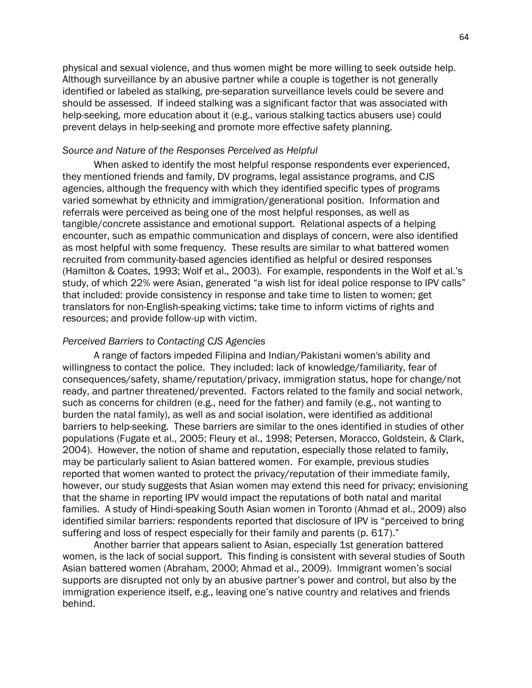physical and sexual violence, and thus women might be more willing to seek outside help. Although surveillance by an abusive partner while a couple is together is not generally identified or labeled as stalking, pre-separation surveillance levels could be severe and should be assessed. If indeed stalking was a significant factor that was associated with help-seeking, more education about it (e.g., various stalking tactics abusers use) could prevent delays in help-seeking and promote more effective safety planning.

## *Source and Nature of the Responses Perceived as Helpful*

When asked to identify the most helpful response respondents ever experienced, they mentioned friends and family, DV programs, legal assistance programs, and CJS agencies, although the frequency with which they identified specific types of programs varied somewhat by ethnicity and immigration/generational position. Information and referrals were perceived as being one of the most helpful responses, as well as tangible/concrete assistance and emotional support. Relational aspects of a helping encounter, such as empathic communication and displays of concern, were also identified as most helpful with some frequency. These results are similar to what battered women recruited from community-based agencies identified as helpful or desired responses (Hamilton & Coates, 1993; Wolf et al., 2003). For example, respondents in the Wolf et al.'s study, of which 22% were Asian, generated "a wish list for ideal police response to IPV calls" that included: provide consistency in response and take time to listen to women; get translators for non-English-speaking victims; take time to inform victims of rights and resources; and provide follow-up with victim.

# *Perceived Barriers to Contacting CJS Agencies*

A range of factors impeded Filipina and Indian/Pakistani women's ability and willingness to contact the police. They included: lack of knowledge/familiarity, fear of consequences/safety, shame/reputation/privacy, immigration status, hope for change/not ready, and partner threatened/prevented. Factors related to the family and social network, such as concerns for children (e.g., need for the father) and family (e.g., not wanting to burden the natal family), as well as and social isolation, were identified as additional barriers to help-seeking. These barriers are similar to the ones identified in studies of other populations (Fugate et al., 2005; Fleury et al., 1998; Petersen, Moracco, Goldstein, & Clark, 2004). However, the notion of shame and reputation, especially those related to family, may be particularly salient to Asian battered women. For example, previous studies reported that women wanted to protect the privacy/reputation of their immediate family, however, our study suggests that Asian women may extend this need for privacy; envisioning that the shame in reporting IPV would impact the reputations of both natal and marital families. A study of Hindi-speaking South Asian women in Toronto (Ahmad et al., 2009) also identified similar barriers: respondents reported that disclosure of IPV is "perceived to bring suffering and loss of respect especially for their family and parents (p. 617)."

Another barrier that appears salient to Asian, especially 1st generation battered women, is the lack of social support. This finding is consistent with several studies of South Asian battered women (Abraham, 2000; Ahmad et al., 2009). Immigrant women's social supports are disrupted not only by an abusive partner's power and control, but also by the immigration experience itself, e.g., leaving one's native country and relatives and friends behind.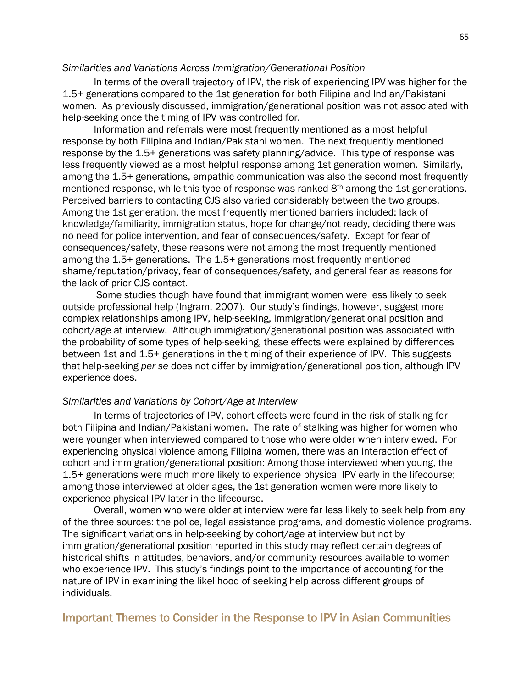## *Similarities and Variations Across Immigration/Generational Position*

In terms of the overall trajectory of IPV, the risk of experiencing IPV was higher for the 1.5+ generations compared to the 1st generation for both Filipina and Indian/Pakistani women. As previously discussed, immigration/generational position was not associated with help-seeking once the timing of IPV was controlled for.

Information and referrals were most frequently mentioned as a most helpful response by both Filipina and Indian/Pakistani women. The next frequently mentioned response by the 1.5+ generations was safety planning/advice. This type of response was less frequently viewed as a most helpful response among 1st generation women. Similarly, among the 1.5+ generations, empathic communication was also the second most frequently mentioned response, while this type of response was ranked 8th among the 1st generations. Perceived barriers to contacting CJS also varied considerably between the two groups. Among the 1st generation, the most frequently mentioned barriers included: lack of knowledge/familiarity, immigration status, hope for change/not ready, deciding there was no need for police intervention, and fear of consequences/safety. Except for fear of consequences/safety, these reasons were not among the most frequently mentioned among the 1.5+ generations. The 1.5+ generations most frequently mentioned shame/reputation/privacy, fear of consequences/safety, and general fear as reasons for the lack of prior CJS contact.

Some studies though have found that immigrant women were less likely to seek outside professional help (Ingram, 2007). Our study's findings, however, suggest more complex relationships among IPV, help-seeking, immigration/generational position and cohort/age at interview. Although immigration/generational position was associated with the probability of some types of help-seeking, these effects were explained by differences between 1st and 1.5+ generations in the timing of their experience of IPV. This suggests that help-seeking *per se* does not differ by immigration/generational position, although IPV experience does.

## *Similarities and Variations by Cohort/Age at Interview*

In terms of trajectories of IPV, cohort effects were found in the risk of stalking for both Filipina and Indian/Pakistani women. The rate of stalking was higher for women who were younger when interviewed compared to those who were older when interviewed. For experiencing physical violence among Filipina women, there was an interaction effect of cohort and immigration/generational position: Among those interviewed when young, the 1.5+ generations were much more likely to experience physical IPV early in the lifecourse; among those interviewed at older ages, the 1st generation women were more likely to experience physical IPV later in the lifecourse.

Overall, women who were older at interview were far less likely to seek help from any of the three sources: the police, legal assistance programs, and domestic violence programs. The significant variations in help-seeking by cohort/age at interview but not by immigration/generational position reported in this study may reflect certain degrees of historical shifts in attitudes, behaviors, and/or community resources available to women who experience IPV. This study's findings point to the importance of accounting for the nature of IPV in examining the likelihood of seeking help across different groups of individuals.

# Important Themes to Consider in the Response to IPV in Asian Communities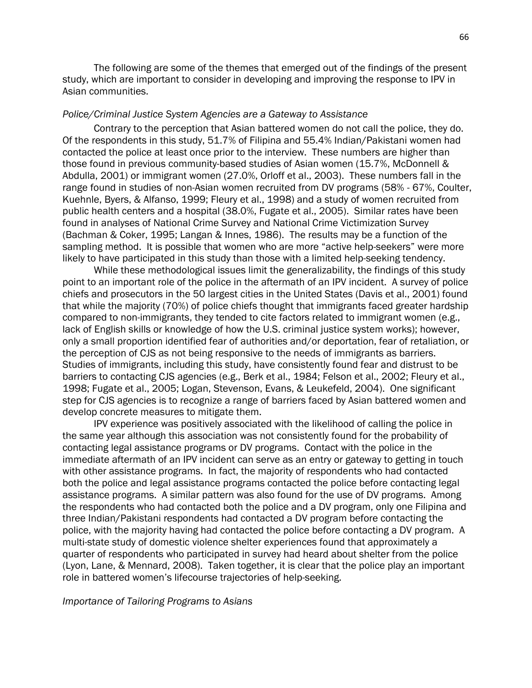The following are some of the themes that emerged out of the findings of the present study, which are important to consider in developing and improving the response to IPV in Asian communities.

## *Police/Criminal Justice System Agencies are a Gateway to Assistance*

Contrary to the perception that Asian battered women do not call the police, they do. Of the respondents in this study, 51.7% of Filipina and 55.4% Indian/Pakistani women had contacted the police at least once prior to the interview. These numbers are higher than those found in previous community-based studies of Asian women (15.7%, McDonnell & Abdulla, 2001) or immigrant women (27.0%, Orloff et al., 2003). These numbers fall in the range found in studies of non-Asian women recruited from DV programs (58% - 67%, Coulter, Kuehnle, Byers, & Alfanso, 1999; Fleury et al., 1998) and a study of women recruited from public health centers and a hospital (38.0%, Fugate et al., 2005). Similar rates have been found in analyses of National Crime Survey and National Crime Victimization Survey (Bachman & Coker, 1995; Langan & Innes, 1986). The results may be a function of the sampling method. It is possible that women who are more "active help-seekers" were more likely to have participated in this study than those with a limited help-seeking tendency.

While these methodological issues limit the generalizability, the findings of this study point to an important role of the police in the aftermath of an IPV incident. A survey of police chiefs and prosecutors in the 50 largest cities in the United States (Davis et al., 2001) found that while the majority (70%) of police chiefs thought that immigrants faced greater hardship compared to non-immigrants, they tended to cite factors related to immigrant women (e.g., lack of English skills or knowledge of how the U.S. criminal justice system works); however, only a small proportion identified fear of authorities and/or deportation, fear of retaliation, or the perception of CJS as not being responsive to the needs of immigrants as barriers. Studies of immigrants, including this study, have consistently found fear and distrust to be barriers to contacting CJS agencies (e.g., Berk et al., 1984; Felson et al., 2002; Fleury et al., 1998; Fugate et al., 2005; Logan, Stevenson, Evans, & Leukefeld, 2004). One significant step for CJS agencies is to recognize a range of barriers faced by Asian battered women and develop concrete measures to mitigate them.

IPV experience was positively associated with the likelihood of calling the police in the same year although this association was not consistently found for the probability of contacting legal assistance programs or DV programs. Contact with the police in the immediate aftermath of an IPV incident can serve as an entry or gateway to getting in touch with other assistance programs. In fact, the majority of respondents who had contacted both the police and legal assistance programs contacted the police before contacting legal assistance programs. A similar pattern was also found for the use of DV programs. Among the respondents who had contacted both the police and a DV program, only one Filipina and three Indian/Pakistani respondents had contacted a DV program before contacting the police, with the majority having had contacted the police before contacting a DV program. A multi-state study of domestic violence shelter experiences found that approximately a quarter of respondents who participated in survey had heard about shelter from the police (Lyon, Lane, & Mennard, 2008). Taken together, it is clear that the police play an important role in battered women's lifecourse trajectories of help-seeking.

*Importance of Tailoring Programs to Asians*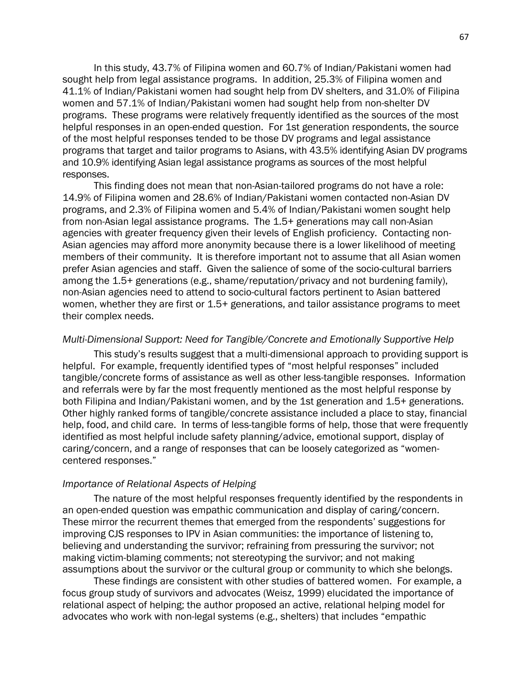In this study, 43.7% of Filipina women and 60.7% of Indian/Pakistani women had sought help from legal assistance programs. In addition, 25.3% of Filipina women and 41.1% of Indian/Pakistani women had sought help from DV shelters, and 31.0% of Filipina women and 57.1% of Indian/Pakistani women had sought help from non-shelter DV programs. These programs were relatively frequently identified as the sources of the most helpful responses in an open-ended question. For 1st generation respondents, the source of the most helpful responses tended to be those DV programs and legal assistance programs that target and tailor programs to Asians, with 43.5% identifying Asian DV programs and 10.9% identifying Asian legal assistance programs as sources of the most helpful responses.

This finding does not mean that non-Asian-tailored programs do not have a role: 14.9% of Filipina women and 28.6% of Indian/Pakistani women contacted non-Asian DV programs, and 2.3% of Filipina women and 5.4% of Indian/Pakistani women sought help from non-Asian legal assistance programs. The 1.5+ generations may call non-Asian agencies with greater frequency given their levels of English proficiency. Contacting non-Asian agencies may afford more anonymity because there is a lower likelihood of meeting members of their community. It is therefore important not to assume that all Asian women prefer Asian agencies and staff. Given the salience of some of the socio-cultural barriers among the 1.5+ generations (e.g., shame/reputation/privacy and not burdening family), non-Asian agencies need to attend to socio-cultural factors pertinent to Asian battered women, whether they are first or 1.5+ generations, and tailor assistance programs to meet their complex needs.

## *Multi-Dimensional Support: Need for Tangible/Concrete and Emotionally Supportive Help*

This study's results suggest that a multi-dimensional approach to providing support is helpful. For example, frequently identified types of "most helpful responses" included tangible/concrete forms of assistance as well as other less-tangible responses. Information and referrals were by far the most frequently mentioned as the most helpful response by both Filipina and Indian/Pakistani women, and by the 1st generation and 1.5+ generations. Other highly ranked forms of tangible/concrete assistance included a place to stay, financial help, food, and child care. In terms of less-tangible forms of help, those that were frequently identified as most helpful include safety planning/advice, emotional support, display of caring/concern, and a range of responses that can be loosely categorized as "womencentered responses."

## *Importance of Relational Aspects of Helping*

The nature of the most helpful responses frequently identified by the respondents in an open-ended question was empathic communication and display of caring/concern. These mirror the recurrent themes that emerged from the respondents' suggestions for improving CJS responses to IPV in Asian communities: the importance of listening to, believing and understanding the survivor; refraining from pressuring the survivor; not making victim-blaming comments; not stereotyping the survivor; and not making assumptions about the survivor or the cultural group or community to which she belongs.

These findings are consistent with other studies of battered women. For example, a focus group study of survivors and advocates (Weisz, 1999) elucidated the importance of relational aspect of helping; the author proposed an active, relational helping model for advocates who work with non-legal systems (e.g., shelters) that includes "empathic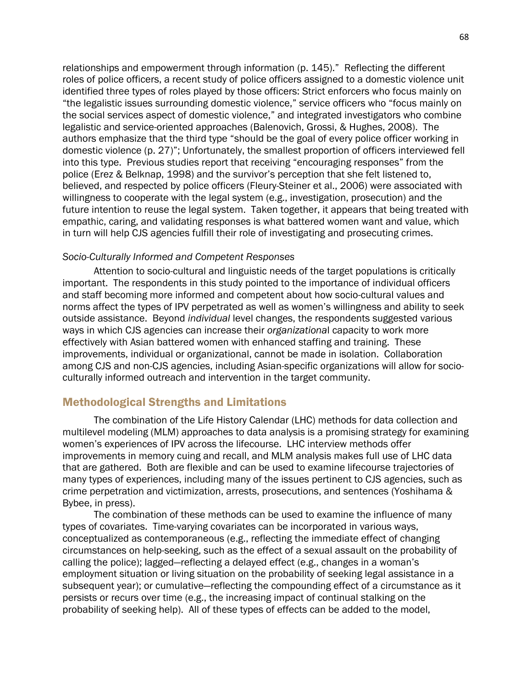relationships and empowerment through information (p. 145)." Reflecting the different roles of police officers, a recent study of police officers assigned to a domestic violence unit identified three types of roles played by those officers: Strict enforcers who focus mainly on "the legalistic issues surrounding domestic violence," service officers who "focus mainly on the social services aspect of domestic violence," and integrated investigators who combine legalistic and service-oriented approaches (Balenovich, Grossi, & Hughes, 2008). The authors emphasize that the third type "should be the goal of every police officer working in domestic violence (p. 27)"; Unfortunately, the smallest proportion of officers interviewed fell into this type. Previous studies report that receiving "encouraging responses" from the police (Erez & Belknap, 1998) and the survivor's perception that she felt listened to, believed, and respected by police officers (Fleury-Steiner et al., 2006) were associated with willingness to cooperate with the legal system (e.g., investigation, prosecution) and the future intention to reuse the legal system. Taken together, it appears that being treated with empathic, caring, and validating responses is what battered women want and value, which in turn will help CJS agencies fulfill their role of investigating and prosecuting crimes.

# *Socio-Culturally Informed and Competent Responses*

Attention to socio-cultural and linguistic needs of the target populations is critically important. The respondents in this study pointed to the importance of individual officers and staff becoming more informed and competent about how socio-cultural values and norms affect the types of IPV perpetrated as well as women's willingness and ability to seek outside assistance. Beyond *individual* level changes, the respondents suggested various ways in which CJS agencies can increase their *organizationa*l capacity to work more effectively with Asian battered women with enhanced staffing and training. These improvements, individual or organizational, cannot be made in isolation. Collaboration among CJS and non-CJS agencies, including Asian-specific organizations will allow for socioculturally informed outreach and intervention in the target community.

# Methodological Strengths and Limitations

The combination of the Life History Calendar (LHC) methods for data collection and multilevel modeling (MLM) approaches to data analysis is a promising strategy for examining women's experiences of IPV across the lifecourse. LHC interview methods offer improvements in memory cuing and recall, and MLM analysis makes full use of LHC data that are gathered. Both are flexible and can be used to examine lifecourse trajectories of many types of experiences, including many of the issues pertinent to CJS agencies, such as crime perpetration and victimization, arrests, prosecutions, and sentences (Yoshihama & Bybee, in press).

The combination of these methods can be used to examine the influence of many types of covariates. Time-varying covariates can be incorporated in various ways, conceptualized as contemporaneous (e.g., reflecting the immediate effect of changing circumstances on help-seeking, such as the effect of a sexual assault on the probability of calling the police); lagged—reflecting a delayed effect (e.g., changes in a woman's employment situation or living situation on the probability of seeking legal assistance in a subsequent year); or cumulative—reflecting the compounding effect of a circumstance as it persists or recurs over time (e.g., the increasing impact of continual stalking on the probability of seeking help). All of these types of effects can be added to the model,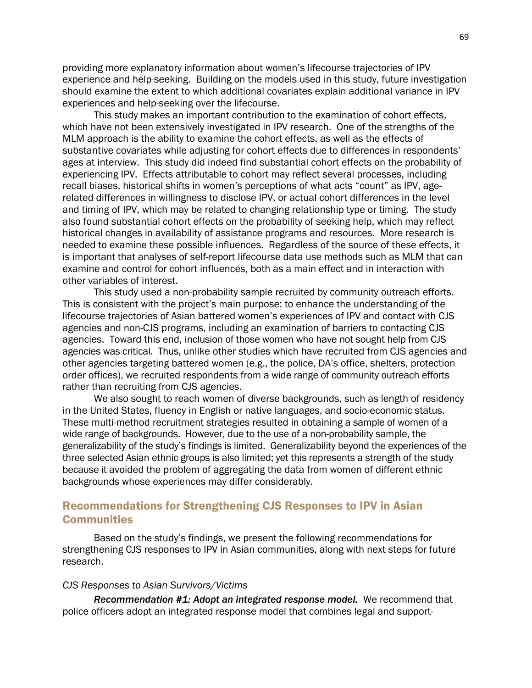providing more explanatory information about women's lifecourse trajectories of IPV experience and help-seeking. Building on the models used in this study, future investigation should examine the extent to which additional covariates explain additional variance in IPV experiences and help-seeking over the lifecourse.

This study makes an important contribution to the examination of cohort effects, which have not been extensively investigated in IPV research. One of the strengths of the MLM approach is the ability to examine the cohort effects, as well as the effects of substantive covariates while adjusting for cohort effects due to differences in respondents' ages at interview. This study did indeed find substantial cohort effects on the probability of experiencing IPV. Effects attributable to cohort may reflect several processes, including recall biases, historical shifts in women's perceptions of what acts "count" as IPV, agerelated differences in willingness to disclose IPV, or actual cohort differences in the level and timing of IPV, which may be related to changing relationship type or timing. The study also found substantial cohort effects on the probability of seeking help, which may reflect historical changes in availability of assistance programs and resources. More research is needed to examine these possible influences. Regardless of the source of these effects, it is important that analyses of self-report lifecourse data use methods such as MLM that can examine and control for cohort influences, both as a main effect and in interaction with other variables of interest.

This study used a non-probability sample recruited by community outreach efforts. This is consistent with the project's main purpose: to enhance the understanding of the lifecourse trajectories of Asian battered women's experiences of IPV and contact with CJS agencies and non-CJS programs, including an examination of barriers to contacting CJS agencies. Toward this end, inclusion of those women who have not sought help from CJS agencies was critical. Thus, unlike other studies which have recruited from CJS agencies and other agencies targeting battered women (e.g., the police, DA's office, shelters, protection order offices), we recruited respondents from a wide range of community outreach efforts rather than recruiting from CJS agencies.

We also sought to reach women of diverse backgrounds, such as length of residency in the United States, fluency in English or native languages, and socio-economic status. These multi-method recruitment strategies resulted in obtaining a sample of women of a wide range of backgrounds. However, due to the use of a non-probability sample, the generalizability of the study's findings is limited. Generalizability beyond the experiences of the three selected Asian ethnic groups is also limited; yet this represents a strength of the study because it avoided the problem of aggregating the data from women of different ethnic backgrounds whose experiences may differ considerably.

# Recommendations for Strengthening CJS Responses to IPV in Asian **Communities**

Based on the study's findings, we present the following recommendations for strengthening CJS responses to IPV in Asian communities, along with next steps for future research.

## *CJS Responses to Asian Survivors/Victims*

*Recommendation #1: Adopt an integrated response model.* We recommend that police officers adopt an integrated response model that combines legal and support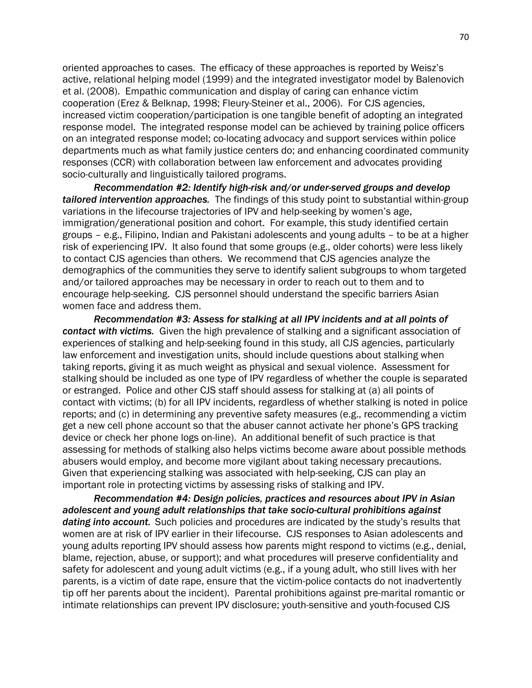oriented approaches to cases. The efficacy of these approaches is reported by Weisz's active, relational helping model (1999) and the integrated investigator model by Balenovich et al. (2008). Empathic communication and display of caring can enhance victim cooperation (Erez & Belknap, 1998; Fleury-Steiner et al., 2006). For CJS agencies, increased victim cooperation/participation is one tangible benefit of adopting an integrated response model. The integrated response model can be achieved by training police officers on an integrated response model; co-locating advocacy and support services within police departments much as what family justice centers do; and enhancing coordinated community responses (CCR) with collaboration between law enforcement and advocates providing socio-culturally and linguistically tailored programs.

*Recommendation #2: Identify high-risk and/or under-served groups and develop tailored intervention approaches.* The findings of this study point to substantial within-group variations in the lifecourse trajectories of IPV and help-seeking by women's age, immigration/generational position and cohort. For example, this study identified certain groups – e.g., Filipino, Indian and Pakistani adolescents and young adults – to be at a higher risk of experiencing IPV. It also found that some groups (e.g., older cohorts) were less likely to contact CJS agencies than others. We recommend that CJS agencies analyze the demographics of the communities they serve to identify salient subgroups to whom targeted and/or tailored approaches may be necessary in order to reach out to them and to encourage help-seeking. CJS personnel should understand the specific barriers Asian women face and address them.

*Recommendation #3: Assess for stalking at all IPV incidents and at all points of contact with victims.* Given the high prevalence of stalking and a significant association of experiences of stalking and help-seeking found in this study, all CJS agencies, particularly law enforcement and investigation units, should include questions about stalking when taking reports, giving it as much weight as physical and sexual violence. Assessment for stalking should be included as one type of IPV regardless of whether the couple is separated or estranged. Police and other CJS staff should assess for stalking at (a) all points of contact with victims; (b) for all IPV incidents, regardless of whether stalking is noted in police reports; and (c) in determining any preventive safety measures (e.g., recommending a victim get a new cell phone account so that the abuser cannot activate her phone's GPS tracking device or check her phone logs on-line). An additional benefit of such practice is that assessing for methods of stalking also helps victims become aware about possible methods abusers would employ, and become more vigilant about taking necessary precautions. Given that experiencing stalking was associated with help-seeking, CJS can play an important role in protecting victims by assessing risks of stalking and IPV.

*Recommendation #4: Design policies, practices and resources about IPV in Asian adolescent and young adult relationships that take socio-cultural prohibitions against dating into account.* Such policies and procedures are indicated by the study's results that women are at risk of IPV earlier in their lifecourse. CJS responses to Asian adolescents and young adults reporting IPV should assess how parents might respond to victims (e.g., denial, blame, rejection, abuse, or support); and what procedures will preserve confidentiality and safety for adolescent and young adult victims (e.g., if a young adult, who still lives with her parents, is a victim of date rape, ensure that the victim-police contacts do not inadvertently tip off her parents about the incident). Parental prohibitions against pre-marital romantic or intimate relationships can prevent IPV disclosure; youth-sensitive and youth-focused CJS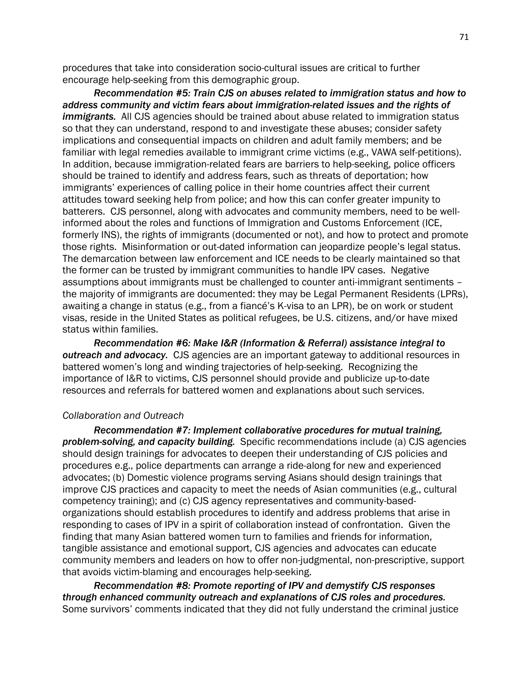procedures that take into consideration socio-cultural issues are critical to further encourage help-seeking from this demographic group.

*Recommendation #5: Train CJS on abuses related to immigration status and how to address community and victim fears about immigration-related issues and the rights of immigrants.* All CJS agencies should be trained about abuse related to immigration status so that they can understand, respond to and investigate these abuses; consider safety implications and consequential impacts on children and adult family members; and be familiar with legal remedies available to immigrant crime victims (e.g., VAWA self-petitions). In addition, because immigration-related fears are barriers to help-seeking, police officers should be trained to identify and address fears, such as threats of deportation; how immigrants' experiences of calling police in their home countries affect their current attitudes toward seeking help from police; and how this can confer greater impunity to batterers. CJS personnel, along with advocates and community members, need to be wellinformed about the roles and functions of Immigration and Customs Enforcement (ICE, formerly INS), the rights of immigrants (documented or not), and how to protect and promote those rights. Misinformation or out-dated information can jeopardize people's legal status. The demarcation between law enforcement and ICE needs to be clearly maintained so that the former can be trusted by immigrant communities to handle IPV cases. Negative assumptions about immigrants must be challenged to counter anti-immigrant sentiments – the majority of immigrants are documented: they may be Legal Permanent Residents (LPRs), awaiting a change in status (e.g., from a fiancé's K-visa to an LPR), be on work or student visas, reside in the United States as political refugees, be U.S. citizens, and/or have mixed status within families.

*Recommendation #6: Make I&R (Information & Referral) assistance integral to outreach and advocacy.* CJS agencies are an important gateway to additional resources in battered women's long and winding trajectories of help-seeking. Recognizing the importance of I&R to victims, CJS personnel should provide and publicize up-to-date resources and referrals for battered women and explanations about such services.

## *Collaboration and Outreach*

*Recommendation #7: Implement collaborative procedures for mutual training, problem-solving, and capacity building.* Specific recommendations include (a) CJS agencies should design trainings for advocates to deepen their understanding of CJS policies and procedures e.g., police departments can arrange a ride-along for new and experienced advocates; (b) Domestic violence programs serving Asians should design trainings that improve CJS practices and capacity to meet the needs of Asian communities (e.g., cultural competency training); and (c) CJS agency representatives and community-basedorganizations should establish procedures to identify and address problems that arise in responding to cases of IPV in a spirit of collaboration instead of confrontation. Given the finding that many Asian battered women turn to families and friends for information, tangible assistance and emotional support, CJS agencies and advocates can educate community members and leaders on how to offer non-judgmental, non-prescriptive, support that avoids victim-blaming and encourages help-seeking.

*Recommendation #8: Promote reporting of IPV and demystify CJS responses through enhanced community outreach and explanations of CJS roles and procedures.* Some survivors' comments indicated that they did not fully understand the criminal justice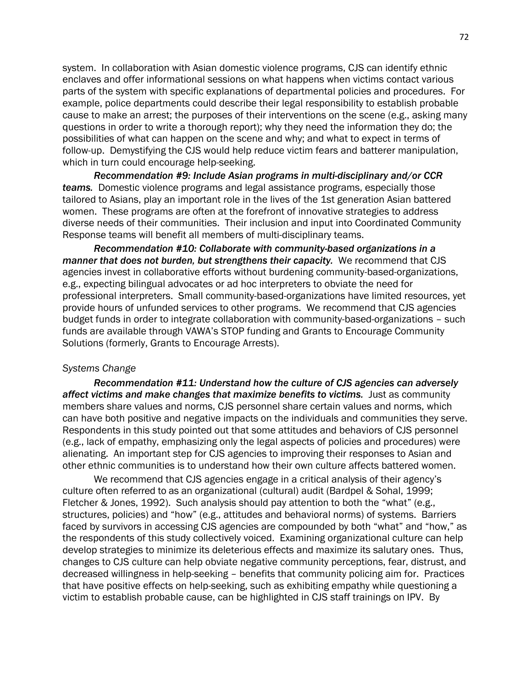system. In collaboration with Asian domestic violence programs, CJS can identify ethnic enclaves and offer informational sessions on what happens when victims contact various parts of the system with specific explanations of departmental policies and procedures. For example, police departments could describe their legal responsibility to establish probable cause to make an arrest; the purposes of their interventions on the scene (e.g., asking many questions in order to write a thorough report); why they need the information they do; the possibilities of what can happen on the scene and why; and what to expect in terms of follow-up. Demystifying the CJS would help reduce victim fears and batterer manipulation, which in turn could encourage help-seeking.

*Recommendation #9: Include Asian programs in multi-disciplinary and/or CCR teams.* Domestic violence programs and legal assistance programs, especially those tailored to Asians, play an important role in the lives of the 1st generation Asian battered women. These programs are often at the forefront of innovative strategies to address diverse needs of their communities. Their inclusion and input into Coordinated Community Response teams will benefit all members of multi-disciplinary teams.

*Recommendation #10: Collaborate with community-based organizations in a manner that does not burden, but strengthens their capacity.* We recommend that CJS agencies invest in collaborative efforts without burdening community-based-organizations, e.g., expecting bilingual advocates or ad hoc interpreters to obviate the need for professional interpreters. Small community-based-organizations have limited resources, yet provide hours of unfunded services to other programs. We recommend that CJS agencies budget funds in order to integrate collaboration with community-based-organizations – such funds are available through VAWA's STOP funding and Grants to Encourage Community Solutions (formerly, Grants to Encourage Arrests).

#### *Systems Change*

*Recommendation #11: Understand how the culture of CJS agencies can adversely affect victims and make changes that maximize benefits to victims.* Just as community members share values and norms, CJS personnel share certain values and norms, which can have both positive and negative impacts on the individuals and communities they serve. Respondents in this study pointed out that some attitudes and behaviors of CJS personnel (e.g., lack of empathy, emphasizing only the legal aspects of policies and procedures) were alienating. An important step for CJS agencies to improving their responses to Asian and other ethnic communities is to understand how their own culture affects battered women.

We recommend that CJS agencies engage in a critical analysis of their agency's culture often referred to as an organizational (cultural) audit (Bardpel & Sohal, 1999; Fletcher & Jones, 1992). Such analysis should pay attention to both the "what" (e.g., structures, policies) and "how" (e.g., attitudes and behavioral norms) of systems. Barriers faced by survivors in accessing CJS agencies are compounded by both "what" and "how," as the respondents of this study collectively voiced. Examining organizational culture can help develop strategies to minimize its deleterious effects and maximize its salutary ones. Thus, changes to CJS culture can help obviate negative community perceptions, fear, distrust, and decreased willingness in help-seeking – benefits that community policing aim for. Practices that have positive effects on help-seeking, such as exhibiting empathy while questioning a victim to establish probable cause, can be highlighted in CJS staff trainings on IPV. By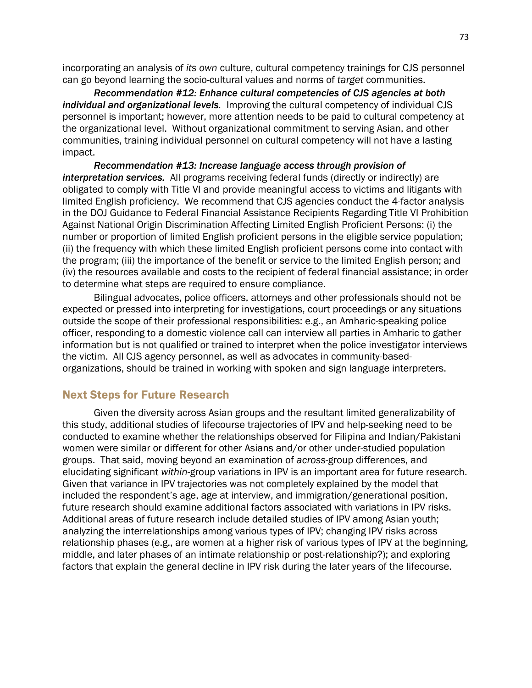incorporating an analysis of *its own* culture, cultural competency trainings for CJS personnel can go beyond learning the socio-cultural values and norms of *target* communities.

*Recommendation #12: Enhance cultural competencies of CJS agencies at both individual and organizational levels.* Improving the cultural competency of individual CJS personnel is important; however, more attention needs to be paid to cultural competency at the organizational level. Without organizational commitment to serving Asian, and other communities, training individual personnel on cultural competency will not have a lasting impact.

*Recommendation #13: Increase language access through provision of interpretation services.* All programs receiving federal funds (directly or indirectly) are obligated to comply with Title VI and provide meaningful access to victims and litigants with limited English proficiency. We recommend that CJS agencies conduct the 4-factor analysis in the DOJ Guidance to Federal Financial Assistance Recipients Regarding Title VI Prohibition Against National Origin Discrimination Affecting Limited English Proficient Persons: (i) the number or proportion of limited English proficient persons in the eligible service population; (ii) the frequency with which these limited English proficient persons come into contact with the program; (iii) the importance of the benefit or service to the limited English person; and (iv) the resources available and costs to the recipient of federal financial assistance; in order to determine what steps are required to ensure compliance.

Bilingual advocates, police officers, attorneys and other professionals should not be expected or pressed into interpreting for investigations, court proceedings or any situations outside the scope of their professional responsibilities: e.g., an Amharic-speaking police officer, responding to a domestic violence call can interview all parties in Amharic to gather information but is not qualified or trained to interpret when the police investigator interviews the victim. All CJS agency personnel, as well as advocates in community-basedorganizations, should be trained in working with spoken and sign language interpreters.

# Next Steps for Future Research

Given the diversity across Asian groups and the resultant limited generalizability of this study, additional studies of lifecourse trajectories of IPV and help-seeking need to be conducted to examine whether the relationships observed for Filipina and Indian/Pakistani women were similar or different for other Asians and/or other under-studied population groups. That said, moving beyond an examination of *across*-group differences, and elucidating significant *within*-group variations in IPV is an important area for future research. Given that variance in IPV trajectories was not completely explained by the model that included the respondent's age, age at interview, and immigration/generational position, future research should examine additional factors associated with variations in IPV risks. Additional areas of future research include detailed studies of IPV among Asian youth; analyzing the interrelationships among various types of IPV; changing IPV risks across relationship phases (e.g., are women at a higher risk of various types of IPV at the beginning, middle, and later phases of an intimate relationship or post-relationship?); and exploring factors that explain the general decline in IPV risk during the later years of the lifecourse.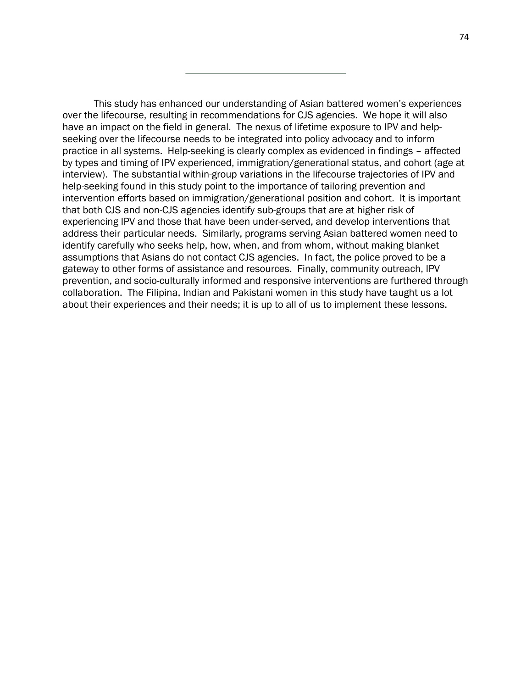This study has enhanced our understanding of Asian battered women's experiences over the lifecourse, resulting in recommendations for CJS agencies. We hope it will also have an impact on the field in general. The nexus of lifetime exposure to IPV and helpseeking over the lifecourse needs to be integrated into policy advocacy and to inform practice in all systems. Help-seeking is clearly complex as evidenced in findings – affected by types and timing of IPV experienced, immigration/generational status, and cohort (age at interview). The substantial within-group variations in the lifecourse trajectories of IPV and help-seeking found in this study point to the importance of tailoring prevention and intervention efforts based on immigration/generational position and cohort. It is important that both CJS and non-CJS agencies identify sub-groups that are at higher risk of experiencing IPV and those that have been under-served, and develop interventions that address their particular needs. Similarly, programs serving Asian battered women need to identify carefully who seeks help, how, when, and from whom, without making blanket assumptions that Asians do not contact CJS agencies. In fact, the police proved to be a gateway to other forms of assistance and resources. Finally, community outreach, IPV prevention, and socio-culturally informed and responsive interventions are furthered through collaboration. The Filipina, Indian and Pakistani women in this study have taught us a lot about their experiences and their needs; it is up to all of us to implement these lessons.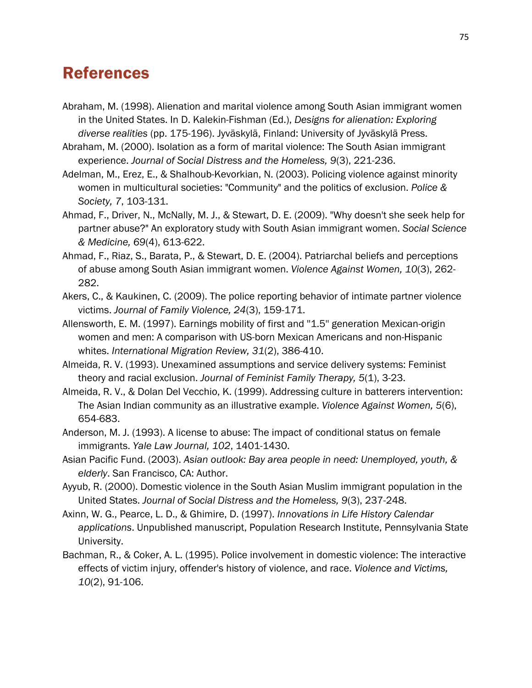# References

- Abraham, M. (1998). Alienation and marital violence among South Asian immigrant women in the United States. In D. Kalekin-Fishman (Ed.), *Designs for alienation: Exploring diverse realities* (pp. 175-196). Jyväskylä, Finland: University of Jyväskylä Press.
- Abraham, M. (2000). Isolation as a form of marital violence: The South Asian immigrant experience. *Journal of Social Distress and the Homeless, 9*(3), 221-236.
- Adelman, M., Erez, E., & Shalhoub-Kevorkian, N. (2003). Policing violence against minority women in multicultural societies: "Community" and the politics of exclusion. *Police & Society, 7*, 103-131.
- Ahmad, F., Driver, N., McNally, M. J., & Stewart, D. E. (2009). "Why doesn't she seek help for partner abuse?" An exploratory study with South Asian immigrant women. *Social Science & Medicine, 69*(4), 613-622.
- Ahmad, F., Riaz, S., Barata, P., & Stewart, D. E. (2004). Patriarchal beliefs and perceptions of abuse among South Asian immigrant women. *Violence Against Women, 10*(3), 262- 282.
- Akers, C., & Kaukinen, C. (2009). The police reporting behavior of intimate partner violence victims. *Journal of Family Violence, 24*(3), 159-171.
- Allensworth, E. M. (1997). Earnings mobility of first and ''1.5'' generation Mexican-origin women and men: A comparison with US-born Mexican Americans and non-Hispanic whites. *International Migration Review, 31*(2), 386-410.
- Almeida, R. V. (1993). Unexamined assumptions and service delivery systems: Feminist theory and racial exclusion. *Journal of Feminist Family Therapy, 5*(1), 3-23.
- Almeida, R. V., & Dolan Del Vecchio, K. (1999). Addressing culture in batterers intervention: The Asian Indian community as an illustrative example. *Violence Against Women, 5*(6), 654-683.
- Anderson, M. J. (1993). A license to abuse: The impact of conditional status on female immigrants. *Yale Law Journal, 102*, 1401-1430.
- Asian Pacific Fund. (2003). *Asian outlook: Bay area people in need: Unemployed, youth, & elderly*. San Francisco, CA: Author.
- Ayyub, R. (2000). Domestic violence in the South Asian Muslim immigrant population in the United States. *Journal of Social Distress and the Homeless, 9*(3), 237-248.
- Axinn, W. G., Pearce, L. D., & Ghimire, D. (1997). *Innovations in Life History Calendar applications*. Unpublished manuscript, Population Research Institute, Pennsylvania State University.
- Bachman, R., & Coker, A. L. (1995). Police involvement in domestic violence: The interactive effects of victim injury, offender's history of violence, and race. *Violence and Victims, 10*(2), 91-106.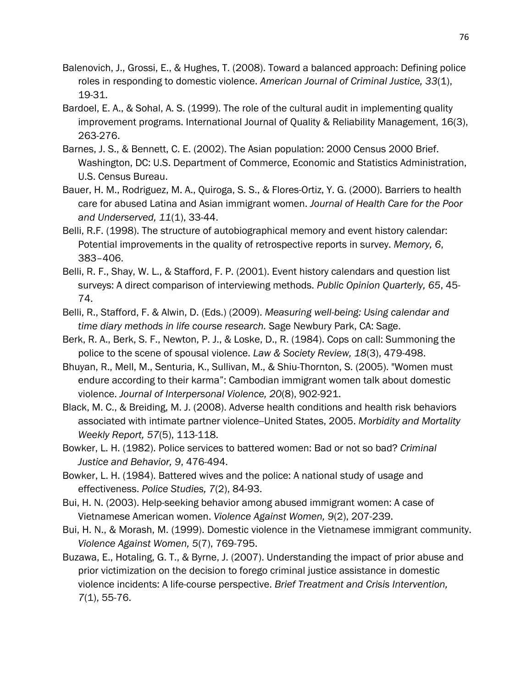- Balenovich, J., Grossi, E., & Hughes, T. (2008). Toward a balanced approach: Defining police roles in responding to domestic violence. *American Journal of Criminal Justice, 33*(1), 19-31.
- Bardoel, E. A., & Sohal, A. S. (1999). The role of the cultural audit in implementing quality improvement programs. International Journal of Quality & Reliability Management, 16(3), 263-276.
- Barnes, J. S., & Bennett, C. E. (2002). The Asian population: 2000 Census 2000 Brief. Washington, DC: U.S. Department of Commerce, Economic and Statistics Administration, U.S. Census Bureau.
- Bauer, H. M., Rodriguez, M. A., Quiroga, S. S., & Flores-Ortiz, Y. G. (2000). Barriers to health care for abused Latina and Asian immigrant women. *Journal of Health Care for the Poor and Underserved, 11*(1), 33-44.
- Belli, R.F. (1998). The structure of autobiographical memory and event history calendar: Potential improvements in the quality of retrospective reports in survey. *Memory, 6*, 383–406.
- Belli, R. F., Shay, W. L., & Stafford, F. P. (2001). Event history calendars and question list surveys: A direct comparison of interviewing methods. *Public Opinion Quarterly, 65*, 45- 74.
- Belli, R., Stafford, F. & Alwin, D. (Eds.) (2009). *Measuring well-being: Using calendar and time diary methods in life course research.* Sage Newbury Park, CA: Sage.
- Berk, R. A., Berk, S. F., Newton, P. J., & Loske, D., R. (1984). Cops on call: Summoning the police to the scene of spousal violence. *Law & Society Review, 18*(3), 479-498.
- Bhuyan, R., Mell, M., Senturia, K., Sullivan, M., & Shiu-Thornton, S. (2005). "Women must endure according to their karma": Cambodian immigrant women talk about domestic violence. *Journal of Interpersonal Violence, 20*(8), 902-921.
- Black, M. C., & Breiding, M. J. (2008). Adverse health conditions and health risk behaviors associated with intimate partner violence--United States, 2005. *Morbidity and Mortality Weekly Report, 57*(5), 113-118.
- Bowker, L. H. (1982). Police services to battered women: Bad or not so bad? *Criminal Justice and Behavior, 9*, 476-494.
- Bowker, L. H. (1984). Battered wives and the police: A national study of usage and effectiveness. *Police Studies, 7*(2), 84-93.
- Bui, H. N. (2003). Help-seeking behavior among abused immigrant women: A case of Vietnamese American women. *Violence Against Women, 9*(2), 207-239.
- Bui, H. N., & Morash, M. (1999). Domestic violence in the Vietnamese immigrant community. *Violence Against Women, 5*(7), 769-795.
- Buzawa, E., Hotaling, G. T., & Byrne, J. (2007). Understanding the impact of prior abuse and prior victimization on the decision to forego criminal justice assistance in domestic violence incidents: A life-course perspective. *Brief Treatment and Crisis Intervention, 7*(1), 55-76.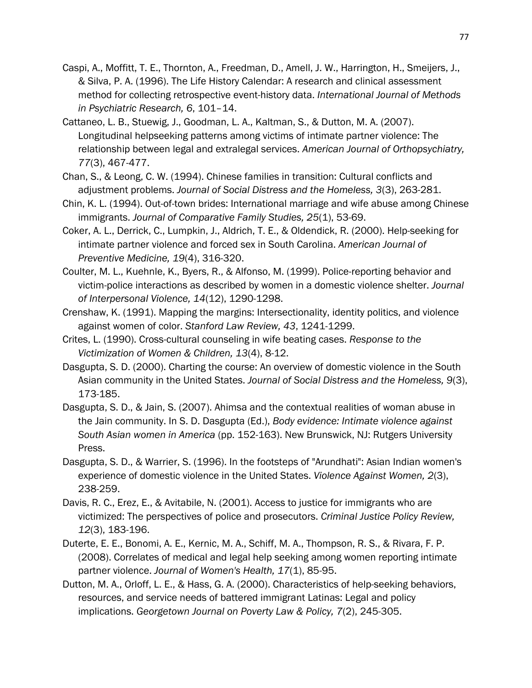- Caspi, A., Moffitt, T. E., Thornton, A., Freedman, D., Amell, J. W., Harrington, H., Smeijers, J., & Silva, P. A. (1996). The Life History Calendar: A research and clinical assessment method for collecting retrospective event-history data. *International Journal of Methods in Psychiatric Research, 6*, 101–14.
- Cattaneo, L. B., Stuewig, J., Goodman, L. A., Kaltman, S., & Dutton, M. A. (2007). Longitudinal helpseeking patterns among victims of intimate partner violence: The relationship between legal and extralegal services. *American Journal of Orthopsychiatry, 77*(3), 467-477.
- Chan, S., & Leong, C. W. (1994). Chinese families in transition: Cultural conflicts and adjustment problems. *Journal of Social Distress and the Homeless, 3*(3), 263-281.
- Chin, K. L. (1994). Out-of-town brides: International marriage and wife abuse among Chinese immigrants. *Journal of Comparative Family Studies, 25*(1), 53-69.
- Coker, A. L., Derrick, C., Lumpkin, J., Aldrich, T. E., & Oldendick, R. (2000). Help-seeking for intimate partner violence and forced sex in South Carolina. *American Journal of Preventive Medicine, 19*(4), 316-320.
- Coulter, M. L., Kuehnle, K., Byers, R., & Alfonso, M. (1999). Police-reporting behavior and victim-police interactions as described by women in a domestic violence shelter. *Journal of Interpersonal Violence, 14*(12), 1290-1298.
- Crenshaw, K. (1991). Mapping the margins: Intersectionality, identity politics, and violence against women of color. *Stanford Law Review, 43*, 1241-1299.
- Crites, L. (1990). Cross-cultural counseling in wife beating cases. *Response to the Victimization of Women & Children, 13*(4), 8-12.
- Dasgupta, S. D. (2000). Charting the course: An overview of domestic violence in the South Asian community in the United States. *Journal of Social Distress and the Homeless, 9*(3), 173-185.
- Dasgupta, S. D., & Jain, S. (2007). Ahimsa and the contextual realities of woman abuse in the Jain community. In S. D. Dasgupta (Ed.), *Body evidence: Intimate violence against South Asian women in America* (pp. 152-163). New Brunswick, NJ: Rutgers University Press.
- Dasgupta, S. D., & Warrier, S. (1996). In the footsteps of "Arundhati": Asian Indian women's experience of domestic violence in the United States. *Violence Against Women, 2*(3), 238-259.
- Davis, R. C., Erez, E., & Avitabile, N. (2001). Access to justice for immigrants who are victimized: The perspectives of police and prosecutors. *Criminal Justice Policy Review, 12*(3), 183-196.
- Duterte, E. E., Bonomi, A. E., Kernic, M. A., Schiff, M. A., Thompson, R. S., & Rivara, F. P. (2008). Correlates of medical and legal help seeking among women reporting intimate partner violence. *Journal of Women's Health, 17*(1), 85-95.
- Dutton, M. A., Orloff, L. E., & Hass, G. A. (2000). Characteristics of help-seeking behaviors, resources, and service needs of battered immigrant Latinas: Legal and policy implications. *Georgetown Journal on Poverty Law & Policy, 7*(2), 245-305.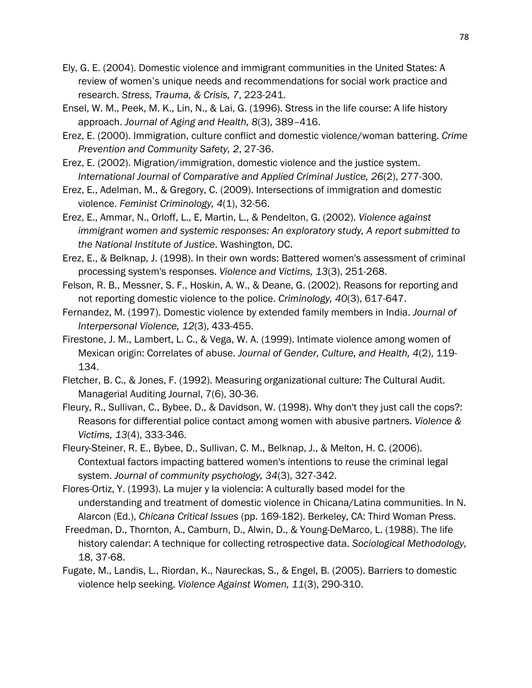- Ely, G. E. (2004). Domestic violence and immigrant communities in the United States: A review of women's unique needs and recommendations for social work practice and research. *Stress, Trauma, & Crisis, 7*, 223-241.
- Ensel, W. M., Peek, M. K., Lin, N., & Lai, G. (1996). Stress in the life course: A life history approach. *Journal of Aging and Health, 8*(3), 389–416.
- Erez, E. (2000). Immigration, culture conflict and domestic violence/woman battering. *Crime Prevention and Community Safety, 2*, 27-36.
- Erez, E. (2002). Migration/immigration, domestic violence and the justice system. *International Journal of Comparative and Applied Criminal Justice, 26*(2), 277-300.
- Erez, E., Adelman, M., & Gregory, C. (2009). Intersections of immigration and domestic violence. *Feminist Criminology, 4*(1), 32-56.
- Erez, E., Ammar, N., Orloff, L., E, Martin, L., & Pendelton, G. (2002). *Violence against immigrant women and systemic responses: An exploratory study, A report submitted to the National Institute of Justice*. Washington, DC.
- Erez, E., & Belknap, J. (1998). In their own words: Battered women's assessment of criminal processing system's responses. *Violence and Victims, 13*(3), 251-268.
- Felson, R. B., Messner, S. F., Hoskin, A. W., & Deane, G. (2002). Reasons for reporting and not reporting domestic violence to the police. *Criminology, 40*(3), 617-647.
- Fernandez, M. (1997). Domestic violence by extended family members in India. *Journal of Interpersonal Violence, 12*(3), 433-455.
- Firestone, J. M., Lambert, L. C., & Vega, W. A. (1999). Intimate violence among women of Mexican origin: Correlates of abuse. *Journal of Gender, Culture, and Health, 4*(2), 119- 134.
- Fletcher, B. C., & Jones, F. (1992). Measuring organizational culture: The Cultural Audit. Managerial Auditing Journal, 7(6), 30-36.
- Fleury, R., Sullivan, C., Bybee, D., & Davidson, W. (1998). Why don't they just call the cops?: Reasons for differential police contact among women with abusive partners. *Violence & Victims, 13*(4), 333-346.
- Fleury-Steiner, R. E., Bybee, D., Sullivan, C. M., Belknap, J., & Melton, H. C. (2006). Contextual factors impacting battered women's intentions to reuse the criminal legal system. *Journal of community psychology, 34*(3), 327-342.
- Flores-Ortiz, Y. (1993). La mujer y la violencia: A culturally based model for the understanding and treatment of domestic violence in Chicana/Latina communities. In N. Alarcon (Ed.), *Chicana Critical Issues* (pp. 169-182). Berkeley, CA: Third Woman Press.
- Freedman, D., Thornton, A., Camburn, D., Alwin, D., & Young-DeMarco, L. (1988). The life history calendar: A technique for collecting retrospective data. *Sociological Methodology,*  18, 37-68.
- Fugate, M., Landis, L., Riordan, K., Naureckas, S., & Engel, B. (2005). Barriers to domestic violence help seeking. *Violence Against Women, 11*(3), 290-310.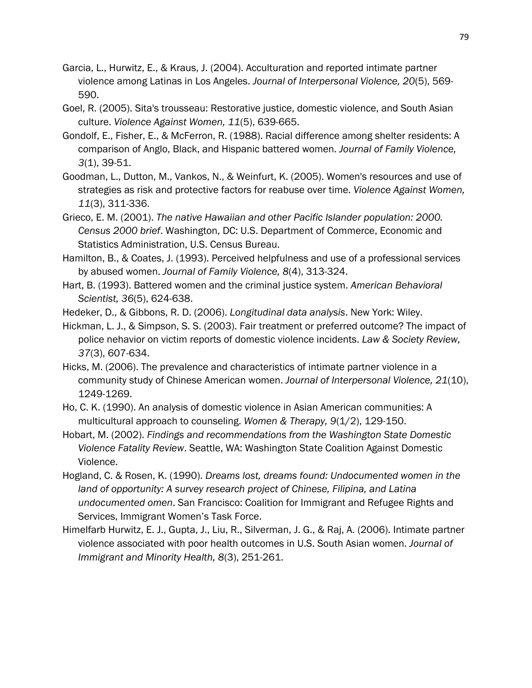- Garcia, L., Hurwitz, E., & Kraus, J. (2004). Acculturation and reported intimate partner violence among Latinas in Los Angeles. *Journal of Interpersonal Violence, 20*(5), 569- 590.
- Goel, R. (2005). Sita's trousseau: Restorative justice, domestic violence, and South Asian culture. *Violence Against Women, 11*(5), 639-665.
- Gondolf, E., Fisher, E., & McFerron, R. (1988). Racial difference among shelter residents: A comparison of Anglo, Black, and Hispanic battered women. *Journal of Family Violence, 3*(1), 39-51.
- Goodman, L., Dutton, M., Vankos, N., & Weinfurt, K. (2005). Women's resources and use of strategies as risk and protective factors for reabuse over time. *Violence Against Women, 11*(3), 311-336.
- Grieco, E. M. (2001). *The native Hawaiian and other Pacific Islander population: 2000. Census 2000 brief*. Washington, DC: U.S. Department of Commerce, Economic and Statistics Administration, U.S. Census Bureau.
- Hamilton, B., & Coates, J. (1993). Perceived helpfulness and use of a professional services by abused women. *Journal of Family Violence, 8*(4), 313-324.
- Hart, B. (1993). Battered women and the criminal justice system. *American Behavioral Scientist, 36*(5), 624-638.
- Hedeker, D., & Gibbons, R. D. (2006). *Longitudinal data analysis*. New York: Wiley.
- Hickman, L. J., & Simpson, S. S. (2003). Fair treatment or preferred outcome? The impact of police nehavior on victim reports of domestic violence incidents. *Law & Society Review, 37*(3), 607-634.
- Hicks, M. (2006). The prevalence and characteristics of intimate partner violence in a community study of Chinese American women. *Journal of Interpersonal Violence, 21*(10), 1249-1269.
- Ho, C. K. (1990). An analysis of domestic violence in Asian American communities: A multicultural approach to counseling. *Women & Therapy, 9*(1/2), 129-150.
- Hobart, M. (2002). *Findings and recommendations from the Washington State Domestic Violence Fatality Review*. Seattle, WA: Washington State Coalition Against Domestic Violence.
- Hogland, C. & Rosen, K. (1990). *Dreams lost, dreams found: Undocumented women in the land of opportunity: A survey research project of Chinese, Filipina, and Latina undocumented omen*. San Francisco: Coalition for Immigrant and Refugee Rights and Services, Immigrant Women's Task Force.
- Himelfarb Hurwitz, E. J., Gupta, J., Liu, R., Silverman, J. G., & Raj, A. (2006). Intimate partner violence associated with poor health outcomes in U.S. South Asian women. *Journal of Immigrant and Minority Health, 8*(3), 251-261.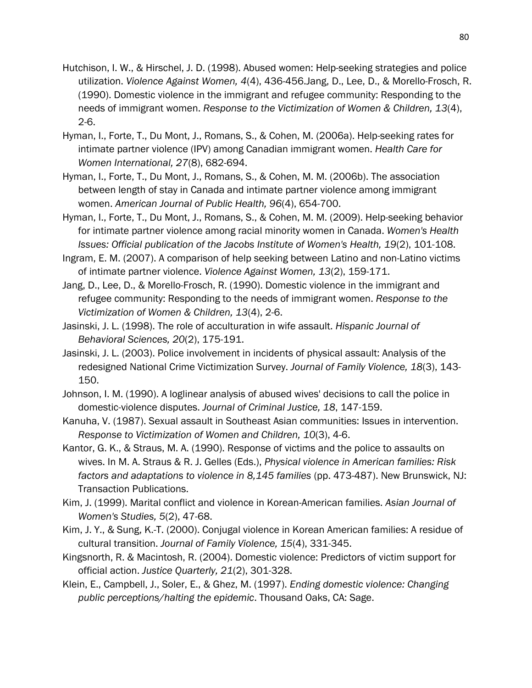- Hutchison, I. W., & Hirschel, J. D. (1998). Abused women: Help-seeking strategies and police utilization. *Violence Against Women, 4*(4), 436-456.Jang, D., Lee, D., & Morello-Frosch, R. (1990). Domestic violence in the immigrant and refugee community: Responding to the needs of immigrant women. *Response to the Victimization of Women & Children, 13*(4), 2-6.
- Hyman, I., Forte, T., Du Mont, J., Romans, S., & Cohen, M. (2006a). Help-seeking rates for intimate partner violence (IPV) among Canadian immigrant women. *Health Care for Women International, 27*(8), 682-694.
- Hyman, I., Forte, T., Du Mont, J., Romans, S., & Cohen, M. M. (2006b). The association between length of stay in Canada and intimate partner violence among immigrant women. *American Journal of Public Health, 96*(4), 654-700.
- Hyman, I., Forte, T., Du Mont, J., Romans, S., & Cohen, M. M. (2009). Help-seeking behavior for intimate partner violence among racial minority women in Canada. *Women's Health Issues: Official publication of the Jacobs Institute of Women's Health, 19*(2), 101-108.
- Ingram, E. M. (2007). A comparison of help seeking between Latino and non-Latino victims of intimate partner violence. *Violence Against Women, 13*(2), 159-171.
- Jang, D., Lee, D., & Morello-Frosch, R. (1990). Domestic violence in the immigrant and refugee community: Responding to the needs of immigrant women. *Response to the Victimization of Women & Children, 13*(4), 2-6.
- Jasinski, J. L. (1998). The role of acculturation in wife assault. *Hispanic Journal of Behavioral Sciences, 20*(2), 175-191.
- Jasinski, J. L. (2003). Police involvement in incidents of physical assault: Analysis of the redesigned National Crime Victimization Survey. *Journal of Family Violence, 18*(3), 143- 150.
- Johnson, I. M. (1990). A loglinear analysis of abused wives' decisions to call the police in domestic-violence disputes. *Journal of Criminal Justice, 18*, 147-159.
- Kanuha, V. (1987). Sexual assault in Southeast Asian communities: Issues in intervention. *Response to Victimization of Women and Children, 10*(3), 4-6.
- Kantor, G. K., & Straus, M. A. (1990). Response of victims and the police to assaults on wives. In M. A. Straus & R. J. Gelles (Eds.), *Physical violence in American families: Risk factors and adaptations to violence in 8,145 families* (pp. 473-487). New Brunswick, NJ: Transaction Publications.
- Kim, J. (1999). Marital conflict and violence in Korean-American families. *Asian Journal of Women's Studies, 5*(2), 47-68.
- Kim, J. Y., & Sung, K.-T. (2000). Conjugal violence in Korean American families: A residue of cultural transition. *Journal of Family Violence, 15*(4), 331-345.
- Kingsnorth, R. & Macintosh, R. (2004). Domestic violence: Predictors of victim support for official action. *Justice Quarterly, 21*(2), 301-328.
- Klein, E., Campbell, J., Soler, E., & Ghez, M. (1997). *Ending domestic violence: Changing public perceptions/halting the epidemic*. Thousand Oaks, CA: Sage.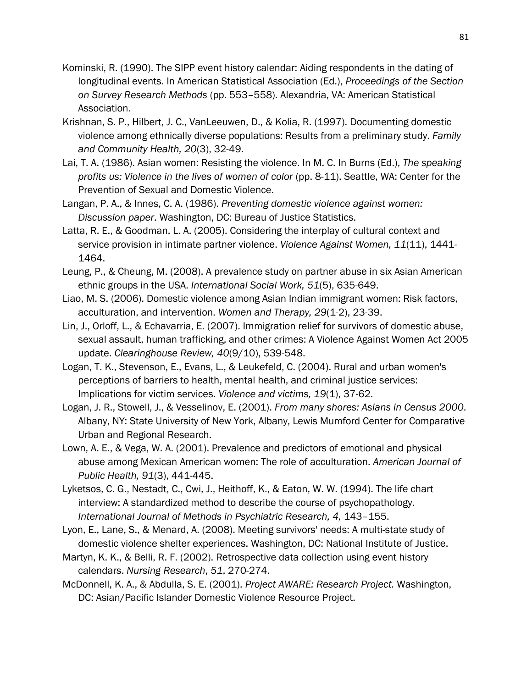- Kominski, R. (1990). The SIPP event history calendar: Aiding respondents in the dating of longitudinal events. In American Statistical Association (Ed.), *Proceedings of the Section on Survey Research Methods* (pp. 553–558). Alexandria, VA: American Statistical Association.
- Krishnan, S. P., Hilbert, J. C., VanLeeuwen, D., & Kolia, R. (1997). Documenting domestic violence among ethnically diverse populations: Results from a preliminary study. *Family and Community Health, 20*(3), 32-49.
- Lai, T. A. (1986). Asian women: Resisting the violence. In M. C. In Burns (Ed.), *The speaking profits us: Violence in the lives of women of color* (pp. 8-11). Seattle, WA: Center for the Prevention of Sexual and Domestic Violence.
- Langan, P. A., & Innes, C. A. (1986). *Preventing domestic violence against women: Discussion paper*. Washington, DC: Bureau of Justice Statistics.
- Latta, R. E., & Goodman, L. A. (2005). Considering the interplay of cultural context and service provision in intimate partner violence. *Violence Against Women, 11*(11), 1441- 1464.
- Leung, P., & Cheung, M. (2008). A prevalence study on partner abuse in six Asian American ethnic groups in the USA. *International Social Work, 51*(5), 635-649.
- Liao, M. S. (2006). Domestic violence among Asian Indian immigrant women: Risk factors, acculturation, and intervention. *Women and Therapy, 29*(1-2), 23-39.
- Lin, J., Orloff, L., & Echavarria, E. (2007). Immigration relief for survivors of domestic abuse, sexual assault, human trafficking, and other crimes: A Violence Against Women Act 2005 update. *Clearinghouse Review, 40*(9/10), 539-548.
- Logan, T. K., Stevenson, E., Evans, L., & Leukefeld, C. (2004). Rural and urban women's perceptions of barriers to health, mental health, and criminal justice services: Implications for victim services. *Violence and victims, 19*(1), 37-62.
- Logan, J. R., Stowell, J., & Vesselinov, E. (2001). *From many shores: Asians in Census 2000*. Albany, NY: State University of New York, Albany, Lewis Mumford Center for Comparative Urban and Regional Research.
- Lown, A. E., & Vega, W. A. (2001). Prevalence and predictors of emotional and physical abuse among Mexican American women: The role of acculturation. *American Journal of Public Health, 91*(3), 441-445.
- Lyketsos, C. G., Nestadt, C., Cwi, J., Heithoff, K., & Eaton, W. W. (1994). The life chart interview: A standardized method to describe the course of psychopathology. *International Journal of Methods in Psychiatric Research, 4,* 143–155.
- Lyon, E., Lane, S., & Menard, A. (2008). Meeting survivors' needs: A multi-state study of domestic violence shelter experiences. Washington, DC: National Institute of Justice.
- Martyn, K. K., & Belli, R. F. (2002). Retrospective data collection using event history calendars. *Nursing Research*, *51*, 270-274.
- McDonnell, K. A., & Abdulla, S. E. (2001). *Project AWARE: Research Project.* Washington, DC: Asian/Pacific Islander Domestic Violence Resource Project.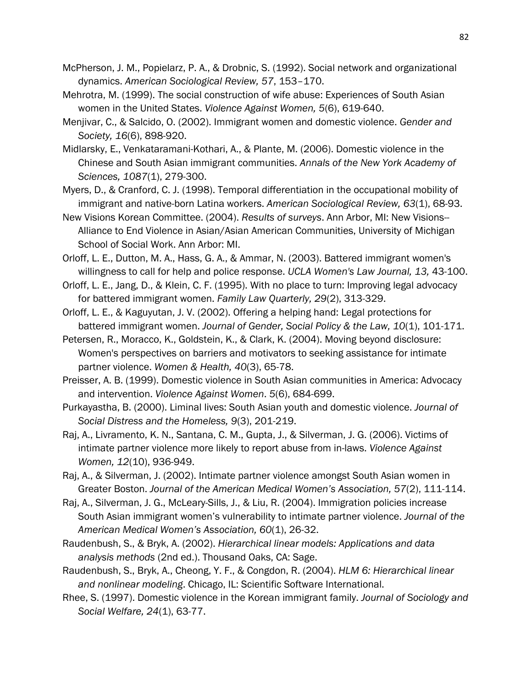- McPherson, J. M., Popielarz, P. A., & Drobnic, S. (1992). Social network and organizational dynamics. *American Sociological Review, 57*, 153–170.
- Mehrotra, M. (1999). The social construction of wife abuse: Experiences of South Asian women in the United States. *Violence Against Women, 5*(6), 619-640.
- Menjivar, C., & Salcido, O. (2002). Immigrant women and domestic violence. *Gender and Society, 16*(6), 898-920.
- Midlarsky, E., Venkataramani-Kothari, A., & Plante, M. (2006). Domestic violence in the Chinese and South Asian immigrant communities. *Annals of the New York Academy of Sciences, 1087*(1), 279-300.
- Myers, D., & Cranford, C. J. (1998). Temporal differentiation in the occupational mobility of immigrant and native-born Latina workers. *American Sociological Review, 63*(1), 68-93.
- New Visions Korean Committee. (2004). *Results of surveys*. Ann Arbor, MI: New Visions-- Alliance to End Violence in Asian/Asian American Communities, University of Michigan School of Social Work. Ann Arbor: MI.
- Orloff, L. E., Dutton, M. A., Hass, G. A., & Ammar, N. (2003). Battered immigrant women's willingness to call for help and police response. *UCLA Women's Law Journal, 13,* 43-100.
- Orloff, L. E., Jang, D., & Klein, C. F. (1995). With no place to turn: Improving legal advocacy for battered immigrant women. *Family Law Quarterly, 29*(2), 313-329.
- Orloff, L. E., & Kaguyutan, J. V. (2002). Offering a helping hand: Legal protections for battered immigrant women. *Journal of Gender, Social Policy & the Law, 10*(1), 101-171.
- Petersen, R., Moracco, K., Goldstein, K., & Clark, K. (2004). Moving beyond disclosure: Women's perspectives on barriers and motivators to seeking assistance for intimate partner violence. *Women & Health, 40*(3), 65-78.
- Preisser, A. B. (1999). Domestic violence in South Asian communities in America: Advocacy and intervention. *Violence Against Women*. *5*(6), 684-699.
- Purkayastha, B. (2000). Liminal lives: South Asian youth and domestic violence. *Journal of Social Distress and the Homeless, 9*(3), 201-219.
- Raj, A., Livramento, K. N., Santana, C. M., Gupta, J., & Silverman, J. G. (2006). Victims of intimate partner violence more likely to report abuse from in-laws. *Violence Against Women, 12*(10), 936-949.
- Raj, A., & Silverman, J. (2002). Intimate partner violence amongst South Asian women in Greater Boston. *Journal of the American Medical Women's Association, 57*(2), 111-114.
- Raj, A., Silverman, J. G., McLeary-Sills, J., & Liu, R. (2004). Immigration policies increase South Asian immigrant women's vulnerability to intimate partner violence. *Journal of the American Medical Women's Association, 60*(1), 26-32.
- Raudenbush, S., & Bryk, A. (2002). *Hierarchical linear models: Applications and data analysis methods* (2nd ed.). Thousand Oaks, CA: Sage.
- Raudenbush, S., Bryk, A., Cheong, Y. F., & Congdon, R. (2004). *HLM 6: Hierarchical linear and nonlinear modeling*. Chicago, IL: Scientific Software International.
- Rhee, S. (1997). Domestic violence in the Korean immigrant family. *Journal of Sociology and Social Welfare, 24*(1), 63-77.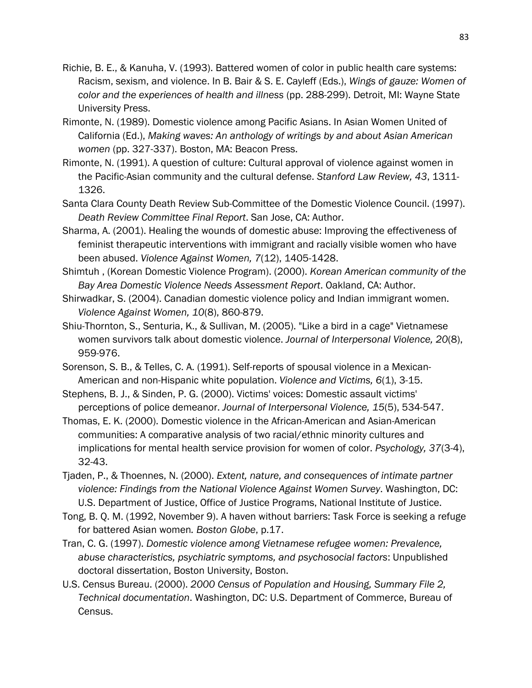- Richie, B. E., & Kanuha, V. (1993). Battered women of color in public health care systems: Racism, sexism, and violence. In B. Bair & S. E. Cayleff (Eds.), *Wings of gauze: Women of color and the experiences of health and illness* (pp. 288-299). Detroit, MI: Wayne State University Press.
- Rimonte, N. (1989). Domestic violence among Pacific Asians. In Asian Women United of California (Ed.), *Making waves: An anthology of writings by and about Asian American women* (pp. 327-337). Boston, MA: Beacon Press.
- Rimonte, N. (1991). A question of culture: Cultural approval of violence against women in the Pacific-Asian community and the cultural defense. *Stanford Law Review, 43*, 1311- 1326.
- Santa Clara County Death Review Sub-Committee of the Domestic Violence Council. (1997). *Death Review Committee Final Report*. San Jose, CA: Author.
- Sharma, A. (2001). Healing the wounds of domestic abuse: Improving the effectiveness of feminist therapeutic interventions with immigrant and racially visible women who have been abused. *Violence Against Women, 7*(12), 1405-1428.
- Shimtuh , (Korean Domestic Violence Program). (2000). *Korean American community of the Bay Area Domestic Violence Needs Assessment Report*. Oakland, CA: Author.
- Shirwadkar, S. (2004). Canadian domestic violence policy and Indian immigrant women. *Violence Against Women, 10*(8), 860-879.
- Shiu-Thornton, S., Senturia, K., & Sullivan, M. (2005). "Like a bird in a cage" Vietnamese women survivors talk about domestic violence. *Journal of Interpersonal Violence, 20*(8), 959-976.
- Sorenson, S. B., & Telles, C. A. (1991). Self-reports of spousal violence in a Mexican-American and non-Hispanic white population. *Violence and Victims, 6*(1), 3-15.
- Stephens, B. J., & Sinden, P. G. (2000). Victims' voices: Domestic assault victims' perceptions of police demeanor. *Journal of Interpersonal Violence, 15*(5), 534-547.
- Thomas, E. K. (2000). Domestic violence in the African-American and Asian-American communities: A comparative analysis of two racial/ethnic minority cultures and implications for mental health service provision for women of color. *Psychology, 37*(3-4), 32-43.
- Tjaden, P., & Thoennes, N. (2000). *Extent, nature, and consequences of intimate partner violence: Findings from the National Violence Against Women Survey*. Washington, DC: U.S. Department of Justice, Office of Justice Programs, National Institute of Justice.
- Tong, B. Q. M. (1992, November 9). A haven without barriers: Task Force is seeking a refuge for battered Asian women*. Boston Globe*, p.17.
- Tran, C. G. (1997). *Domestic violence among Vietnamese refugee women: Prevalence, abuse characteristics, psychiatric symptoms, and psychosocial factors*: Unpublished doctoral dissertation, Boston University, Boston.
- U.S. Census Bureau. (2000). *2000 Census of Population and Housing, Summary File 2, Technical documentation*. Washington, DC: U.S. Department of Commerce, Bureau of Census.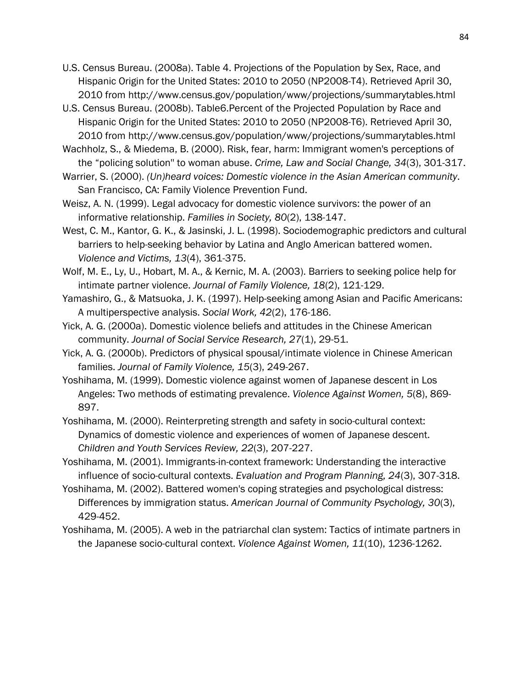- U.S. Census Bureau. (2008a). Table 4. Projections of the Population by Sex, Race, and Hispanic Origin for the United States: 2010 to 2050 (NP2008-T4). Retrieved April 30, 2010 from<http://www.census.gov/population/www/projections/summarytables.html>
- U.S. Census Bureau. (2008b). Table6.Percent of the Projected Population by Race and Hispanic Origin for the United States: 2010 to 2050 (NP2008-T6). Retrieved April 30, 2010 from http://www.census.gov/population/www/projections/summarytables.html

Wachholz, S., & Miedema, B. (2000). Risk, fear, harm: Immigrant women's perceptions of the "policing solution'' to woman abuse. *Crime, Law and Social Change, 34*(3), 301-317.

Warrier, S. (2000). *(Un)heard voices: Domestic violence in the Asian American community*. San Francisco, CA: Family Violence Prevention Fund.

Weisz, A. N. (1999). Legal advocacy for domestic violence survivors: the power of an informative relationship. *Families in Society, 80*(2), 138-147.

West, C. M., Kantor, G. K., & Jasinski, J. L. (1998). Sociodemographic predictors and cultural barriers to help-seeking behavior by Latina and Anglo American battered women. *Violence and Victims, 13*(4), 361-375.

Wolf, M. E., Ly, U., Hobart, M. A., & Kernic, M. A. (2003). Barriers to seeking police help for intimate partner violence. *Journal of Family Violence, 18*(2), 121-129.

Yamashiro, G., & Matsuoka, J. K. (1997). Help-seeking among Asian and Pacific Americans: A multiperspective analysis. *Social Work, 42*(2), 176-186.

Yick, A. G. (2000a). Domestic violence beliefs and attitudes in the Chinese American community. *Journal of Social Service Research, 27*(1), 29-51.

Yick, A. G. (2000b). Predictors of physical spousal/intimate violence in Chinese American families. *Journal of Family Violence, 15*(3), 249-267.

Yoshihama, M. (1999). Domestic violence against women of Japanese descent in Los Angeles: Two methods of estimating prevalence. *Violence Against Women, 5*(8), 869- 897.

Yoshihama, M. (2000). Reinterpreting strength and safety in socio-cultural context: Dynamics of domestic violence and experiences of women of Japanese descent. *Children and Youth Services Review, 22*(3), 207-227.

Yoshihama, M. (2001). Immigrants-in-context framework: Understanding the interactive influence of socio-cultural contexts. *Evaluation and Program Planning, 24*(3), 307-318.

Yoshihama, M. (2002). Battered women's coping strategies and psychological distress: Differences by immigration status. *American Journal of Community Psychology, 30*(3), 429-452.

Yoshihama, M. (2005). A web in the patriarchal clan system: Tactics of intimate partners in the Japanese socio-cultural context. *Violence Against Women, 11*(10), 1236-1262.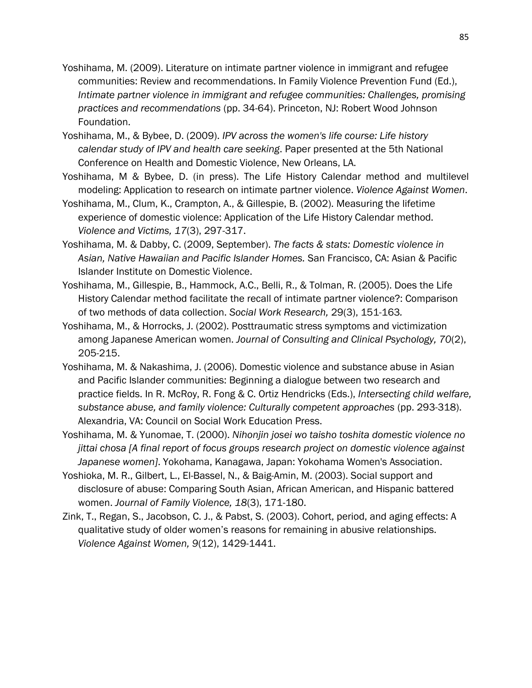- Yoshihama, M. (2009). Literature on intimate partner violence in immigrant and refugee communities: Review and recommendations. In Family Violence Prevention Fund (Ed.), *Intimate partner violence in immigrant and refugee communities: Challenges, promising practices and recommendations* (pp. 34-64). Princeton, NJ: Robert Wood Johnson Foundation.
- Yoshihama, M., & Bybee, D. (2009). *IPV across the women's life course: Life history calendar study of IPV and health care seeking*. Paper presented at the 5th National Conference on Health and Domestic Violence, New Orleans, LA.
- Yoshihama, M & Bybee, D. (in press). The Life History Calendar method and multilevel modeling: Application to research on intimate partner violence. *Violence Against Women*.
- Yoshihama, M., Clum, K., Crampton, A., & Gillespie, B. (2002). Measuring the lifetime experience of domestic violence: Application of the Life History Calendar method. *Violence and Victims, 17*(3), 297-317.
- Yoshihama, M. & Dabby, C. (2009, September). *The facts & stats: Domestic violence in Asian, Native Hawaiian and Pacific Islander Homes.* San Francisco, CA: Asian & Pacific Islander Institute on Domestic Violence.
- Yoshihama, M., Gillespie, B., Hammock, A.C., Belli, R., & Tolman, R. (2005). Does the Life History Calendar method facilitate the recall of intimate partner violence?: Comparison of two methods of data collection. *Social Work Research,* 29(3), 151-163*.*
- Yoshihama, M., & Horrocks, J. (2002). Posttraumatic stress symptoms and victimization among Japanese American women. *Journal of Consulting and Clinical Psychology, 70*(2), 205-215.
- Yoshihama, M. & Nakashima, J. (2006). Domestic violence and substance abuse in Asian and Pacific Islander communities: Beginning a dialogue between two research and practice fields. In R. McRoy, R. Fong & C. Ortiz Hendricks (Eds.), *Intersecting child welfare, substance abuse, and family violence: Culturally competent approaches* (pp. 293-318). Alexandria, VA: Council on Social Work Education Press.
- Yoshihama, M. & Yunomae, T. (2000). *Nihonjin josei wo taisho toshita domestic violence no jittai chosa [A final report of focus groups research project on domestic violence against Japanese women]*. Yokohama, Kanagawa, Japan: Yokohama Women's Association.
- Yoshioka, M. R., Gilbert, L., El-Bassel, N., & Baig-Amin, M. (2003). Social support and disclosure of abuse: Comparing South Asian, African American, and Hispanic battered women. *Journal of Family Violence, 18*(3), 171-180.
- Zink, T., Regan, S., Jacobson, C. J., & Pabst, S. (2003). Cohort, period, and aging effects: A qualitative study of older women's reasons for remaining in abusive relationships. *Violence Against Women, 9*(12), 1429-1441.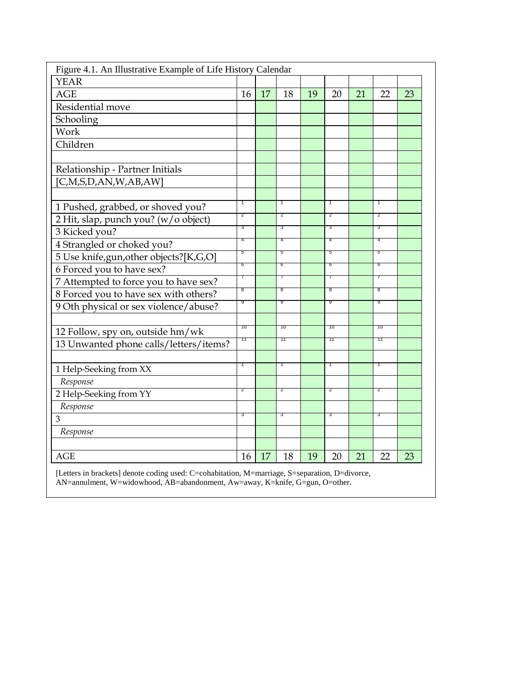| Figure 4.1. An Illustrative Example of Life History Calendar |                 |    |    |    |    |    |    |    |  |
|--------------------------------------------------------------|-----------------|----|----|----|----|----|----|----|--|
| <b>YEAR</b>                                                  |                 |    |    |    |    |    |    |    |  |
| <b>AGE</b>                                                   | 16              | 17 | 18 | 19 | 20 | 21 | 22 | 23 |  |
| Residential move                                             |                 |    |    |    |    |    |    |    |  |
| Schooling                                                    |                 |    |    |    |    |    |    |    |  |
| Work                                                         |                 |    |    |    |    |    |    |    |  |
| Children                                                     |                 |    |    |    |    |    |    |    |  |
|                                                              |                 |    |    |    |    |    |    |    |  |
| Relationship - Partner Initials                              |                 |    |    |    |    |    |    |    |  |
| [C, M, S, D, AN, W, AB, AW]                                  |                 |    |    |    |    |    |    |    |  |
|                                                              |                 |    |    |    |    |    |    |    |  |
| 1 Pushed, grabbed, or shoved you?                            | 1               |    | T  |    | 1  |    | ד  |    |  |
| 2 Hit, slap, punch you? (w/o object)                         | 2               |    | 2  |    | 2  |    | 2  |    |  |
| 3 Kicked you?                                                | 3               |    | 3  |    | 3  |    | 3  |    |  |
| 4 Strangled or choked you?                                   | 4               |    | 4  |    | 4  |    |    |    |  |
| 5 Use knife, gun, other objects?[K,G,O]                      | 5               |    | 5  |    | 5  |    | 5  |    |  |
| 6 Forced you to have sex?                                    | 6               |    | 6  |    | 6  |    | চ  |    |  |
| 7 Attempted to force you to have sex?                        | 7               |    | 7  |    | 7  |    |    |    |  |
| 8 Forced you to have sex with others?                        | 8               |    | 8  |    | 8  |    | 8  |    |  |
| 9 Oth physical or sex violence/abuse?                        | y               |    | g  |    | g  |    | y  |    |  |
|                                                              |                 |    |    |    |    |    |    |    |  |
| 12 Follow, spy on, outside hm/wk                             | $\overline{10}$ |    | 10 |    | 10 |    | 70 |    |  |
| 13 Unwanted phone calls/letters/items?                       | 11              |    | 11 |    | 11 |    | 11 |    |  |
|                                                              |                 |    |    |    |    |    |    |    |  |
| 1 Help-Seeking from XX                                       | Τ               |    | Τ  |    | Τ  |    | T  |    |  |
| Response                                                     |                 |    |    |    |    |    |    |    |  |
| 2 Help-Seeking from YY                                       | 2               |    | 2  |    | 2  |    | 2  |    |  |
| Response                                                     |                 |    |    |    |    |    |    |    |  |
| 3                                                            | उ               |    | उ  |    | उ  |    | उ  |    |  |
| Response                                                     |                 |    |    |    |    |    |    |    |  |
|                                                              |                 |    |    |    |    |    |    |    |  |
| <b>AGE</b>                                                   | 16              | 17 | 18 | 19 | 20 | 21 | 22 | 23 |  |

[Letters in brackets] denote coding used: C=cohabitation, M=marriage, S=separation, D=divorce, AN=annulment, W=widowhood, AB=abandonment, Aw=away, K=knife, G=gun, O=other.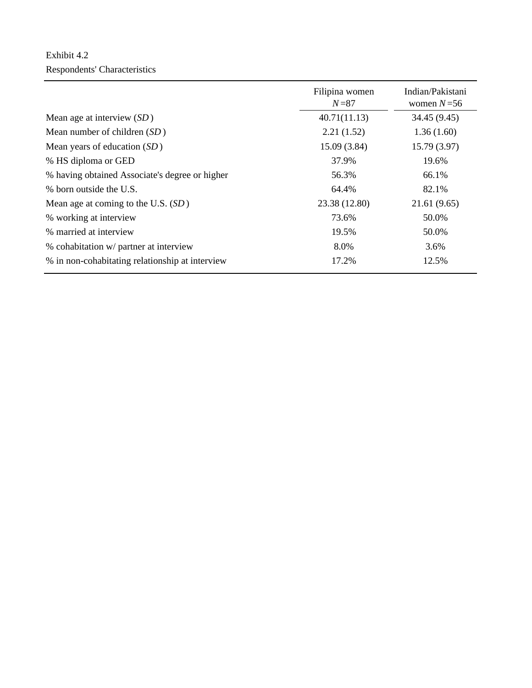# Exhibit 4.2 Respondents' Characteristics

|                                                 | Filipina women<br>$N = 87$ | Indian/Pakistani<br>women $N=56$ |
|-------------------------------------------------|----------------------------|----------------------------------|
| Mean age at interview $(SD)$                    | 40.71(11.13)               | 34.45 (9.45)                     |
| Mean number of children $(SD)$                  | 2.21(1.52)                 | 1.36(1.60)                       |
| Mean years of education $(SD)$                  | 15.09(3.84)                | 15.79 (3.97)                     |
| % HS diploma or GED                             | 37.9%                      | 19.6%                            |
| % having obtained Associate's degree or higher  | 56.3%                      | 66.1%                            |
| % born outside the U.S.                         | 64.4%                      | 82.1%                            |
| Mean age at coming to the U.S. $(SD)$           | 23.38 (12.80)              | 21.61(9.65)                      |
| % working at interview                          | 73.6%                      | 50.0%                            |
| % married at interview                          | 19.5%                      | 50.0%                            |
| % cohabitation w/ partner at interview          | 8.0%                       | 3.6%                             |
| % in non-cohabitating relationship at interview | 17.2%                      | 12.5%                            |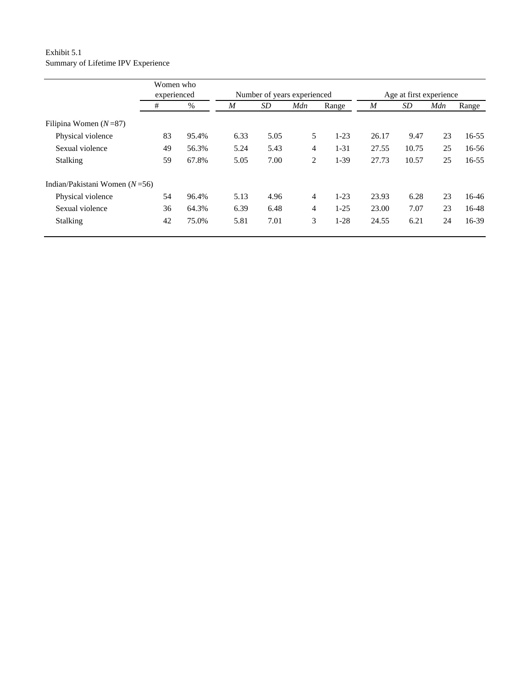#### Exhibit 5.1 Summary of Lifetime IPV Experience

|                                 | Women who<br>experienced |       | Number of years experienced |                |                |          | Age at first experience |       |     |           |
|---------------------------------|--------------------------|-------|-----------------------------|----------------|----------------|----------|-------------------------|-------|-----|-----------|
|                                 | #                        | $\%$  | M                           | SD <sub></sub> | Mdn            | Range    | M                       | SD    | Mdn | Range     |
| Filipina Women $(N=87)$         |                          |       |                             |                |                |          |                         |       |     |           |
| Physical violence               | 83                       | 95.4% | 6.33                        | 5.05           | 5              | $1-23$   | 26.17                   | 9.47  | 23  | $16 - 55$ |
| Sexual violence                 | 49                       | 56.3% | 5.24                        | 5.43           | $\overline{4}$ | $1 - 31$ | 27.55                   | 10.75 | 25  | 16-56     |
| Stalking                        | 59                       | 67.8% | 5.05                        | 7.00           | $\overline{2}$ | $1-39$   | 27.73                   | 10.57 | 25  | $16 - 55$ |
| Indian/Pakistani Women $(N=56)$ |                          |       |                             |                |                |          |                         |       |     |           |
| Physical violence               | 54                       | 96.4% | 5.13                        | 4.96           | 4              | $1-23$   | 23.93                   | 6.28  | 23  | 16-46     |
| Sexual violence                 | 36                       | 64.3% | 6.39                        | 6.48           | 4              | $1 - 25$ | 23.00                   | 7.07  | 23  | 16-48     |
| <b>Stalking</b>                 | 42                       | 75.0% | 5.81                        | 7.01           | 3              | $1-28$   | 24.55                   | 6.21  | 24  | 16-39     |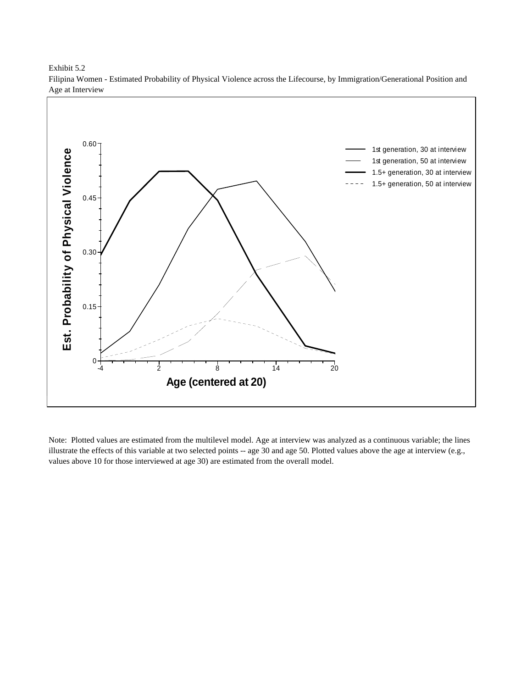

Exhibit 5.2 Filipina Women - Estimated Probability of Physical Violence across the Lifecourse, by Immigration/Generational Position and Age at Interview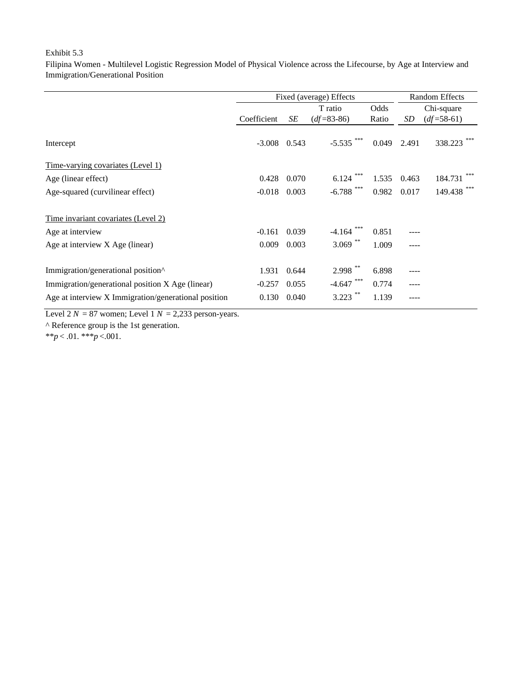Filipina Women - Multilevel Logistic Regression Model of Physical Violence across the Lifecourse, by Age at Interview and Immigration/Generational Position

|                                                      |             |       | Fixed (average) Effects |       | <b>Random Effects</b> |                |  |
|------------------------------------------------------|-------------|-------|-------------------------|-------|-----------------------|----------------|--|
|                                                      |             |       | T ratio                 | Odds  |                       | Chi-square     |  |
|                                                      | Coefficient | SE    | $(df=83-86)$            | Ratio | SD                    | $(df=58-61)$   |  |
| Intercept                                            | $-3.008$    | 0.543 | $-5.535$                | 0.049 | 2.491                 | 338.223        |  |
| Time-varying covariates (Level 1)                    |             |       |                         |       |                       |                |  |
| Age (linear effect)                                  | 0.428       | 0.070 | 6.124                   | 1.535 | 0.463                 | ***<br>184.731 |  |
| Age-squared (curvilinear effect)                     | $-0.018$    | 0.003 | $-6.788$ ***            | 0.982 | 0.017                 | 149.438        |  |
| Time invariant covariates (Level 2)                  |             |       |                         |       |                       |                |  |
| Age at interview                                     | $-0.161$    | 0.039 | $-4.164$                | 0.851 |                       |                |  |
| Age at interview X Age (linear)                      | 0.009       | 0.003 | 3.069                   | 1.009 |                       |                |  |
| Immigration/generational position^                   | 1.931       | 0.644 | 2.998                   | 6.898 | ----                  |                |  |
| Immigration/generational position X Age (linear)     | $-0.257$    | 0.055 | $-4.647$                | 0.774 |                       |                |  |
| Age at interview X Immigration/generational position | 0.130       | 0.040 | 3.223                   | 1.139 |                       |                |  |

Level  $2 N = 87$  women; Level  $1 N = 2,233$  person-years.

^ Reference group is the 1st generation.

\*\**p* < .01. \*\*\**p* <.001.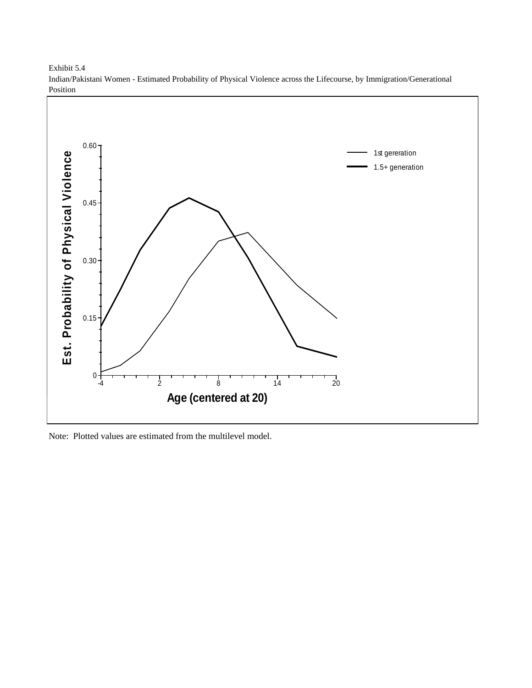

Indian/Pakistani Women - Estimated Probability of Physical Violence across the Lifecourse, by Immigration/Generational Position

Note: Plotted values are estimated from the multilevel model.

Exhibit 5.4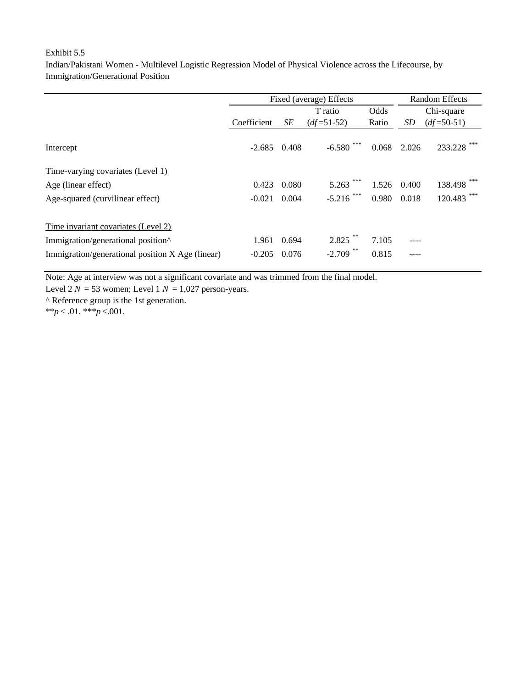Indian/Pakistani Women - Multilevel Logistic Regression Model of Physical Violence across the Lifecourse, by Immigration/Generational Position

|                                                  |                |       | Fixed (average) Effects |       | <b>Random Effects</b> |                |  |
|--------------------------------------------------|----------------|-------|-------------------------|-------|-----------------------|----------------|--|
|                                                  |                |       | T ratio                 | Odds  |                       | Chi-square     |  |
|                                                  | Coefficient    | SE    | $(df=51-52)$            | Ratio | SD                    | $(df=50-51)$   |  |
| Intercept                                        | $-2.685$ 0.408 |       | ***<br>$-6.580$         | 0.068 | 2.026                 | 233.228        |  |
| Time-varying covariates (Level 1)                |                |       |                         |       |                       |                |  |
| Age (linear effect)                              | 0.423          | 0.080 | ***<br>5.263            | 1.526 | 0.400                 | ***<br>138.498 |  |
| Age-squared (curvilinear effect)                 | $-0.021$       | 0.004 | ***<br>$-5.216$         | 0.980 | 0.018                 | ***<br>120.483 |  |
| Time invariant covariates (Level 2)              |                |       |                         |       |                       |                |  |
| Immigration/generational position <sup>^</sup>   | 1.961          | 0.694 | 2.825                   | 7.105 |                       |                |  |
| Immigration/generational position X Age (linear) | $-0.205$       | 0.076 | $-2.709$                | 0.815 |                       |                |  |

Note: Age at interview was not a significant covariate and was trimmed from the final model.

Level  $2 N = 53$  women; Level  $1 N = 1,027$  person-years.

^ Reference group is the 1st generation.

\*\**p* < .01. \*\*\**p* <.001.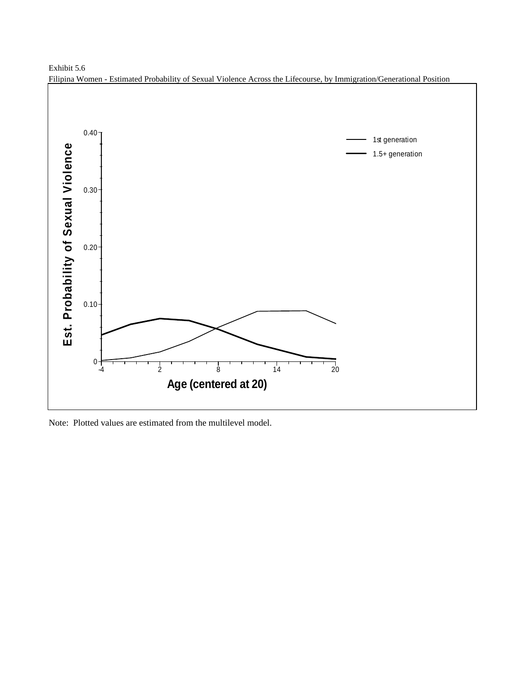

Exhibit 5.6 Filipina Women - Estimated Probability of Sexual Violence Across the Lifecourse, by Immigration/Generational Position

Note: Plotted values are estimated from the multilevel model.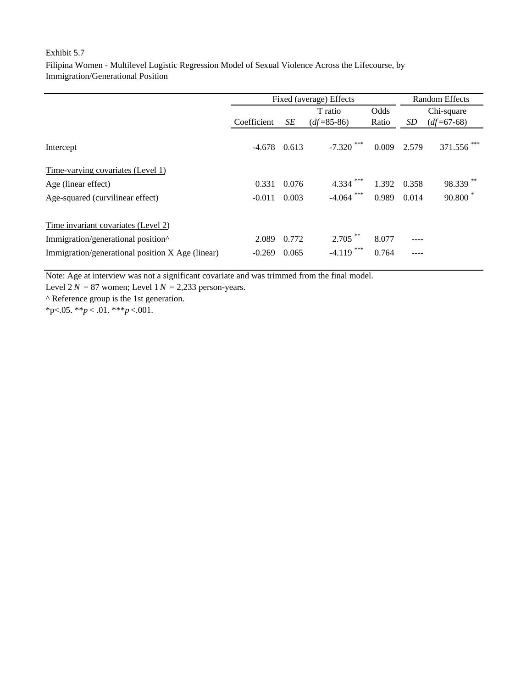Filipina Women - Multilevel Logistic Regression Model of Sexual Violence Across the Lifecourse, by Immigration/Generational Position

|                                                  |                |       | Fixed (average) Effects |       | <b>Random Effects</b> |              |  |
|--------------------------------------------------|----------------|-------|-------------------------|-------|-----------------------|--------------|--|
|                                                  |                |       | T ratio                 | Odds  |                       | Chi-square   |  |
|                                                  | Coefficient    | SE    | $(df=85-86)$            | Ratio | SD                    | $(df=67-68)$ |  |
| Intercept                                        | $-4.678$ 0.613 |       | $-7.320$                | 0.009 | 2.579                 | 371.556      |  |
| Time-varying covariates (Level 1)                |                |       |                         |       |                       |              |  |
| Age (linear effect)                              | 0.331          | 0.076 | 4.334                   | 1.392 | 0.358                 | 98.339       |  |
| Age-squared (curvilinear effect)                 | $-0.011$       | 0.003 | ***<br>$-4.064$         | 0.989 | 0.014                 | 90.800       |  |
| Time invariant covariates (Level 2)              |                |       |                         |       |                       |              |  |
| Immigration/generational position^               | 2.089          | 0.772 | 2.705                   | 8.077 | ----                  |              |  |
| Immigration/generational position X Age (linear) | $-0.269$       | 0.065 | ***<br>$-4.119$         | 0.764 | ----                  |              |  |

Note: Age at interview was not a significant covariate and was trimmed from the final model.

Level  $2N = 87$  women; Level  $1N = 2,233$  person-years.

^ Reference group is the 1st generation.

\*p<.05. \*\**p* < .01. \*\*\**p* <.001.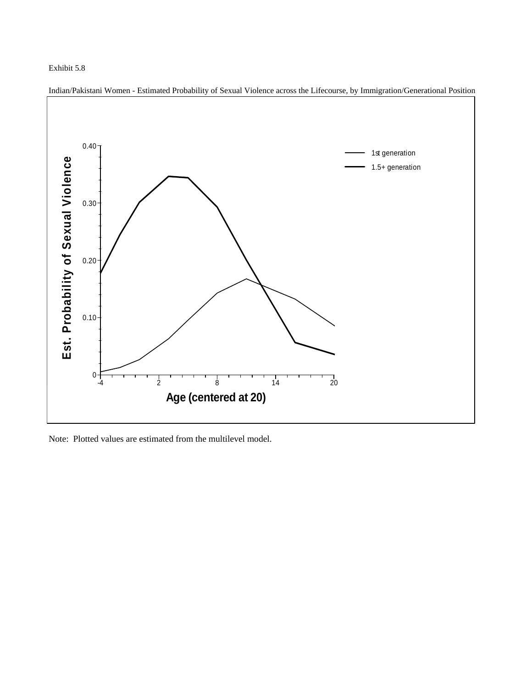





Note: Plotted values are estimated from the multilevel model.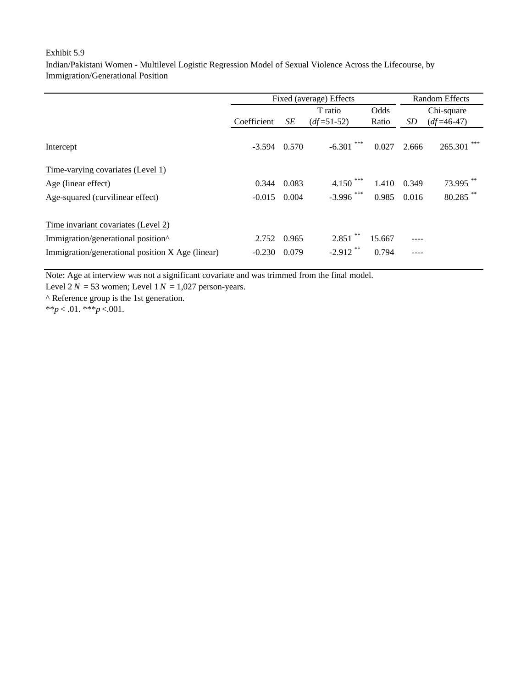Indian/Pakistani Women - Multilevel Logistic Regression Model of Sexual Violence Across the Lifecourse, by Immigration/Generational Position

|                                                  |                |       | Fixed (average) Effects |        | <b>Random Effects</b> |                |  |
|--------------------------------------------------|----------------|-------|-------------------------|--------|-----------------------|----------------|--|
|                                                  |                |       | T ratio                 | Odds   |                       | Chi-square     |  |
|                                                  | Coefficient    | SE    | $(df=51-52)$            | Ratio  | SD                    | $(df=46-47)$   |  |
| Intercept                                        | $-3.594$ 0.570 |       | $-6.301$                | 0.027  | 2.666                 | ***<br>265.301 |  |
| <u>Time-varying covariates (Level 1)</u>         |                |       |                         |        |                       |                |  |
| Age (linear effect)                              | 0.344          | 0.083 | 4.150                   | 1.410  | 0.349                 | 73.995         |  |
| Age-squared (curvilinear effect)                 | $-0.015$       | 0.004 | $-3.996$ ***            | 0.985  | 0.016                 | 80.285         |  |
| <u>Time</u> invariant covariates (Level 2)       |                |       |                         |        |                       |                |  |
| Immigration/generational position^               | 2.752          | 0.965 | 2.851                   | 15.667 |                       |                |  |
| Immigration/generational position X Age (linear) | $-0.230$       | 0.079 | $-2.912$ <sup>*</sup>   | 0.794  |                       |                |  |

Note: Age at interview was not a significant covariate and was trimmed from the final model.

Level  $2N = 53$  women; Level  $1N = 1,027$  person-years.

^ Reference group is the 1st generation.

\*\**p* < .01. \*\*\**p* <.001.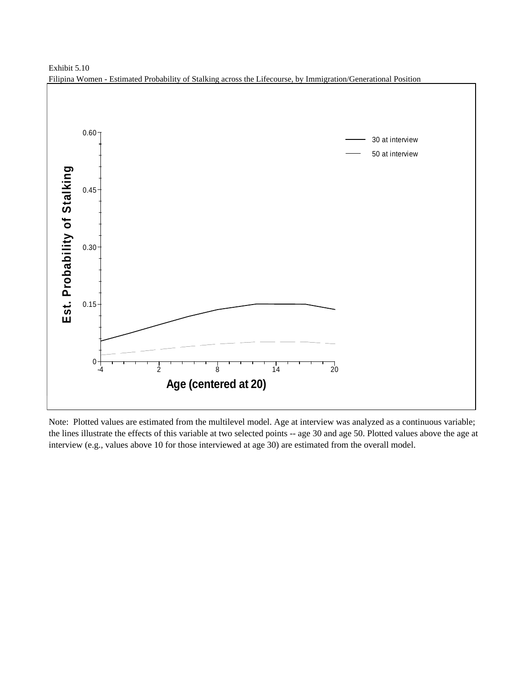

Exhibit 5.10 Filipina Women - Estimated Probability of Stalking across the Lifecourse, by Immigration/Generational Position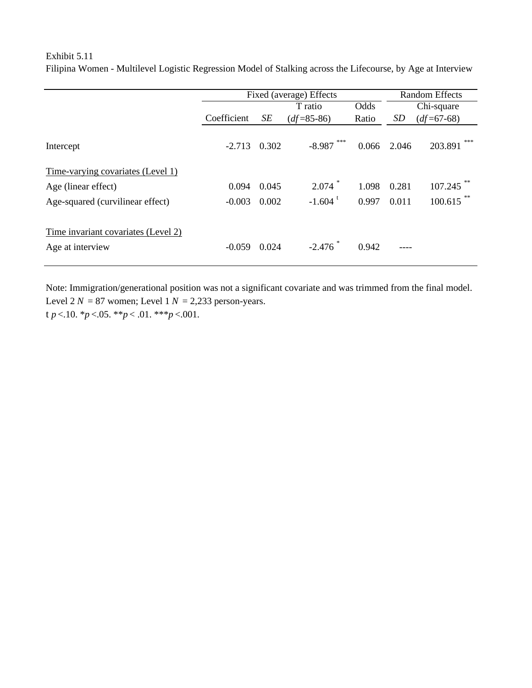## Exhibit 5.11 Filipina Women - Multilevel Logistic Regression Model of Stalking across the Lifecourse, by Age at Interview

|                                                         |             |       | Fixed (average) Effects |       | <b>Random Effects</b> |              |  |
|---------------------------------------------------------|-------------|-------|-------------------------|-------|-----------------------|--------------|--|
|                                                         |             |       | T ratio                 | Odds  |                       | Chi-square   |  |
|                                                         | Coefficient | SE    | $(df=85-86)$            | Ratio | SD                    | $(df=67-68)$ |  |
| Intercept                                               | $-2.713$    | 0.302 | $-8.987$ ***            | 0.066 | 2.046                 | 203.891      |  |
| Time-varying covariates (Level 1)                       |             |       |                         |       |                       |              |  |
| Age (linear effect)                                     | 0.094       | 0.045 | $2.074$ *               | 1.098 | 0.281                 | $107.245$ ** |  |
| Age-squared (curvilinear effect)                        | $-0.003$    | 0.002 | $-1.604$ <sup>t</sup>   | 0.997 | 0.011                 | $100.615$ ** |  |
| Time invariant covariates (Level 2)<br>Age at interview | $-0.059$    | 0.024 | $-2.476$                | 0.942 |                       |              |  |

Level  $2 N = 87$  women; Level  $1 N = 2,233$  person-years. t *p* <.10.  $*$ *p* <.05.  $*$  $*$ *p* <.01.  $*$  $*$  $*$ *p* <.001. Note: Immigration/generational position was not a significant covariate and was trimmed from the final model.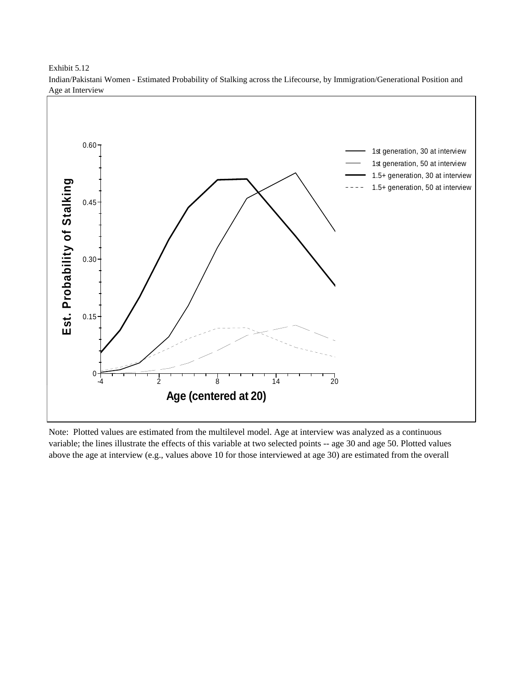

Exhibit 5.12 Indian/Pakistani Women - Estimated Probability of Stalking across the Lifecourse, by Immigration/Generational Position and Age at Interview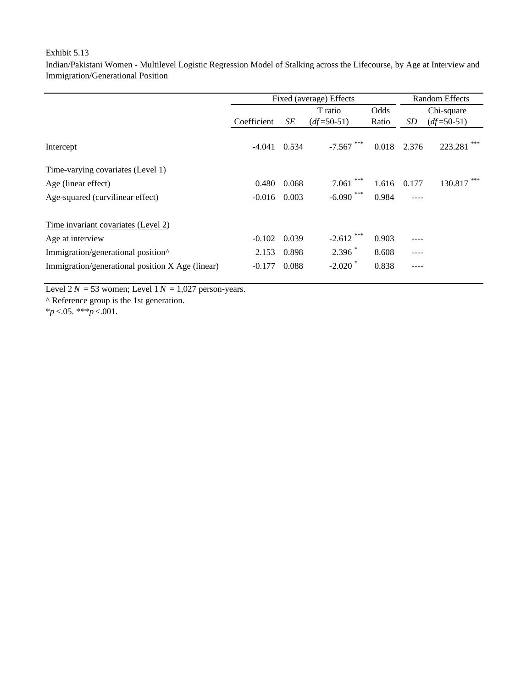Indian/Pakistani Women - Multilevel Logistic Regression Model of Stalking across the Lifecourse, by Age at Interview and Immigration/Generational Position

|                                                  |                |       | Fixed (average) Effects |       |       | <b>Random Effects</b> |
|--------------------------------------------------|----------------|-------|-------------------------|-------|-------|-----------------------|
|                                                  |                |       | T ratio                 | Odds  |       | Chi-square            |
|                                                  | Coefficient    | SE    | $(df=50-51)$            | Ratio | SD    | $(df=50-51)$          |
| Intercept                                        | $-4.041$ 0.534 |       | $-7.567$                | 0.018 | 2.376 | ***<br>223.281        |
| <u>Time-varying covariates (Level 1)</u>         |                |       |                         |       |       |                       |
| Age (linear effect)                              | 0.480          | 0.068 | ***<br>7.061            | 1.616 | 0.177 | ***<br>130.817        |
| Age-squared (curvilinear effect)                 | $-0.016$       | 0.003 | ***<br>$-6.090$         | 0.984 | ----  |                       |
| Time invariant covariates (Level 2)              |                |       |                         |       |       |                       |
| Age at interview                                 | $-0.102$       | 0.039 | $-2.612$                | 0.903 |       |                       |
| Immigration/generational position^               | 2.153          | 0.898 | $2.396*$                | 8.608 | ----  |                       |
| Immigration/generational position X Age (linear) | $-0.177$       | 0.088 | $-2.020$ $*$            | 0.838 | ----  |                       |

Level  $2 N = 53$  women; Level  $1 N = 1,027$  person-years.

^ Reference group is the 1st generation.

\**p* <.05. \*\*\**p* <.001.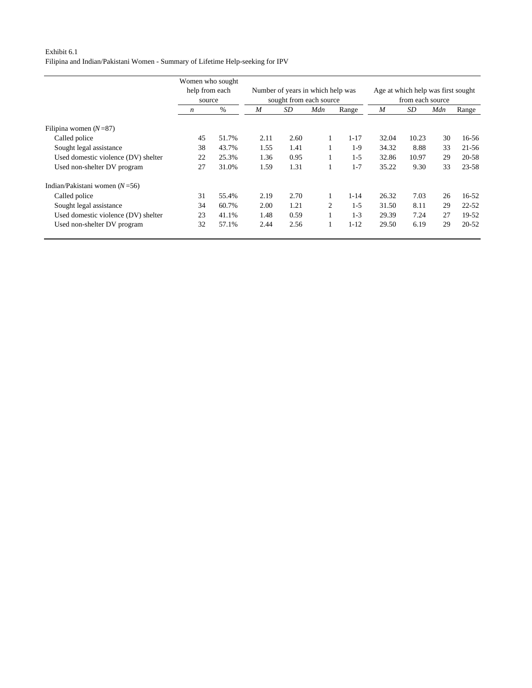#### Exhibit 6.1 Filipina and Indian/Pakistani Women - Summary of Lifetime Help-seeking for IPV

|                                     | Women who sought |       |                         |                                   |     |                  |                                    |       |     |           |
|-------------------------------------|------------------|-------|-------------------------|-----------------------------------|-----|------------------|------------------------------------|-------|-----|-----------|
|                                     | help from each   |       |                         | Number of years in which help was |     |                  | Age at which help was first sought |       |     |           |
|                                     | source           |       | sought from each source |                                   |     | from each source |                                    |       |     |           |
|                                     | n                | $\%$  | M                       | SD                                | Mdn | Range            | M                                  | SD    | Mdn | Range     |
| Filipina women $(N=87)$             |                  |       |                         |                                   |     |                  |                                    |       |     |           |
| Called police                       | 45               | 51.7% | 2.11                    | 2.60                              |     | $1 - 17$         | 32.04                              | 10.23 | 30  | 16-56     |
| Sought legal assistance             | 38               | 43.7% | 1.55                    | 1.41                              |     | $1-9$            | 34.32                              | 8.88  | 33  | $21 - 56$ |
| Used domestic violence (DV) shelter | 22               | 25.3% | 1.36                    | 0.95                              |     | $1-5$            | 32.86                              | 10.97 | 29  | 20-58     |
| Used non-shelter DV program         | 27               | 31.0% | 1.59                    | 1.31                              |     | $1 - 7$          | 35.22                              | 9.30  | 33  | $23 - 58$ |
| Indian/Pakistani women $(N=56)$     |                  |       |                         |                                   |     |                  |                                    |       |     |           |
| Called police                       | 31               | 55.4% | 2.19                    | 2.70                              |     | $1 - 14$         | 26.32                              | 7.03  | 26  | $16-52$   |
| Sought legal assistance             | 34               | 60.7% | 2.00                    | 1.21                              | 2   | $1-5$            | 31.50                              | 8.11  | 29  | $22 - 52$ |
| Used domestic violence (DV) shelter | 23               | 41.1% | 1.48                    | 0.59                              |     | $1-3$            | 29.39                              | 7.24  | 27  | 19-52     |
| Used non-shelter DV program         | 32               | 57.1% | 2.44                    | 2.56                              |     | $1 - 12$         | 29.50                              | 6.19  | 29  | $20 - 52$ |
|                                     |                  |       |                         |                                   |     |                  |                                    |       |     |           |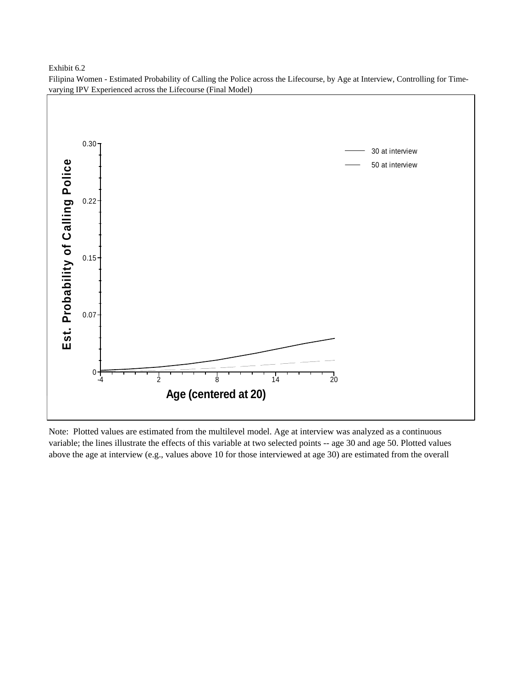Exhibit 6.2



Filipina Women - Estimated Probability of Calling the Police across the Lifecourse, by Age at Interview, Controlling for Timevarying IPV Experienced across the Lifecourse (Final Model)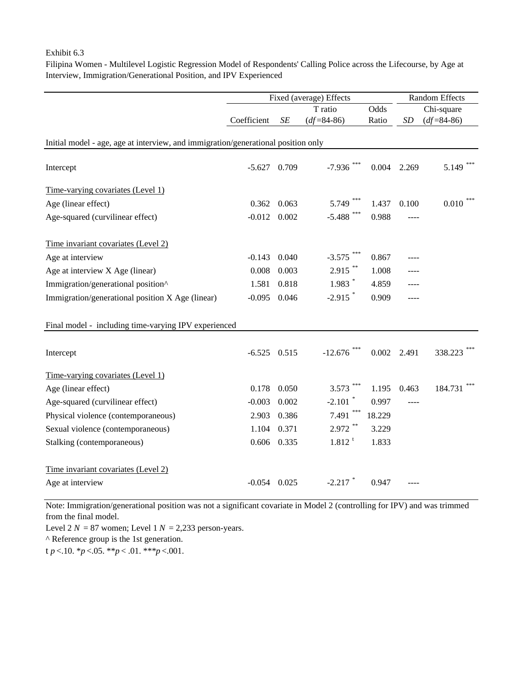#### Exhibit 6.3

Filipina Women - Multilevel Logistic Regression Model of Respondents' Calling Police across the Lifecourse, by Age at Interview, Immigration/Generational Position, and IPV Experienced

|                                                                                   |             |       | Fixed (average) Effects |        | <b>Random Effects</b> |              |  |
|-----------------------------------------------------------------------------------|-------------|-------|-------------------------|--------|-----------------------|--------------|--|
|                                                                                   |             |       | T ratio                 | Odds   |                       | Chi-square   |  |
|                                                                                   | Coefficient | SE    | $(df = 84-86)$          | Ratio  | SD                    | $(df=84-86)$ |  |
| Initial model - age, age at interview, and immigration/generational position only |             |       |                         |        |                       |              |  |
| Intercept                                                                         | $-5.627$    | 0.709 | $-7.936$ ***            | 0.004  | 2.269                 | 5.149        |  |
| Time-varying covariates (Level 1)                                                 |             |       |                         |        |                       |              |  |
| Age (linear effect)                                                               | 0.362       | 0.063 | 5.749                   | 1.437  | 0.100                 | 0.010        |  |
| Age-squared (curvilinear effect)                                                  | $-0.012$    | 0.002 | $-5.488$ ***            | 0.988  | ----                  |              |  |
| Time invariant covariates (Level 2)                                               |             |       |                         |        |                       |              |  |
| Age at interview                                                                  | $-0.143$    | 0.040 | $-3.575$                | 0.867  |                       |              |  |
| Age at interview X Age (linear)                                                   | 0.008       | 0.003 | $2.915$ **              | 1.008  |                       |              |  |
| Immigration/generational position^                                                | 1.581       | 0.818 | $1.983$ <sup>*</sup>    | 4.859  |                       |              |  |
| Immigration/generational position X Age (linear)                                  | $-0.095$    | 0.046 | $-2.915$ <sup>*</sup>   | 0.909  | ----                  |              |  |
| Final model - including time-varying IPV experienced                              |             |       |                         |        |                       |              |  |
| Intercept                                                                         | $-6.525$    | 0.515 | $-12.676$               | 0.002  | 2.491                 | 338.223      |  |
| Time-varying covariates (Level 1)                                                 |             |       |                         |        |                       |              |  |
| Age (linear effect)                                                               | 0.178       | 0.050 | 3.573                   | 1.195  | 0.463                 | 184.731      |  |
| Age-squared (curvilinear effect)                                                  | $-0.003$    | 0.002 | $-2.101$ *              | 0.997  | ----                  |              |  |
| Physical violence (contemporaneous)                                               | 2.903       | 0.386 | $7.491$ **              | 18.229 |                       |              |  |
| Sexual violence (contemporaneous)                                                 | 1.104       | 0.371 | 2.972 **                | 3.229  |                       |              |  |
| Stalking (contemporaneous)                                                        | 0.606       | 0.335 | $1.812$ <sup>t</sup>    | 1.833  |                       |              |  |
| Time invariant covariates (Level 2)                                               |             |       |                         |        |                       |              |  |
| Age at interview                                                                  | $-0.054$    | 0.025 | $-2.217$                | 0.947  |                       |              |  |

Note: Immigration/generational position was not a significant covariate in Model 2 (controlling for IPV) and was trimmed from the final model.

Level  $2 N = 87$  women; Level  $1 N = 2,233$  person-years.

^ Reference group is the 1st generation.

t *p* <.10. \**p* <.05. \*\**p* < .01. \*\*\**p* <.001.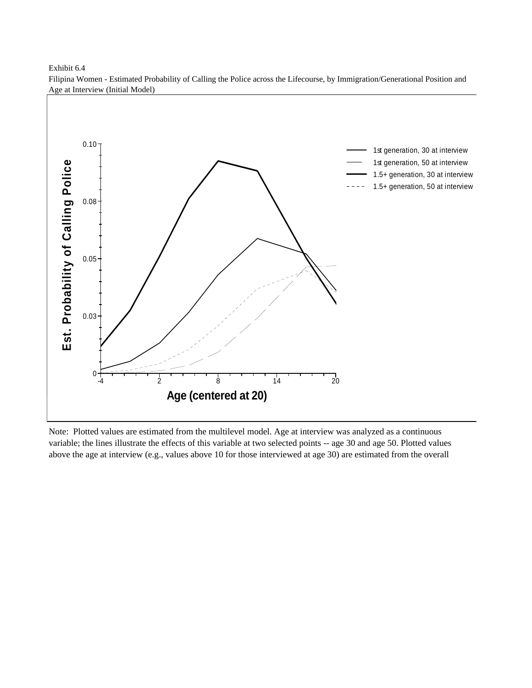Exhibit 6.4 Filipina Women - Estimated Probability of Calling the Police across the Lifecourse, by Immigration/Generational Position and Age at Interview (Initial Model)

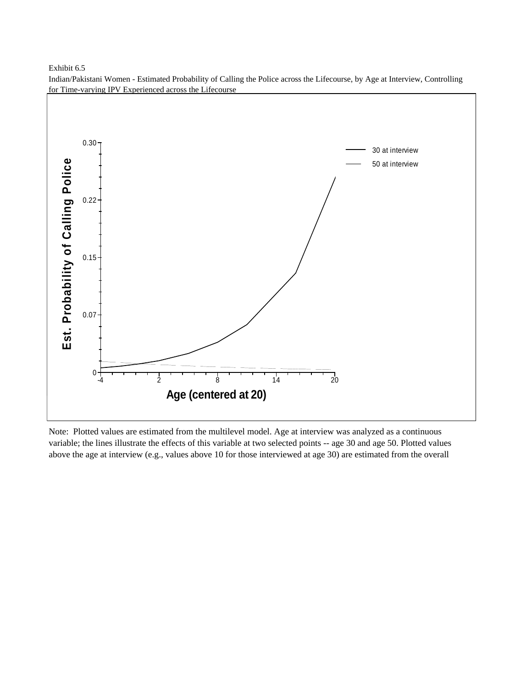Exhibit 6.5



Indian/Pakistani Women - Estimated Probability of Calling the Police across the Lifecourse, by Age at Interview, Controlling for Time-varying IPV Experienced across the Lifecourse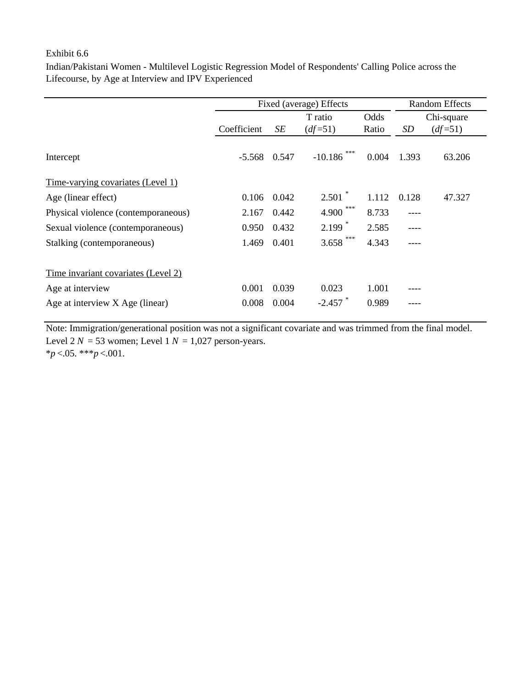## Exhibit 6.6

Indian/Pakistani Women - Multilevel Logistic Regression Model of Respondents' Calling Police across the Lifecourse, by Age at Interview and IPV Experienced

|                                     |             |       | Fixed (average) Effects |       | <b>Random Effects</b> |            |  |
|-------------------------------------|-------------|-------|-------------------------|-------|-----------------------|------------|--|
|                                     |             |       | T ratio                 | Odds  |                       | Chi-square |  |
|                                     | Coefficient | SE    | $(df=51)$               | Ratio | SD                    | $(df=51)$  |  |
| Intercept                           | $-5.568$    | 0.547 | ***<br>$-10.186$        | 0.004 | 1.393                 | 63.206     |  |
| Time-varying covariates (Level 1)   |             |       |                         |       |                       |            |  |
| Age (linear effect)                 | 0.106       | 0.042 | 2.501                   | 1.112 | 0.128                 | 47.327     |  |
| Physical violence (contemporaneous) | 2.167       | 0.442 | ***<br>4.900            | 8.733 | ----                  |            |  |
| Sexual violence (contemporaneous)   | 0.950       | 0.432 | $2.199*$                | 2.585 |                       |            |  |
| Stalking (contemporaneous)          | 1.469       | 0.401 | $3.658$ ***             | 4.343 |                       |            |  |
| Time invariant covariates (Level 2) |             |       |                         |       |                       |            |  |
| Age at interview                    | 0.001       | 0.039 | 0.023                   | 1.001 |                       |            |  |
| Age at interview X Age (linear)     | 0.008       | 0.004 | $-2.457$                | 0.989 |                       |            |  |

Note: Immigration/generational position was not a significant covariate and was trimmed from the final model. \**p* <.05. \*\*\**p* <.001. Level  $2 N = 53$  women; Level  $1 N = 1,027$  person-years.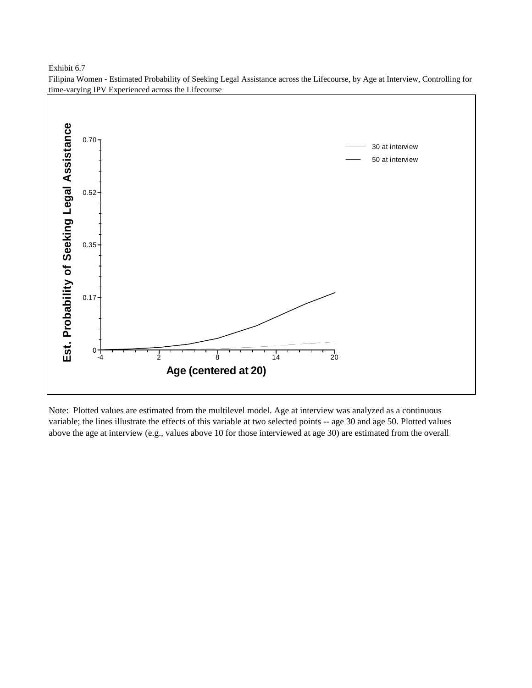Exhibit 6.7



Filipina Women - Estimated Probability of Seeking Legal Assistance across the Lifecourse, by Age at Interview, Controlling for time-varying IPV Experienced across the Lifecourse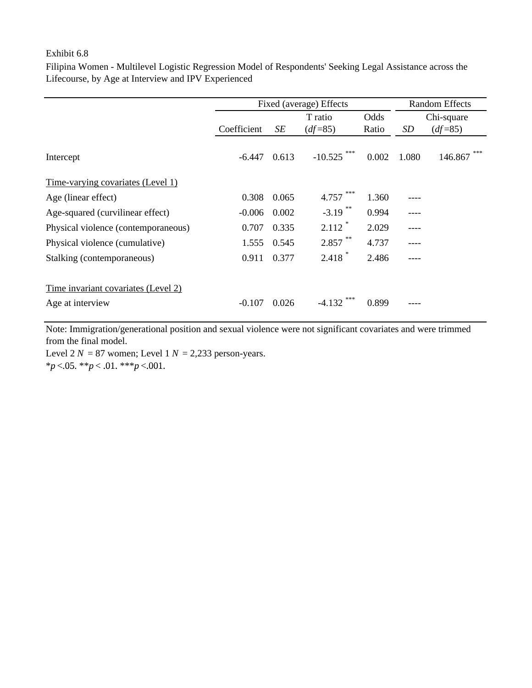## Exhibit 6.8

Filipina Women - Multilevel Logistic Regression Model of Respondents' Seeking Legal Assistance across the Lifecourse, by Age at Interview and IPV Experienced

|                                                         | Fixed (average) Effects |       |                      |       | <b>Random Effects</b> |                |
|---------------------------------------------------------|-------------------------|-------|----------------------|-------|-----------------------|----------------|
|                                                         |                         |       | T ratio              | Odds  | Chi-square            |                |
|                                                         | Coefficient             | SE    | $(df=85)$            | Ratio | SD                    | $(df=85)$      |
| Intercept                                               | $-6.447$                | 0.613 | $-10.525$            | 0.002 | 1.080                 | ***<br>146.867 |
| Time-varying covariates (Level 1)                       |                         |       |                      |       |                       |                |
| Age (linear effect)                                     | 0.308                   | 0.065 | 4.757                | 1.360 |                       |                |
| Age-squared (curvilinear effect)                        | $-0.006$                | 0.002 | $-3.19$ **           | 0.994 |                       |                |
| Physical violence (contemporaneous)                     | 0.707                   | 0.335 | $2.112$ <sup>*</sup> | 2.029 |                       |                |
| Physical violence (cumulative)                          | 1.555                   | 0.545 | $2.857$ <sup>*</sup> | 4.737 |                       |                |
| Stalking (contemporaneous)                              | 0.911                   | 0.377 | $2.418$ <sup>*</sup> | 2.486 |                       |                |
| Time invariant covariates (Level 2)<br>Age at interview | $-0.107$                | 0.026 | $-4.132$             | 0.899 |                       |                |

Note: Immigration/generational position and sexual violence were not significant covariates and were trimmed from the final model.

\**p* <.05. \*\**p* < .01. \*\*\**p* <.001. Level  $2 N = 87$  women; Level  $1 N = 2,233$  person-years.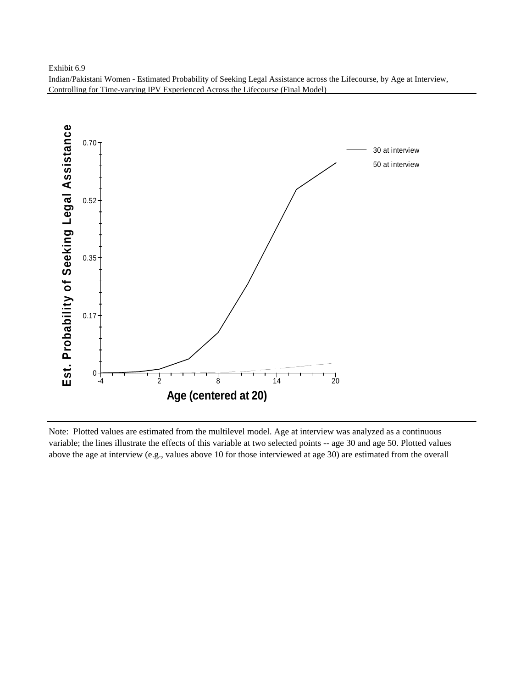Exhibit 6.9



Indian/Pakistani Women - Estimated Probability of Seeking Legal Assistance across the Lifecourse, by Age at Interview, Controlling for Time-varying IPV Experienced Across the Lifecourse (Final Model)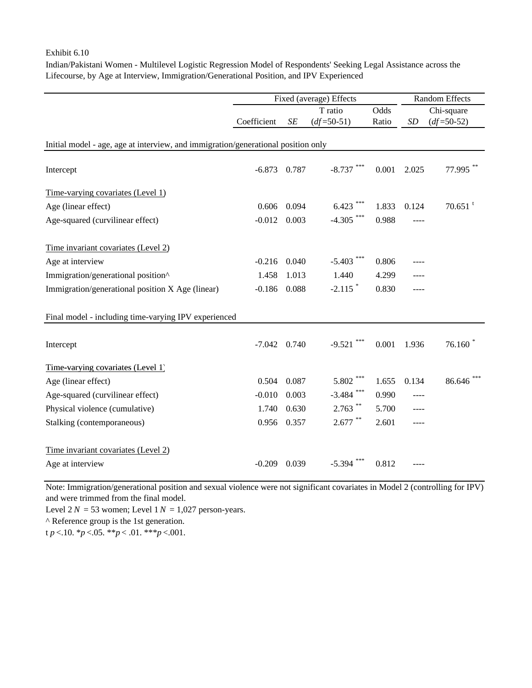### Exhibit 6.10

Indian/Pakistani Women - Multilevel Logistic Regression Model of Respondents' Seeking Legal Assistance across the Lifecourse, by Age at Interview, Immigration/Generational Position, and IPV Experienced

|                                                                                   |                |           | Fixed (average) Effects |       | <b>Random Effects</b> |                       |  |
|-----------------------------------------------------------------------------------|----------------|-----------|-------------------------|-------|-----------------------|-----------------------|--|
|                                                                                   |                |           | T ratio                 | Odds  |                       | Chi-square            |  |
|                                                                                   | Coefficient    | $\cal SE$ | $(df=50-51)$            | Ratio | SD                    | $(df=50-52)$          |  |
| Initial model - age, age at interview, and immigration/generational position only |                |           |                         |       |                       |                       |  |
| Intercept                                                                         | $-6.873$ 0.787 |           | $-8.737$                | 0.001 | 2.025                 | 77.995**              |  |
| Time-varying covariates (Level 1)                                                 |                |           |                         |       |                       |                       |  |
| Age (linear effect)                                                               | 0.606          | 0.094     | $6.423$ ***             | 1.833 | 0.124                 | $70.651$ <sup>t</sup> |  |
| Age-squared (curvilinear effect)                                                  | $-0.012$       | 0.003     | $-4.305$                | 0.988 | ----                  |                       |  |
| Time invariant covariates (Level 2)                                               |                |           |                         |       |                       |                       |  |
| Age at interview                                                                  | $-0.216$       | 0.040     | $-5.403$                | 0.806 |                       |                       |  |
| Immigration/generational position^                                                | 1.458          | 1.013     | 1.440                   | 4.299 |                       |                       |  |
| Immigration/generational position X Age (linear)                                  | $-0.186$       | 0.088     | $-2.115$ <sup>*</sup>   | 0.830 | ----                  |                       |  |
| Final model - including time-varying IPV experienced                              |                |           |                         |       |                       |                       |  |
| Intercept                                                                         | $-7.042$       | 0.740     | $-9.521$ ***            | 0.001 | 1.936                 | 76.160                |  |
| Time-varying covariates (Level 1)                                                 |                |           |                         |       |                       |                       |  |
| Age (linear effect)                                                               | 0.504          | 0.087     | $5.802$ ***             | 1.655 | 0.134                 | 86.646                |  |
| Age-squared (curvilinear effect)                                                  | $-0.010$       | 0.003     | $-3.484$ ***            | 0.990 | ----                  |                       |  |
| Physical violence (cumulative)                                                    | 1.740          | 0.630     | $2.763$ **              | 5.700 | ----                  |                       |  |
| Stalking (contemporaneous)                                                        | 0.956          | 0.357     | $2.677$ **              | 2.601 | ----                  |                       |  |
| Time invariant covariates (Level 2)                                               |                |           |                         |       |                       |                       |  |
| Age at interview                                                                  | $-0.209$       | 0.039     | $-5.394$                | 0.812 |                       |                       |  |

Note: Immigration/generational position and sexual violence were not significant covariates in Model 2 (controlling for IPV) and were trimmed from the final model.

Level  $2N = 53$  women; Level  $1N = 1,027$  person-years.

^ Reference group is the 1st generation.

t *p* <.10. \**p* <.05. \*\**p* < .01. \*\*\**p* <.001.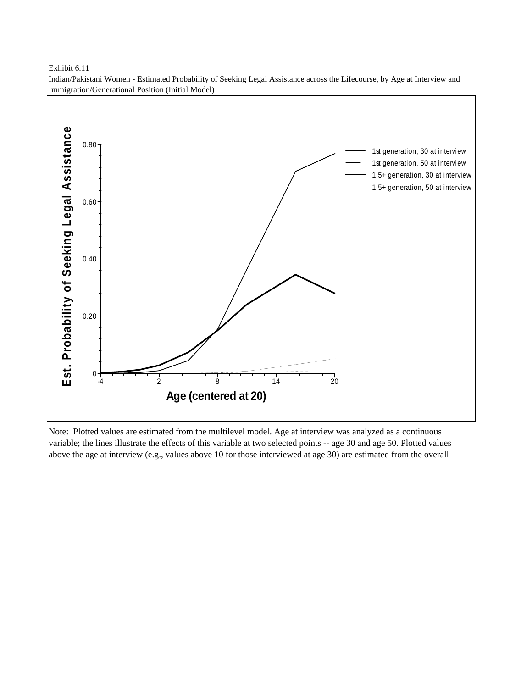Exhibit 6.11



Indian/Pakistani Women - Estimated Probability of Seeking Legal Assistance across the Lifecourse, by Age at Interview and Immigration/Generational Position (Initial Model)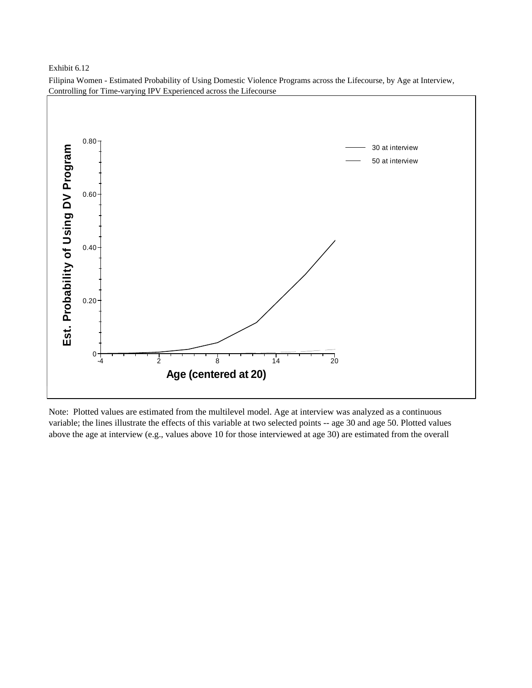Exhibit 6.12



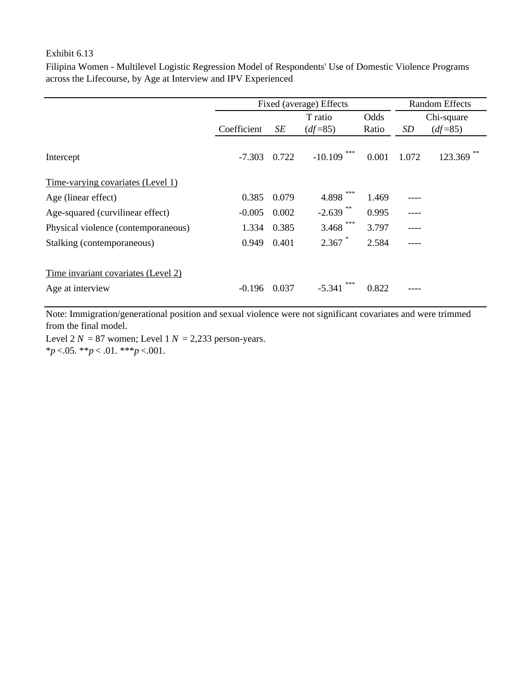# Exhibit 6.13

Filipina Women - Multilevel Logistic Regression Model of Respondents' Use of Domestic Violence Programs across the Lifecourse, by Age at Interview and IPV Experienced

|                                     |             |       | Fixed (average) Effects |       | <b>Random Effects</b> |            |  |
|-------------------------------------|-------------|-------|-------------------------|-------|-----------------------|------------|--|
|                                     |             |       | T ratio                 | Odds  |                       | Chi-square |  |
|                                     | Coefficient | SE    | $(df=85)$               | Ratio | SD                    | $(df=85)$  |  |
| Intercept                           | $-7.303$    | 0.722 | $-10.109$               | 0.001 | 1.072                 | 123.369    |  |
| Time-varying covariates (Level 1)   |             |       |                         |       |                       |            |  |
| Age (linear effect)                 | 0.385       | 0.079 | 4.898                   | 1.469 |                       |            |  |
| Age-squared (curvilinear effect)    | $-0.005$    | 0.002 | $-2.639$                | 0.995 |                       |            |  |
| Physical violence (contemporaneous) | 1.334       | 0.385 | ***<br>3.468            | 3.797 | ----                  |            |  |
| Stalking (contemporaneous)          | 0.949       | 0.401 | $2.367$ $*$             | 2.584 |                       |            |  |
| Time invariant covariates (Level 2) |             |       |                         |       |                       |            |  |
| Age at interview                    | $-0.196$    | 0.037 | $-5.341$                | 0.822 |                       |            |  |

Note: Immigration/generational position and sexual violence were not significant covariates and were trimmed from the final model.

\**p* <.05. \*\**p* < .01. \*\*\**p* <.001. Level  $2 N = 87$  women; Level  $1 N = 2,233$  person-years.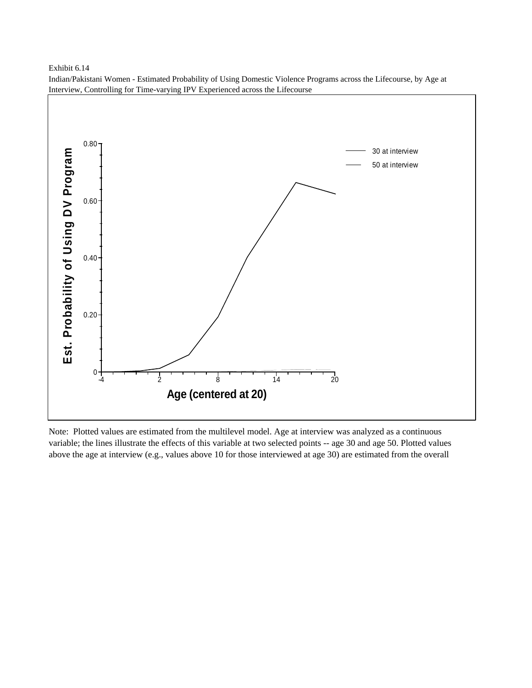Exhibit 6.14



Indian/Pakistani Women - Estimated Probability of Using Domestic Violence Programs across the Lifecourse, by Age at Interview, Controlling for Time-varying IPV Experienced across the Lifecourse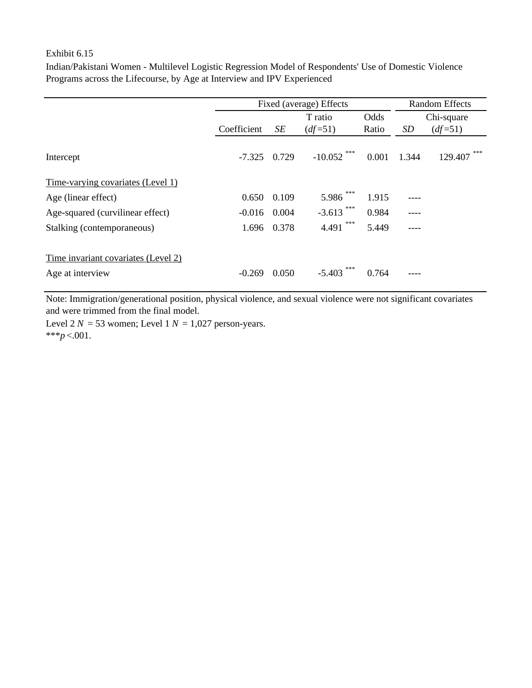# Exhibit 6.15

Indian/Pakistani Women - Multilevel Logistic Regression Model of Respondents' Use of Domestic Violence Programs across the Lifecourse, by Age at Interview and IPV Experienced

|                                     |                |             | Fixed (average) Effects |               | <b>Random Effects</b> |                         |  |
|-------------------------------------|----------------|-------------|-------------------------|---------------|-----------------------|-------------------------|--|
|                                     | Coefficient    | SE          | T ratio<br>$(df=51)$    | Odds<br>Ratio | SD                    | Chi-square<br>$(df=51)$ |  |
|                                     |                |             |                         |               |                       |                         |  |
| Intercept                           | $-7.325$ 0.729 |             | ***<br>$-10.052$        | 0.001         | 1.344                 | ***<br>129.407          |  |
| Time-varying covariates (Level 1)   |                |             |                         |               |                       |                         |  |
| Age (linear effect)                 | 0.650          | 0.109       | 5.986                   | 1.915         | ----                  |                         |  |
| Age-squared (curvilinear effect)    | $-0.016$       | 0.004       | ***<br>$-3.613$         | 0.984         | ----                  |                         |  |
| Stalking (contemporaneous)          |                | 1.696 0.378 | ***<br>4.491            | 5.449         |                       |                         |  |
| Time invariant covariates (Level 2) |                |             |                         |               |                       |                         |  |
| Age at interview                    | $-0.269$       | 0.050       | $-5.403$                | 0.764         |                       |                         |  |

Note: Immigration/generational position, physical violence, and sexual violence were not significant covariates and were trimmed from the final model.

\*\*\**p* <.001. Level  $2 N = 53$  women; Level  $1 N = 1,027$  person-years.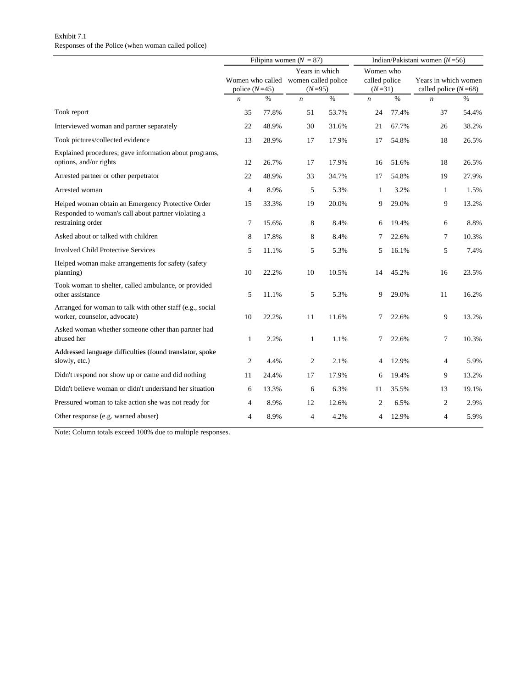|                                                                                                          |                  |       | Filipina women ( $N = 87$ )                                        |       | Indian/Pakistani women $(N=56)$        |       |                                                |       |  |  |
|----------------------------------------------------------------------------------------------------------|------------------|-------|--------------------------------------------------------------------|-------|----------------------------------------|-------|------------------------------------------------|-------|--|--|
|                                                                                                          | police $(N=45)$  |       | Years in which<br>Women who called women called police<br>$(N=95)$ |       | Women who<br>called police<br>$(N=31)$ |       | Years in which women<br>called police $(N=68)$ |       |  |  |
|                                                                                                          | $\boldsymbol{n}$ | %     | $\boldsymbol{n}$                                                   | $\%$  | $\boldsymbol{n}$                       | $\%$  | $\boldsymbol{n}$                               | $\%$  |  |  |
| Took report                                                                                              | 35               | 77.8% | 51                                                                 | 53.7% | 24                                     | 77.4% | 37                                             | 54.4% |  |  |
| Interviewed woman and partner separately                                                                 | 22               | 48.9% | 30                                                                 | 31.6% | 21                                     | 67.7% | 26                                             | 38.2% |  |  |
| Took pictures/collected evidence                                                                         | 13               | 28.9% | 17                                                                 | 17.9% | 17                                     | 54.8% | 18                                             | 26.5% |  |  |
| Explained procedures; gave information about programs,<br>options, and/or rights                         | 12               | 26.7% | 17                                                                 | 17.9% | 16                                     | 51.6% | 18                                             | 26.5% |  |  |
| Arrested partner or other perpetrator                                                                    | 22               | 48.9% | 33                                                                 | 34.7% | 17                                     | 54.8% | 19                                             | 27.9% |  |  |
| Arrested woman                                                                                           | $\overline{4}$   | 8.9%  | 5                                                                  | 5.3%  | 1                                      | 3.2%  | $\mathbf{1}$                                   | 1.5%  |  |  |
| Helped woman obtain an Emergency Protective Order<br>Responded to woman's call about partner violating a | 15               | 33.3% | 19                                                                 | 20.0% | 9                                      | 29.0% | 9                                              | 13.2% |  |  |
| restraining order                                                                                        | 7                | 15.6% | 8                                                                  | 8.4%  | 6                                      | 19.4% | 6                                              | 8.8%  |  |  |
| Asked about or talked with children                                                                      | 8                | 17.8% | 8                                                                  | 8.4%  | 7                                      | 22.6% | 7                                              | 10.3% |  |  |
| <b>Involved Child Protective Services</b>                                                                | 5                | 11.1% | 5                                                                  | 5.3%  | 5                                      | 16.1% | 5                                              | 7.4%  |  |  |
| Helped woman make arrangements for safety (safety<br>planning)                                           | 10               | 22.2% | 10                                                                 | 10.5% | 14                                     | 45.2% | 16                                             | 23.5% |  |  |
| Took woman to shelter, called ambulance, or provided<br>other assistance                                 | 5                | 11.1% | 5                                                                  | 5.3%  | 9                                      | 29.0% | 11                                             | 16.2% |  |  |
| Arranged for woman to talk with other staff (e.g., social<br>worker, counselor, advocate)                | 10               | 22.2% | 11                                                                 | 11.6% | 7                                      | 22.6% | 9                                              | 13.2% |  |  |
| Asked woman whether someone other than partner had<br>abused her                                         | $\mathbf{1}$     | 2.2%  | 1                                                                  | 1.1%  | 7                                      | 22.6% | 7                                              | 10.3% |  |  |
| Addressed language difficulties (found translator, spoke<br>slowly, etc.)                                | $\overline{c}$   | 4.4%  | $\overline{2}$                                                     | 2.1%  | 4                                      | 12.9% | 4                                              | 5.9%  |  |  |
| Didn't respond nor show up or came and did nothing                                                       | 11               | 24.4% | 17                                                                 | 17.9% | 6                                      | 19.4% | 9                                              | 13.2% |  |  |
| Didn't believe woman or didn't understand her situation                                                  | 6                | 13.3% | 6                                                                  | 6.3%  | 11                                     | 35.5% | 13                                             | 19.1% |  |  |
| Pressured woman to take action she was not ready for                                                     | $\overline{4}$   | 8.9%  | 12                                                                 | 12.6% | 2                                      | 6.5%  | $\overline{c}$                                 | 2.9%  |  |  |
| Other response (e.g. warned abuser)                                                                      | 4                | 8.9%  | $\overline{4}$                                                     | 4.2%  | 4                                      | 12.9% | 4                                              | 5.9%  |  |  |
|                                                                                                          |                  |       |                                                                    |       |                                        |       |                                                |       |  |  |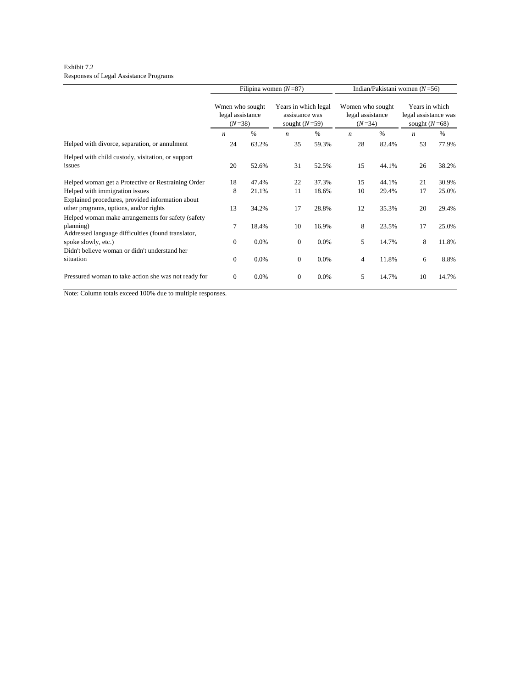### Exhibit 7.2 Responses of Legal Assistance Programs

|                                                                                                                      |                                                 |         | Filipina women $(N=87)$                                   |       | Indian/Pakistani women $(N=56)$                  |       |                                                           |       |  |  |
|----------------------------------------------------------------------------------------------------------------------|-------------------------------------------------|---------|-----------------------------------------------------------|-------|--------------------------------------------------|-------|-----------------------------------------------------------|-------|--|--|
|                                                                                                                      | Wmen who sought<br>legal assistance<br>$(N=38)$ |         | Years in which legal<br>assistance was<br>sought $(N=59)$ |       | Women who sought<br>legal assistance<br>$(N=34)$ |       | Years in which<br>legal assistance was<br>sought $(N=68)$ |       |  |  |
|                                                                                                                      | $\boldsymbol{n}$                                | $\%$    | $\boldsymbol{n}$                                          | %     | $\boldsymbol{n}$                                 | $\%$  | $\boldsymbol{n}$                                          | %     |  |  |
| Helped with divorce, separation, or annulment                                                                        | 24                                              | 63.2%   | 35                                                        | 59.3% | 28                                               | 82.4% | 53                                                        | 77.9% |  |  |
| Helped with child custody, visitation, or support<br>issues                                                          | 20                                              | 52.6%   | 31                                                        | 52.5% | 15                                               | 44.1% | 26                                                        | 38.2% |  |  |
| Helped woman get a Protective or Restraining Order                                                                   | 18                                              | 47.4%   | 22                                                        | 37.3% | 15                                               | 44.1% | 21                                                        | 30.9% |  |  |
| Helped with immigration issues                                                                                       | 8                                               | 21.1%   | 11                                                        | 18.6% | 10                                               | 29.4% | 17                                                        | 25.0% |  |  |
| Explained procedures, provided information about<br>other programs, options, and/or rights                           | 13                                              | 34.2%   | 17                                                        | 28.8% | 12                                               | 35.3% | 20                                                        | 29.4% |  |  |
| Helped woman make arrangements for safety (safety<br>planning)<br>Addressed language difficulties (found translator, | $7\phantom{.0}$                                 | 18.4%   | 10                                                        | 16.9% | 8                                                | 23.5% | 17                                                        | 25.0% |  |  |
| spoke slowly, etc.)                                                                                                  | $\mathbf{0}$                                    | 0.0%    | $\overline{0}$                                            | 0.0%  | 5                                                | 14.7% | 8                                                         | 11.8% |  |  |
| Didn't believe woman or didn't understand her<br>situation                                                           | $\mathbf{0}$                                    | $0.0\%$ | $\overline{0}$                                            | 0.0%  | $\overline{4}$                                   | 11.8% | 6                                                         | 8.8%  |  |  |
| Pressured woman to take action she was not ready for                                                                 | $\mathbf{0}$                                    | 0.0%    | $\Omega$                                                  | 0.0%  | 5                                                | 14.7% | 10                                                        | 14.7% |  |  |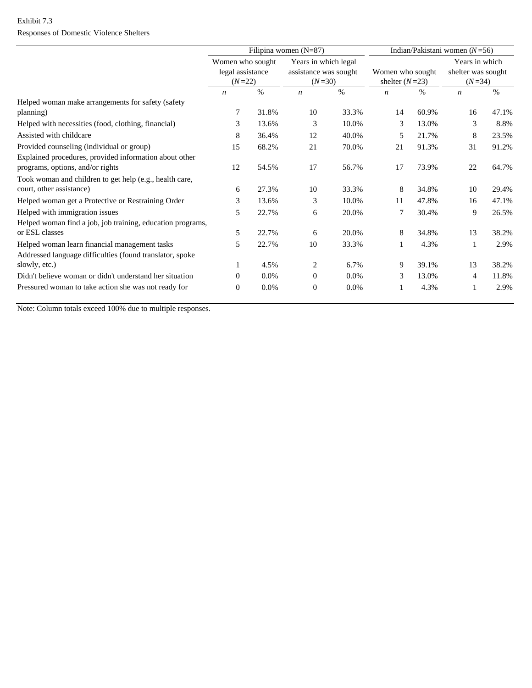|                                                                                            |                  |                                                  | Filipina women $(N=87)$ |                                                           | Indian/Pakistani women $(N=56)$ |                                      |                                                  |       |  |
|--------------------------------------------------------------------------------------------|------------------|--------------------------------------------------|-------------------------|-----------------------------------------------------------|---------------------------------|--------------------------------------|--------------------------------------------------|-------|--|
|                                                                                            |                  | Women who sought<br>legal assistance<br>$(N=22)$ |                         | Years in which legal<br>assistance was sought<br>$(N=30)$ |                                 | Women who sought<br>shelter $(N=23)$ | Years in which<br>shelter was sought<br>$(N=34)$ |       |  |
|                                                                                            | $\boldsymbol{n}$ | $\%$                                             | $\boldsymbol{n}$        | $\%$                                                      | $\boldsymbol{n}$                | $\%$                                 | $\boldsymbol{n}$                                 | $\%$  |  |
| Helped woman make arrangements for safety (safety                                          |                  |                                                  |                         |                                                           |                                 |                                      |                                                  |       |  |
| planning)                                                                                  | 7                | 31.8%                                            | 10                      | 33.3%                                                     | 14                              | 60.9%                                | 16                                               | 47.1% |  |
| Helped with necessities (food, clothing, financial)                                        | 3                | 13.6%                                            | 3                       | 10.0%                                                     | 3                               | 13.0%                                | 3                                                | 8.8%  |  |
| Assisted with childcare                                                                    | 8                | 36.4%                                            | 12                      | 40.0%                                                     | 5                               | 21.7%                                | 8                                                | 23.5% |  |
| Provided counseling (individual or group)                                                  | 15               | 68.2%                                            | 21                      | 70.0%                                                     | 21                              | 91.3%                                | 31                                               | 91.2% |  |
| Explained procedures, provided information about other<br>programs, options, and/or rights | 12               | 54.5%                                            | 17                      | 56.7%                                                     | 17                              | 73.9%                                | 22                                               | 64.7% |  |
| Took woman and children to get help (e.g., health care,                                    |                  |                                                  |                         |                                                           |                                 |                                      |                                                  |       |  |
| court, other assistance)                                                                   | 6                | 27.3%                                            | 10                      | 33.3%                                                     | 8                               | 34.8%                                | 10                                               | 29.4% |  |
| Helped woman get a Protective or Restraining Order                                         | 3                | 13.6%                                            | 3                       | 10.0%                                                     | 11                              | 47.8%                                | 16                                               | 47.1% |  |
| Helped with immigration issues                                                             | 5                | 22.7%                                            | 6                       | 20.0%                                                     | 7                               | 30.4%                                | 9                                                | 26.5% |  |
| Helped woman find a job, job training, education programs,                                 |                  |                                                  |                         |                                                           |                                 |                                      |                                                  |       |  |
| or ESL classes                                                                             | 5                | 22.7%                                            | 6                       | 20.0%                                                     | 8                               | 34.8%                                | 13                                               | 38.2% |  |
| Helped woman learn financial management tasks                                              | 5                | 22.7%                                            | 10                      | 33.3%                                                     |                                 | 4.3%                                 |                                                  | 2.9%  |  |
| Addressed language difficulties (found translator, spoke                                   |                  |                                                  |                         |                                                           |                                 |                                      |                                                  |       |  |
| slowly, etc.)                                                                              | 1                | 4.5%                                             | 2                       | 6.7%                                                      | 9                               | 39.1%                                | 13                                               | 38.2% |  |
| Didn't believe woman or didn't understand her situation                                    | $\Omega$         | 0.0%                                             | $\Omega$                | $0.0\%$                                                   | 3                               | 13.0%                                | 4                                                | 11.8% |  |
| Pressured woman to take action she was not ready for                                       | $\mathbf{0}$     | 0.0%                                             | 0                       | 0.0%                                                      |                                 | 4.3%                                 |                                                  | 2.9%  |  |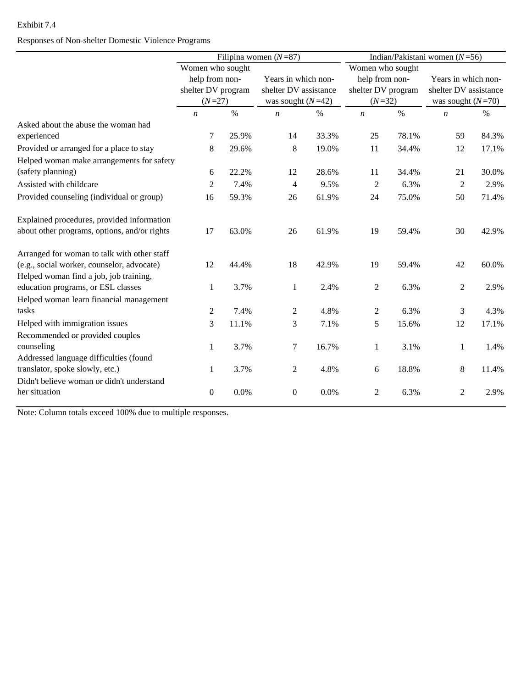# Exhibit 7.4

Responses of Non-shelter Domestic Violence Programs

|                                              |                    |       | Filipina women $(N=87)$ |       | Indian/Pakistani women $(N=56)$ |       |                                              |       |  |  |
|----------------------------------------------|--------------------|-------|-------------------------|-------|---------------------------------|-------|----------------------------------------------|-------|--|--|
|                                              | Women who sought   |       |                         |       | Women who sought                |       |                                              |       |  |  |
|                                              | help from non-     |       | Years in which non-     |       | help from non-                  |       | Years in which non-<br>shelter DV assistance |       |  |  |
|                                              | shelter DV program |       | shelter DV assistance   |       | shelter DV program              |       |                                              |       |  |  |
|                                              | $(N=27)$           |       | was sought $(N=42)$     |       | $(N=32)$                        |       | was sought $(N=70)$                          |       |  |  |
|                                              | $\boldsymbol{n}$   | $\%$  | $\boldsymbol{n}$        | $\%$  | $\boldsymbol{n}$                | $\%$  | $\boldsymbol{n}$                             | $\%$  |  |  |
| Asked about the abuse the woman had          |                    |       |                         |       |                                 |       |                                              |       |  |  |
| experienced                                  | 7                  | 25.9% | 14                      | 33.3% | 25                              | 78.1% | 59                                           | 84.3% |  |  |
| Provided or arranged for a place to stay     | 8                  | 29.6% | 8                       | 19.0% | 11                              | 34.4% | 12                                           | 17.1% |  |  |
| Helped woman make arrangements for safety    |                    |       |                         |       |                                 |       |                                              |       |  |  |
| (safety planning)                            | 6                  | 22.2% | 12                      | 28.6% | 11                              | 34.4% | 21                                           | 30.0% |  |  |
| Assisted with childcare                      | $\overline{2}$     | 7.4%  | $\overline{4}$          | 9.5%  | 2                               | 6.3%  | $\overline{c}$                               | 2.9%  |  |  |
| Provided counseling (individual or group)    | 16                 | 59.3% | 26                      | 61.9% | 24                              | 75.0% | 50                                           | 71.4% |  |  |
| Explained procedures, provided information   |                    |       |                         |       |                                 |       |                                              |       |  |  |
| about other programs, options, and/or rights | 17                 | 63.0% | 26                      | 61.9% | 19                              | 59.4% | 30                                           | 42.9% |  |  |
| Arranged for woman to talk with other staff  |                    |       |                         |       |                                 |       |                                              |       |  |  |
| (e.g., social worker, counselor, advocate)   | 12                 | 44.4% | 18                      | 42.9% | 19                              | 59.4% | 42                                           | 60.0% |  |  |
| Helped woman find a job, job training,       |                    |       |                         |       |                                 |       |                                              |       |  |  |
| education programs, or ESL classes           | 1                  | 3.7%  | $\mathbf{1}$            | 2.4%  | $\overline{2}$                  | 6.3%  | $\boldsymbol{2}$                             | 2.9%  |  |  |
| Helped woman learn financial management      |                    |       |                         |       |                                 |       |                                              |       |  |  |
| tasks                                        | $\overline{c}$     | 7.4%  | $\overline{c}$          | 4.8%  | $\overline{c}$                  | 6.3%  | 3                                            | 4.3%  |  |  |
| Helped with immigration issues               | 3                  | 11.1% | 3                       | 7.1%  | 5                               | 15.6% | 12                                           | 17.1% |  |  |
| Recommended or provided couples              |                    |       |                         |       |                                 |       |                                              |       |  |  |
| counseling                                   | 1                  | 3.7%  | $\tau$                  | 16.7% | 1                               | 3.1%  | $\mathbf{1}$                                 | 1.4%  |  |  |
| Addressed language difficulties (found       |                    |       |                         |       |                                 |       |                                              |       |  |  |
| translator, spoke slowly, etc.)              | 1                  | 3.7%  | 2                       | 4.8%  | 6                               | 18.8% | $8\,$                                        | 11.4% |  |  |
| Didn't believe woman or didn't understand    |                    |       |                         |       |                                 |       |                                              |       |  |  |
| her situation                                | $\mathbf{0}$       | 0.0%  | $\boldsymbol{0}$        | 0.0%  | $\overline{c}$                  | 6.3%  | 2                                            | 2.9%  |  |  |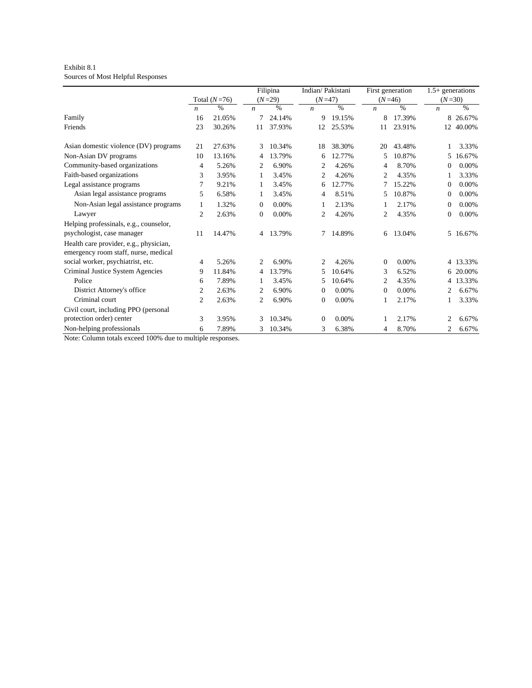### Exhibit 8.1 Sources of Most Helpful Responses

|                                        |                  |                |                  | Filipina |                  | Indian/Pakistani |                  | First generation | $1.5+$ generations |        |  |
|----------------------------------------|------------------|----------------|------------------|----------|------------------|------------------|------------------|------------------|--------------------|--------|--|
|                                        |                  | Total $(N=76)$ |                  | $(N=29)$ | $(N=47)$         |                  |                  | $(N=46)$         | $(N=30)$           |        |  |
|                                        | $\boldsymbol{n}$ | $\%$           | $\boldsymbol{n}$ | $\%$     | $\boldsymbol{n}$ | $\frac{0}{0}$    | $\boldsymbol{n}$ | $\frac{0}{0}$    | $\boldsymbol{n}$   | $\%$   |  |
| Family                                 | 16               | 21.05%         | 7                | 24.14%   | 9                | 19.15%           | 8                | 17.39%           | 8                  | 26.67% |  |
| Friends                                | 23               | 30.26%         | 11               | 37.93%   | 12               | 25.53%           | 11               | 23.91%           | 12                 | 40.00% |  |
| Asian domestic violence (DV) programs  | 21               | 27.63%         | 3                | 10.34%   | 18               | 38.30%           | 20               | 43.48%           |                    | 3.33%  |  |
| Non-Asian DV programs                  | 10               | 13.16%         | 4                | 13.79%   | 6                | 12.77%           | 5                | 10.87%           | 5                  | 16.67% |  |
| Community-based organizations          | 4                | 5.26%          | 2                | 6.90%    | 2                | 4.26%            | 4                | 8.70%            | $\mathbf{0}$       | 0.00%  |  |
| Faith-based organizations              | 3                | 3.95%          | 1                | 3.45%    | 2                | 4.26%            | 2                | 4.35%            |                    | 3.33%  |  |
| Legal assistance programs              | 7                | 9.21%          | 1                | 3.45%    | 6                | 12.77%           |                  | 15.22%           | $\mathbf{0}$       | 0.00%  |  |
| Asian legal assistance programs        | 5                | 6.58%          | 1                | 3.45%    | 4                | 8.51%            | 5                | 10.87%           | $\mathbf{0}$       | 0.00%  |  |
| Non-Asian legal assistance programs    | $\mathbf{1}$     | 1.32%          | 0                | 0.00%    | 1                | 2.13%            |                  | 2.17%            | $\mathbf{0}$       | 0.00%  |  |
| Lawyer                                 | 2                | 2.63%          | $\Omega$         | 0.00%    | $\mathfrak{2}$   | 4.26%            | 2                | 4.35%            | $\Omega$           | 0.00%  |  |
| Helping professinals, e.g., counselor, |                  |                |                  |          |                  |                  |                  |                  |                    |        |  |
| psychologist, case manager             | 11               | 14.47%         | 4                | 13.79%   | 7                | 14.89%           | 6                | 13.04%           | 5                  | 16.67% |  |
| Health care provider, e.g., physician, |                  |                |                  |          |                  |                  |                  |                  |                    |        |  |
| emergency room staff, nurse, medical   |                  |                |                  |          |                  |                  |                  |                  |                    |        |  |
| social worker, psychiatrist, etc.      | 4                | 5.26%          | 2                | 6.90%    | 2                | 4.26%            | $\Omega$         | $0.00\%$         | 4                  | 13.33% |  |
| Criminal Justice System Agencies       | 9                | 11.84%         | 4                | 13.79%   | 5                | 10.64%           | 3                | 6.52%            | 6                  | 20.00% |  |
| Police                                 | 6                | 7.89%          | 1                | 3.45%    | 5                | 10.64%           | 2                | 4.35%            | 4                  | 13.33% |  |
| District Attorney's office             | 2                | 2.63%          | 2                | 6.90%    | $\mathbf{0}$     | 0.00%            | $\mathbf{0}$     | 0.00%            | 2                  | 6.67%  |  |
| Criminal court                         | 2                | 2.63%          | 2                | 6.90%    | $\mathbf{0}$     | 0.00%            |                  | 2.17%            |                    | 3.33%  |  |
| Civil court, including PPO (personal   |                  |                |                  |          |                  |                  |                  |                  |                    |        |  |
| protection order) center               | 3                | 3.95%          | 3                | 10.34%   | $\Omega$         | 0.00%            |                  | 2.17%            | 2                  | 6.67%  |  |
| Non-helping professionals              | 6                | 7.89%          | 3                | 10.34%   | 3                | 6.38%            | 4                | 8.70%            | 2                  | 6.67%  |  |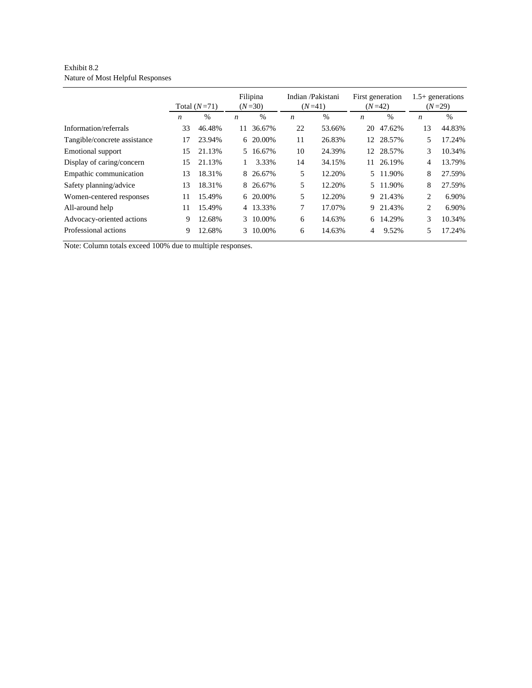### Exhibit 8.2 Nature of Most Helpful Responses

|                              |    | Total $(N=71)$ | Filipina<br>$(N=30)$ |          | Indian /Pakistani<br>$(N=41)$ |               | First generation<br>$(N=42)$ |        | $1.5+$ generations<br>$(N=29)$ |               |
|------------------------------|----|----------------|----------------------|----------|-------------------------------|---------------|------------------------------|--------|--------------------------------|---------------|
|                              | n  | %              | $\boldsymbol{n}$     | $\%$     | $\boldsymbol{n}$              | $\frac{0}{0}$ | $\boldsymbol{n}$             | %      | $\boldsymbol{n}$               | $\frac{0}{0}$ |
| Information/referrals        | 33 | 46.48%         | 11                   | 36.67%   | 22                            | 53.66%        | 20                           | 47.62% | 13                             | 44.83%        |
| Tangible/concrete assistance | 17 | 23.94%         |                      | 6 20.00% | 11                            | 26.83%        | 12                           | 28.57% | 5                              | 17.24%        |
| <b>Emotional support</b>     | 15 | 21.13%         |                      | 5 16.67% | 10                            | 24.39%        | 12                           | 28.57% | 3                              | 10.34%        |
| Display of caring/concern    | 15 | 21.13%         |                      | 3.33%    | 14                            | 34.15%        | 11                           | 26.19% | 4                              | 13.79%        |
| Empathic communication       | 13 | 18.31%         | 8.                   | 26.67%   | 5                             | 12.20%        | 5.                           | 11.90% | 8                              | 27.59%        |
| Safety planning/advice       | 13 | 18.31%         | 8.                   | 26.67%   | 5                             | 12.20%        | 5.                           | 11.90% | 8                              | 27.59%        |
| Women-centered responses     | 11 | 15.49%         |                      | 6 20.00% | 5                             | 12.20%        | 9                            | 21.43% | $\overline{2}$                 | 6.90%         |
| All-around help              | 11 | 15.49%         |                      | 4 13.33% | 7                             | 17.07%        | 9                            | 21.43% | 2                              | 6.90%         |
| Advocacy-oriented actions    | 9  | 12.68%         |                      | 3 10.00% | 6                             | 14.63%        | 6                            | 14.29% | 3                              | 10.34%        |
| Professional actions         | 9  | 12.68%         | 3                    | 10.00%   | 6                             | 14.63%        | 4                            | 9.52%  | 5                              | 17.24%        |